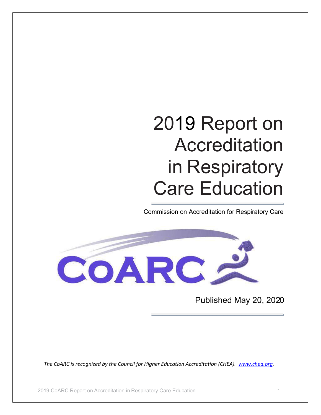# 2019 Report on Accreditation in Respiratory Care Education

Commission on Accreditation for Respiratory Care



Published May 20, 2020

*The CoARC is recognized by the Council for Higher Education Accreditation (CHEA). [www.chea.org.](http://www.chea.org/)*

2019 CoARC Report on Accreditation in Respiratory Care Education 1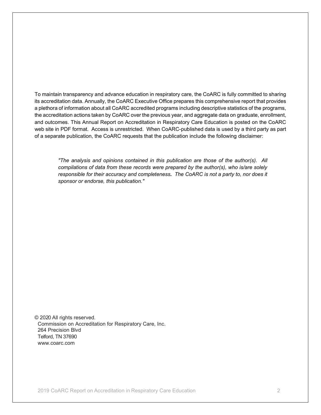To maintain transparency and advance education in respiratory care, the CoARC is fully committed to sharing its accreditation data. Annually, the CoARC Executive Office prepares this comprehensive report that provides a plethora of information about all CoARC accredited programs including descriptive statistics of the programs, the accreditation actions taken by CoARC over the previous year, and aggregate data on graduate, enrollment, and outcomes. This Annual Report on Accreditation in Respiratory Care Education is posted on the CoARC web site in PDF format. Access is unrestricted. When CoARC-published data is used by a third party as part of a separate publication, the CoARC requests that the publication include the following disclaimer:

*"The analysis and opinions contained in this publication are those of the author(s). All compilations of data from these records were prepared by the author(s), who is/are solely responsible for their accuracy and completeness. The CoARC is not a party to, nor does it sponsor or endorse, this publication."*

© 2020 All rights reserved. Commission on Accreditation for Respiratory Care, Inc. 264 Precision Blvd Telford, TN 37690 www.coarc.com

2019 CoARC Report on Accreditation in Respiratory Care Education 2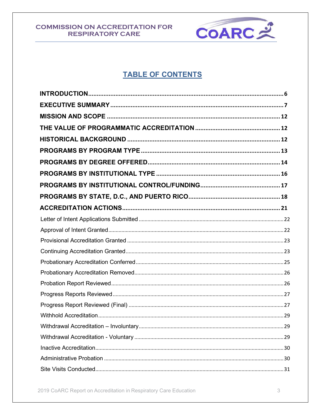

# **TABLE OF CONTENTS**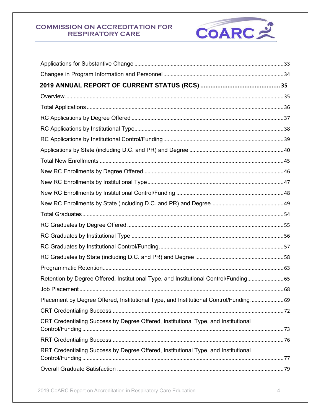

| Retention by Degree Offered, Institutional Type, and Institutional Control/Funding 65 |
|---------------------------------------------------------------------------------------|
|                                                                                       |
| Placement by Degree Offered, Institutional Type, and Institutional Control/Funding 69 |
|                                                                                       |
| CRT Credentialing Success by Degree Offered, Institutional Type, and Institutional    |
|                                                                                       |
| RRT Credentialing Success by Degree Offered, Institutional Type, and Institutional    |
|                                                                                       |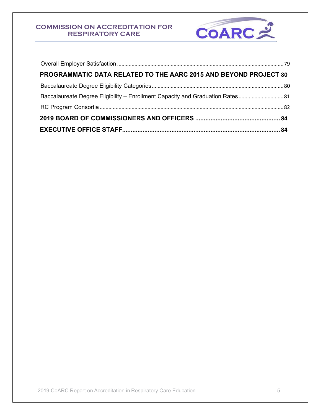

| PROGRAMMATIC DATA RELATED TO THE AARC 2015 AND BEYOND PROJECT 80            |  |
|-----------------------------------------------------------------------------|--|
|                                                                             |  |
| Baccalaureate Degree Eligibility - Enrollment Capacity and Graduation Rates |  |
|                                                                             |  |
|                                                                             |  |
|                                                                             |  |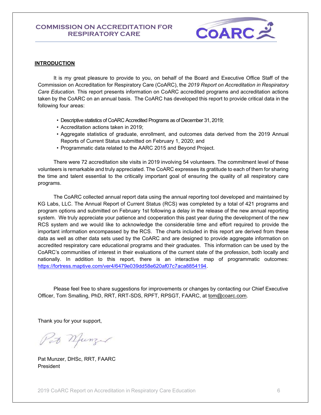

#### <span id="page-5-0"></span>**INTRODUCTION**

It is my great pleasure to provide to you, on behalf of the Board and Executive Office Staff of the Commission on Accreditation for Respiratory Care (CoARC), the *2019 Report on Accreditation in Respiratory Care Education.* This report presents information on CoARC accredited programs and accreditation actions taken by the CoARC on an annual basis. The CoARC has developed this report to provide critical data in the following four areas:

- Descriptive statistics of CoARC Accredited Programs as of December 31, 2019;
- Accreditation actions taken in 2019;
- Aggregate statistics of graduate, enrollment, and outcomes data derived from the 2019 Annual Reports of Current Status submitted on February 1, 2020; and
- Programmatic data related to the AARC 2015 and Beyond Project.

There were 72 accreditation site visits in 2019 involving 54 volunteers. The commitment level of these volunteers is remarkable and truly appreciated. The CoARC expresses its gratitude to each of them for sharing the time and talent essential to the critically important goal of ensuring the quality of all respiratory care programs.

The CoARC collected annual report data using the annual reporting tool developed and maintained by KG Labs, LLC. The Annual Report of Current Status (RCS) was completed by a total of 421 programs and program options and submitted on February 1st following a delay in the release of the new annual reporting system. We truly appreciate your patience and cooperation this past year during the development of the new RCS system and we would like to acknowledge the considerable time and effort required to provide the important information encompassed by the RCS. The charts included in this report are derived from these data as well as other data sets used by the CoARC and are designed to provide aggregate information on accredited respiratory care educational programs and their graduates. This information can be used by the CoARC's communities of interest in their evaluations of the current state of the profession, both locally and nationally. In addition to this report, there is an interactive map of programmatic outcomes: [https://fortress.maptive.com/ver4/6479e039dd58e620af07c7aca8854194.](https://fortress.maptive.com/ver4/6479e039dd58e620af07c7aca8854194)

Please feel free to share suggestions for improvements or changes by contacting our Chief Executive Officer, Tom Smalling, PhD, RRT, RRT-SDS, RPFT, RPSGT, FAARC, at [tom@coarc.com.](mailto:tom@coarc.com)

Thank you for your support,

Pat Munzer

Pat Munzer, DHSc, RRT, FAARC **President**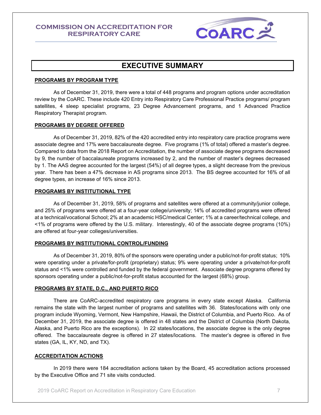

## **EXECUTIVE SUMMARY**

#### <span id="page-6-0"></span>**PROGRAMS BY PROGRAM TYPE**

As of December 31, 2019, there were a total of 448 programs and program options under accreditation review by the CoARC. These include 420 Entry into Respiratory Care Professional Practice programs/ program satellites, 4 sleep specialist programs, 23 Degree Advancement programs, and 1 Advanced Practice Respiratory Therapist program.

#### **PROGRAMS BY DEGREE OFFERED**

As of December 31, 2019, 82% of the 420 accredited entry into respiratory care practice programs were associate degree and 17% were baccalaureate degree. Five programs (1% of total) offered a master's degree. Compared to data from the 2018 Report on Accreditation, the number of associate degree programs decreased by 9, the number of baccalaureate programs increased by 2, and the number of master's degrees decreased by 1. The AAS degree accounted for the largest (54%) of all degree types, a slight decrease from the previous year. There has been a 47% decrease in AS programs since 2013. The BS degree accounted for 16% of all degree types, an increase of 16% since 2013.

#### **PROGRAMS BY INSTITUTIONAL TYPE**

As of December 31, 2019, 58% of programs and satellites were offered at a community/junior college, and 25% of programs were offered at a four-year college/university; 14% of accredited programs were offered at a technical/vocational School; 2% at an academic HSC/medical Center; 1% at a career/technical college, and <1% of programs were offered by the U.S. military. Interestingly, 40 of the associate degree programs (10%) are offered at four-year colleges/universities.

#### **PROGRAMS BY INSTITUTIONAL CONTROL/FUNDING**

As of December 31, 2019, 80% of the sponsors were operating under a public/not-for-profit status; 10% were operating under a private/for-profit (proprietary) status; 9% were operating under a private/not-for-profit status and <1% were controlled and funded by the federal government. Associate degree programs offered by sponsors operating under a public/not-for-profit status accounted for the largest (68%) group.

#### **PROGRAMS BY STATE, D.C., AND PUERTO RICO**

There are CoARC-accredited respiratory care programs in every state except Alaska. California remains the state with the largest number of programs and satellites with 36. States/locations with only one program include Wyoming, Vermont, New Hampshire, Hawaii, the District of Columbia, and Puerto Rico. As of December 31, 2019, the associate degree is offered in 48 states and the District of Columbia (North Dakota, Alaska, and Puerto Rico are the exceptions). In 22 states/locations, the associate degree is the only degree offered. The baccalaureate degree is offered in 27 states/locations. The master's degree is offered in five states (GA, IL, KY, ND, and TX).

#### **ACCREDITATION ACTIONS**

In 2019 there were 184 accreditation actions taken by the Board, 45 accreditation actions processed by the Executive Office and 71 site visits conducted.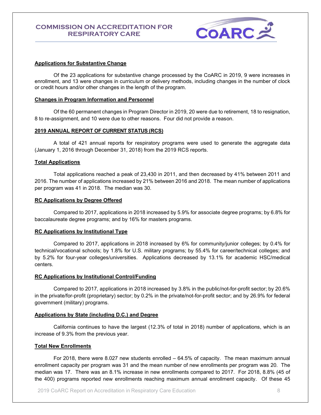

#### **Applications for Substantive Change**

Of the 23 applications for substantive change processed by the CoARC in 2019, 9 were increases in enrollment, and 13 were changes in curriculum or delivery methods, including changes in the number of clock or credit hours and/or other changes in the length of the program.

#### **Changes in Program Information and Personnel**

Of the 60 permanent changes in Program Director in 2019, 20 were due to retirement, 18 to resignation, 8 to re-assignment, and 10 were due to other reasons. Four did not provide a reason.

#### **2019 ANNUAL REPORT OF CURRENT STATUS (RCS)**

A total of 421 annual reports for respiratory programs were used to generate the aggregate data (January 1, 2016 through December 31, 2018) from the 2019 RCS reports.

#### **Total Applications**

Total applications reached a peak of 23,430 in 2011, and then decreased by 41% between 2011 and 2016. The number of applications increased by 21% between 2016 and 2018. The mean number of applications per program was 41 in 2018. The median was 30.

#### **RC Applications by Degree Offered**

Compared to 2017, applications in 2018 increased by 5.9% for associate degree programs; by 6.8% for baccalaureate degree programs; and by 16% for masters programs.

#### **RC Applications by Institutional Type**

Compared to 2017, applications in 2018 increased by 6% for community/junior colleges; by 0.4% for technical/vocational schools; by 1.8% for U.S. military programs; by 55.4% for career/technical colleges; and by 5.2% for four-year colleges/universities. Applications decreased by 13.1% for academic HSC/medical centers.

#### **RC Applications by Institutional Control/Funding**

Compared to 2017, applications in 2018 increased by 3.8% in the public/not-for-profit sector; by 20.6% in the private/for-profit (proprietary) sector; by 0.2% in the private/not-for-profit sector; and by 26.9% for federal government (military) programs.

#### **Applications by State (including D.C.) and Degree**

California continues to have the largest (12.3% of total in 2018) number of applications, which is an increase of 9.3% from the previous year.

#### **Total New Enrollments**

For 2018, there were 8.027 new students enrolled – 64.5% of capacity. The mean maximum annual enrollment capacity per program was 31 and the mean number of new enrollments per program was 20. The median was 17. There was an 8.1% increase in new enrollments compared to 2017. For 2018, 8.8% (45 of the 400) programs reported new enrollments reaching maximum annual enrollment capacity. Of these 45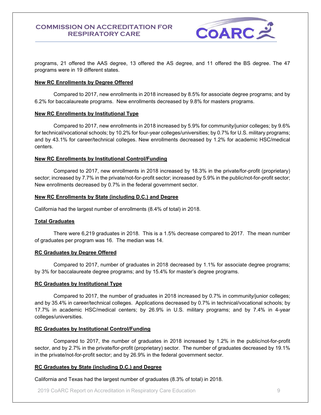

programs, 21 offered the AAS degree, 13 offered the AS degree, and 11 offered the BS degree. The 47 programs were in 19 different states.

#### **New RC Enrollments by Degree Offered**

Compared to 2017, new enrollments in 2018 increased by 8.5% for associate degree programs; and by 6.2% for baccalaureate programs. New enrollments decreased by 9.8% for masters programs.

#### **New RC Enrollments by Institutional Type**

Compared to 2017, new enrollments in 2018 increased by 5.9% for community/junior colleges; by 9.6% for technical/vocational schools; by 10.2% for four-year colleges/universities; by 0.7% for U.S. military programs; and by 43.1% for career/technical colleges. New enrollments decreased by 1.2% for academic HSC/medical centers.

#### **New RC Enrollments by Institutional Control/Funding**

Compared to 2017, new enrollments in 2018 increased by 18.3% in the private/for-profit (proprietary) sector; increased by 7.7% in the private/not-for-profit sector; increased by 5.9% in the public/not-for-profit sector; New enrollments decreased by 0.7% in the federal government sector.

#### **New RC Enrollments by State (including D.C.) and Degree**

California had the largest number of enrollments (8.4% of total) in 2018.

#### **Total Graduates**

There were 6,219 graduates in 2018. This is a 1.5% decrease compared to 2017. The mean number of graduates per program was 16. The median was 14.

#### **RC Graduates by Degree Offered**

Compared to 2017, number of graduates in 2018 decreased by 1.1% for associate degree programs; by 3% for baccalaureate degree programs; and by 15.4% for master's degree programs.

#### **RC Graduates by Institutional Type**

Compared to 2017, the number of graduates in 2018 increased by 0.7% in community/junior colleges; and by 35.4% in career/technical colleges. Applications decreased by 0.7% in technical/vocational schools; by 17.7% in academic HSC/medical centers; by 26.9% in U.S. military programs; and by 7.4% in 4-year colleges/universities.

#### **RC Graduates by Institutional Control/Funding**

Compared to 2017, the number of graduates in 2018 increased by 1.2% in the public/not-for-profit sector, and by 2.7% in the private/for-profit (proprietary) sector. The number of graduates decreased by 19.1% in the private/not-for-profit sector; and by 26.9% in the federal government sector.

#### **RC Graduates by State (including D.C.) and Degree**

California and Texas had the largest number of graduates (8.3% of total) in 2018.

2019 CoARC Report on Accreditation in Respiratory Care Education 9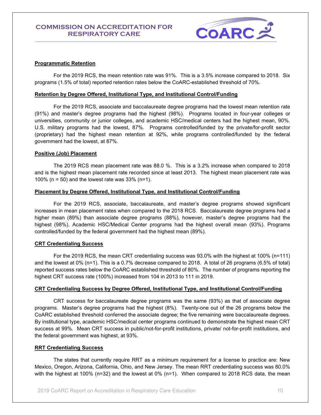

#### **Programmatic Retention**

For the 2019 RCS, the mean retention rate was 91%. This is a 3.5% increase compared to 2018. Six programs (1.5% of total) reported retention rates below the CoARC-established threshold of 70%.

#### **Retention by Degree Offered, Institutional Type, and Institutional Control/Funding**

For the 2019 RCS, associate and baccalaureate degree programs had the lowest mean retention rate (91%) and master's degree programs had the highest (98%). Programs located in four-year colleges or universities, community or junior colleges, and academic HSC/medical centers had the highest mean, 90%. U.S. military programs had the lowest, 87%. Programs controlled/funded by the private/for-profit sector (proprietary) had the highest mean retention at 92%, while programs controlled/funded by the federal government had the lowest, at 87%.

#### **Positive (Job) Placement**

The 2019 RCS mean placement rate was 88.0 %. This is a 3.2% increase when compared to 2018 and is the highest mean placement rate recorded since at least 2013. The highest mean placement rate was 100% (n = 50) and the lowest rate was 33% (n=1).

#### **Placement by Degree Offered, Institutional Type, and Institutional Control/Funding**

 For the 2019 RCS, associate, baccalaureate, and master's degree programs showed significant increases in mean placement rates when compared to the 2018 RCS. Baccalaureate degree programs had a higher mean (89%) than associate degree programs (88%), however, master's degree programs had the highest (98%). Academic HSC/Medical Center programs had the highest overall mean (93%). Programs controlled/funded by the federal government had the highest mean (89%).

#### **CRT Credentialing Success**

For the 2019 RCS, the mean CRT credentialing success was 93.0% with the highest at 100% (n=111) and the lowest at 0% (n=1). This is a 0.7% decrease compared to 2018. A total of 26 programs (6.5% of total) reported success rates below the CoARC established threshold of 80%. The number of programs reporting the highest CRT success rate (100%) increased from 104 in 2013 to 111 in 2019.

#### **CRT Credentialing Success by Degree Offered, Institutional Type, and Institutional Control/Funding**

CRT success for baccalaureate degree programs was the same (93%) as that of associate degree programs. Master's degree programs had the highest (8%). Twenty-one out of the 26 programs below the CoARC established threshold conferred the associate degree; the five remaining were baccalaureate degrees. By institutional type, academic HSC/medical center programs continued to demonstrate the highest mean CRT success at 99%. Mean CRT success in public/not-for-profit institutions, private/ not-for-profit institutions, and the federal government was highest, at 93%.

#### **RRT Credentialing Success**

The states that currently require RRT as a minimum requirement for a license to practice are: New Mexico, Oregon, Arizona, California, Ohio, and New Jersey. The mean RRT credentialing success was 80.0% with the highest at 100% (n=32) and the lowest at 0% (n=1). When compared to 2018 RCS data, the mean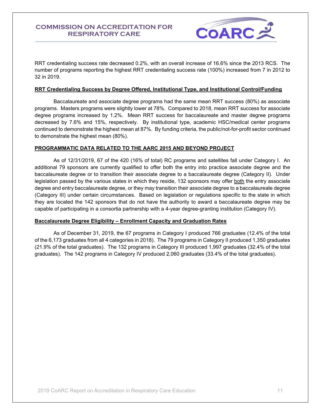

RRT credentialing success rate decreased 0.2%, with an overall increase of 16.6% since the 2013 RCS. The number of programs reporting the highest RRT credentialing success rate (100%) increased from 7 in 2012 to 32 in 2019.

#### **RRT Credentialing Success by Degree Offered, Institutional Type, and Institutional Control/Funding**

Baccalaureate and associate degree programs had the same mean RRT success (80%) as associate programs. Masters programs were slightly lower at 78%. Compared to 2018, mean RRT success for associate degree programs increased by 1.2%. Mean RRT success for baccalaureate and master degree programs decreased by 7.6% and 15%, respectively. By institutional type, academic HSC/medical center programs continued to demonstrate the highest mean at 87%. By funding criteria, the public/not-for-profit sector continued to demonstrate the highest mean (80%).

#### **PROGRAMMATIC DATA RELATED TO THE AARC 2015 AND BEYOND PROJECT**

As of 12/31/2019, 67 of the 420 (16% of total) RC programs and satellites fall under Category I. An additional 79 sponsors are currently qualified to offer both the entry into practice associate degree and the baccalaureate degree or to transition their associate degree to a baccalaureate degree (Category II). Under legislation passed by the various states in which they reside, 132 sponsors may offer both the entry associate degree and entry baccalaureate degree, or they may transition their associate degree to a baccalaureate degree (Category III) under certain circumstances. Based on legislation or regulations specific to the state in which they are located the 142 sponsors that do not have the authority to award a baccalaureate degree may be capable of participating in a consortia partnership with a 4-year degree-granting institution (Category IV).

#### **Baccalaureate Degree Eligibility – Enrollment Capacity and Graduation Rates**

As of December 31, 2019, the 67 programs in Category I produced 766 graduates (12.4% of the total of the 6,173 graduates from all 4 categories in 2018). The 79 programs in Category II produced 1,350 graduates (21.9% of the total graduates). The 132 programs in Category III produced 1,997 graduates (32.4% of the total graduates). The 142 programs in Category IV produced 2,060 graduates (33.4% of the total graduates).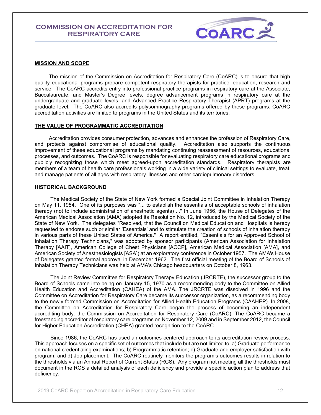

#### <span id="page-11-0"></span>**MISSION AND SCOPE**

The mission of the Commission on Accreditation for Respiratory Care (CoARC) is to ensure that high quality educational programs prepare competent respiratory therapists for practice, education, research and service. The CoARC accredits entry into professional practice programs in respiratory care at the Associate, Baccalaureate, and Master's Degree levels, degree advancement programs in respiratory care at the undergraduate and graduate levels, and Advanced Practice Respiratory Therapist (APRT) programs at the graduate level. The CoARC also accredits polysomnography programs offered by these programs. CoARC accreditation activities are limited to programs in the United States and its territories.

#### <span id="page-11-1"></span>**THE VALUE OF PROGRAMMATIC ACCREDITATION**

Accreditation provides consumer protection, advances and enhances the profession of Respiratory Care, and protects against compromise of educational quality. Accreditation also supports the continuous improvement of these educational programs by mandating continuing reassessment of resources, educational processes, and outcomes. The CoARC is responsible for evaluating respiratory care educational programs and publicly recognizing those which meet agreed-upon accreditation standards. Respiratory therapists are members of a team of health care professionals working in a wide variety of clinical settings to evaluate, treat, and manage patients of all ages with respiratory illnesses and other cardiopulmonary disorders.

#### <span id="page-11-2"></span>**HISTORICAL BACKGROUND**

The Medical Society of the State of New York formed a Special Joint Committee in Inhalation Therapy on May 11, 1954. One of its purposes was "... to establish the essentials of acceptable schools of inhalation therapy (not to include administration of anesthetic agents) ..." In June 1956, the House of Delegates of the American Medical Association (AMA) adopted its Resolution No. 12, introduced by the Medical Society of the State of New York. The delegates "Resolved, that the Council on Medical Education and Hospitals is hereby requested to endorse such or similar 'Essentials' and to stimulate the creation of schools of inhalation therapy in various parts of these United States of America." A report entitled, "Essentials for an Approved School of Inhalation Therapy Technicians," was adopted by sponsor participants (American Association for Inhalation Therapy [AAIT], American College of Chest Physicians [ACCP], American Medical Association [AMA], and American Society of Anesthesiologists [ASA]) at an exploratory conference in October 1957. The AMA's House of Delegates granted formal approval in December 1962. The first official meeting of the Board of Schools of Inhalation Therapy Technicians was held at AMA's Chicago headquarters on October 8, 1963.

The Joint Review Committee for Respiratory Therapy Education (JRCRTE), the successor group to the Board of Schools came into being on January 15, 1970 as a recommending body to the Committee on Allied Health Education and Accreditation (CAHEA) of the AMA. The JRCRTE was dissolved in 1996 and the Committee on Accreditation for Respiratory Care became its successor organization, as a recommending body to the newly formed Commission on Accreditation for Allied Health Education Programs (CAAHEP). In 2008, the Committee on Accreditation for Respiratory Care began the process of becoming an independent accrediting body: the Commission on Accreditation for Respiratory Care (CoARC). The CoARC became a freestanding accreditor of respiratory care programs on November 12, 2009 and in September 2012, the Council for Higher Education Accreditation (CHEA) granted recognition to the CoARC.

Since 1986, the CoARC has used an outcomes-centered approach to its accreditation review process. This approach focuses on a specific set of outcomes that include but are not limited to: a) Graduate performance on national credentialing examinations; b) Programmatic retention; c) Graduate and employer satisfaction with program; and d) Job placement. The CoARC routinely monitors the program's outcomes results in relation to the thresholds via an Annual Report of Current Status (RCS). Any program not meeting all the thresholds must document in the RCS a detailed analysis of each deficiency and provide a specific action plan to address that deficiency.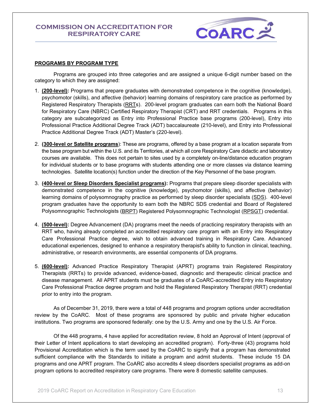

#### <span id="page-12-0"></span>**PROGRAMS BY PROGRAM TYPE**

Programs are grouped into three categories and are assigned a unique 6-digit number based on the category to which they are assigned:

- 1. **(200-level):** Programs that prepare graduates with demonstrated competence in the cognitive (knowledge), psychomotor (skills), and affective (behavior) learning domains of respiratory care practice as performed by Registered Respiratory Therapists [\(RRTs](https://www.nbrc.org/Examinations/RRT/tabid/60/Default.aspx)). 200-level program graduates can earn both the National Board for Respiratory Care (NBRC) Certified Respiratory Therapist (CRT) and RRT credentials. Programs in this category are subcategorized as Entry into Professional Practice base programs (200-level), Entry into Professional Practice Additional Degree Track (ADT) baccalaureate (210-level), and Entry into Professional Practice Additional Degree Track (ADT) Master's (220-level).
- 2. **(300-level or Satellite programs**): These are programs, offered by a base program at a location separate from the base program but within the U.S. and its Territories, at which all core Respiratory Care didactic and laboratory courses are available. This does not pertain to sites used by a completely on-line/distance education program for individual students or to base programs with students attending one or more classes via distance learning technologies. Satellite location(s) function under the direction of the Key Personnel of the base program.
- 3. **(400-level or Sleep Disorders Specialist programs):** Programs that prepare sleep disorder specialists with demonstrated competence in the cognitive (knowledge), psychomotor (skills), and affective (behavior) learning domains of polysomnography practice as performed by sleep disorder specialists [\(SDS\)](https://www.nbrc.org/Examinations/SDS/tabid/92/Default.aspx). 400-level program graduates have the opportunity to earn both the NBRC SDS credential and Board of Registered Polysomnographic Technologists [\(BRPT\)](http://www.brpt.org/) Registered Polysomnographic Technologist [\(RPSGT\)](http://www.brpt.org/default.asp?contentID=34) credential.
- 4. **(500-level):** Degree Advancement (DA) programs meet the needs of practicing respiratory therapists with an RRT who, having already completed an accredited respiratory care program with an Entry into Respiratory Care Professional Practice degree, wish to obtain advanced training in Respiratory Care. Advanced educational experiences, designed to enhance a respiratory therapist's ability to function in clinical, teaching, administrative, or research environments, are essential components of DA programs.
- 5. **(600-level):** Advanced Practice Respiratory Therapist (APRT) programs train Registered Respiratory Therapists (RRTs) to provide advanced, evidence-based, diagnostic and therapeutic clinical practice and disease management. All APRT students must be graduates of a CoARC-accredited Entry into Respiratory Care Professional Practice degree program and hold the Registered Respiratory Therapist (RRT) credential prior to entry into the program.

As of December 31, 2019, there were a total of 448 programs and program options under accreditation review by the CoARC. Most of these programs are sponsored by public and private higher education institutions. Two programs are sponsored federally: one by the U.S. Army and one by the U.S. Air Force.

Of the 448 programs, 4 have applied for accreditation review, 8 hold an Approval of Intent (approval of their Letter of Intent applications to start developing an accredited program). Forty-three (43) programs hold Provisional Accreditation which is the term used by the CoARC to signify that a program has demonstrated sufficient compliance with the Standards to initiate a program and admit students. These include 15 DA programs and one APRT program. The CoARC also accredits 4 sleep disorders specialist programs as add-on program options to accredited respiratory care programs. There were 8 domestic satellite campuses.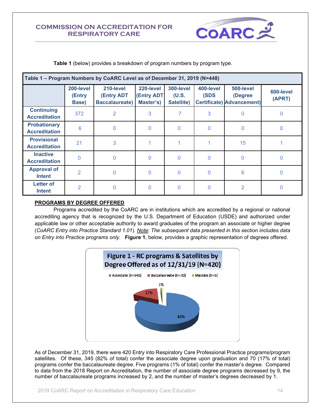

**Table 1** (below) provides a breakdown of program numbers by program type.

| Table 1 - Program Numbers by CoARC Level as of December 31, 2019 (N=448) |                              |                                                         |                                              |                                  |                   |                                                          |                     |  |
|--------------------------------------------------------------------------|------------------------------|---------------------------------------------------------|----------------------------------------------|----------------------------------|-------------------|----------------------------------------------------------|---------------------|--|
|                                                                          | 200-level<br>(Entry<br>Base) | 210-level<br><b>(Entry ADT</b><br><b>Baccalaureate)</b> | 220-level<br><b>(Entry ADT)</b><br>Master's) | 300-level<br>(U.S.<br>Satellite) | 400-level<br>(SDS | 500-level<br>(Degree<br><b>Certificate) Advancement)</b> | 600-level<br>(APRT) |  |
| <b>Continuing</b><br><b>Accreditation</b>                                | 372                          | 2                                                       | 3                                            | 7                                | 3                 | $\Omega$                                                 | 0                   |  |
| <b>Probationary</b><br><b>Accreditation</b>                              | $6\phantom{1}6$              | $\overline{0}$                                          | 0                                            | $\mathbf{0}$                     | $\overline{0}$    | $\Omega$                                                 | 0                   |  |
| <b>Provisional</b><br><b>Accreditation</b>                               | 21                           | 3                                                       |                                              |                                  |                   | 15                                                       |                     |  |
| <b>Inactive</b><br><b>Accreditation</b>                                  | $\Omega$                     | $\overline{0}$                                          | $\mathbf 0$                                  | $\mathbf{0}$                     | $\overline{0}$    | $\Omega$                                                 | 0                   |  |
| <b>Approval of</b><br><b>Intent</b>                                      | $\overline{2}$               | $\Omega$                                                | 0                                            | $\mathbf{0}$                     | $\Omega$          | 6                                                        | 0                   |  |
| <b>Letter of</b><br><b>Intent</b>                                        | $\overline{2}$               | $\mathbf{0}$                                            | 0                                            | $\mathbf 0$                      | 0                 | 2                                                        | O                   |  |

#### <span id="page-13-0"></span>**PROGRAMS BY DEGREE OFFERED**

Programs accredited by the CoARC are in institutions which are accredited by a regional or national accrediting agency that is recognized by the U.S. Department of Education (USDE) and authorized under applicable law or other acceptable authority to award graduates of the program an associate or higher degree (*CoARC Entry into Practice Standard 1.01*). *Note: The subsequent data presented in this section includes data on Entry into Practice programs only.* **Figure 1**, below, provides a graphic representation of degrees offered.



As of December 31, 2019, there were 420 Entry into Respiratory Care Professional Practice programs/program satellites. Of these, 345 (82% of total) confer the associate degree upon graduation and 70 (17% of total) programs confer the baccalaureate degree. Five programs (1% of total) confer the master's degree. Compared to data from the 2018 Report on Accreditation, the number of associate degree programs decreased by 9, the number of baccalaureate programs increased by 2, and the number of master's degrees decreased by 1.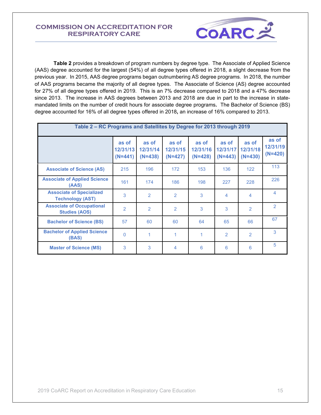

**Table 2** provides a breakdown of program numbers by degree type. The Associate of Applied Science (AAS) degree accounted for the largest (54%) of all degree types offered in 2018, a slight decrease from the previous year. In 2015, AAS degree programs began outnumbering AS degree programs. In 2018, the number of AAS programs became the majority of all degree types. The Associate of Science (AS) degree accounted for 27% of all degree types offered in 2019. This is an 7% decrease compared to 2018 and a 47% decrease since 2013. The increase in AAS degrees between 2013 and 2018 are due in part to the increase in statemandated limits on the number of credit hours for associate degree programs*.* The Bachelor of Science (BS) degree accounted for 16% of all degree types offered in 2018**,** an increase of 16% compared to 2013.

| Table 2 – RC Programs and Satellites by Degree for 2013 through 2019 |                                |                                |                                |                                |                                |                                |                                |  |
|----------------------------------------------------------------------|--------------------------------|--------------------------------|--------------------------------|--------------------------------|--------------------------------|--------------------------------|--------------------------------|--|
|                                                                      | as of<br>12/31/13<br>$(N=441)$ | as of<br>12/31/14<br>$(N=438)$ | as of<br>12/31/15<br>$(N=427)$ | as of<br>12/31/16<br>$(N=428)$ | as of<br>12/31/17<br>$(N=443)$ | as of<br>12/31/18<br>$(N=430)$ | as of<br>12/31/19<br>$(N=420)$ |  |
| <b>Associate of Science (AS)</b>                                     | 215                            | 196                            | 172                            | 153                            | 136                            | 122                            | 113                            |  |
| <b>Associate of Applied Science</b><br>(AAS)                         | 161                            | 174                            | 186                            | 198                            | 227                            | 228                            | 226                            |  |
| <b>Associate of Specialized</b><br><b>Technology (AST)</b>           | 3                              | 2                              | 2                              | 3                              | $\overline{4}$                 | 4                              | 4                              |  |
| <b>Associate of Occupational</b><br><b>Studies (AOS)</b>             | $\overline{2}$                 | 2                              | $\overline{2}$                 | 3                              | 3                              | $\overline{2}$                 | 2                              |  |
| <b>Bachelor of Science (BS)</b>                                      | 57                             | 60                             | 60                             | 64                             | 65                             | 66                             | 67                             |  |
| <b>Bachelor of Applied Science</b><br>(BAS)                          | 0                              | 1                              | 1                              | 1                              | 2                              | 2                              | 3                              |  |
| <b>Master of Science (MS)</b>                                        | 3                              | 3                              | 4                              | 6                              | 6                              | 6                              | 5                              |  |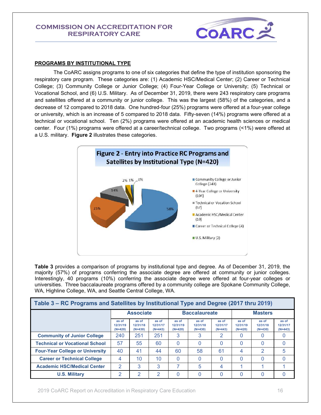

#### <span id="page-15-0"></span>**PROGRAMS BY INSTITUTIONAL TYPE**

The CoARC assigns programs to one of six categories that define the type of institution sponsoring the respiratory care program. These categories are: (1) Academic HSC/Medical Center; (2) Career or Technical College; (3) Community College or Junior College; (4) Four-Year College or University; (5) Technical or Vocational School, and (6) U.S. Military. As of December 31, 2019, there were 243 respiratory care programs and satellites offered at a community or junior college. This was the largest (58%) of the categories, and a decrease of 12 compared to 2018 data. One hundred-four (25%) programs were offered at a four-year college or university, which is an increase of 5 compared to 2018 data. Fifty-seven (14%) programs were offered at a technical or vocational school. Ten (2%) programs were offered at an academic health sciences or medical center. Four (1%) programs were offered at a career/technical college. Two programs (<1%) were offered at a U.S. military. **Figure 2** illustrates these categories.



**Table 3** provides a comparison of programs by institutional type and degree. As of December 31, 2019, the majority (57%) of programs conferring the associate degree are offered at community or junior colleges. Interestingly, 40 programs (10%) conferring the associate degree were offered at four-year colleges or universities. Three baccalaureate programs offered by a community college are Spokane Community College, WA, Highline College, WA, and Seattle Central College, WA.

| Table 3 – RC Programs and Satellites by Institutional Type and Degree (2017 thru 2019) |                                |                                |                                |                                |                                |                                |                                |                                |                                |
|----------------------------------------------------------------------------------------|--------------------------------|--------------------------------|--------------------------------|--------------------------------|--------------------------------|--------------------------------|--------------------------------|--------------------------------|--------------------------------|
|                                                                                        | <b>Associate</b>               |                                |                                | <b>Baccalaureate</b>           |                                |                                | <b>Masters</b>                 |                                |                                |
|                                                                                        | as of<br>12/31/19<br>$(N=420)$ | as of<br>12/31/18<br>$(N=430)$ | as of<br>12/31/17<br>$(N=443)$ | as of<br>12/31/19<br>$(N=420)$ | as of<br>12/31/18<br>$(N=430)$ | as of<br>12/31/17<br>$(N=443)$ | as of<br>12/31/19<br>$(N=420)$ | as of<br>12/31/18<br>$(N=430)$ | as of<br>12/31/17<br>$(N=443)$ |
| <b>Community of Junior College</b>                                                     | 240                            | 251                            | 251                            | 3                              | 3                              | 2                              | 0                              | $\Omega$                       | 0                              |
| <b>Technical or Vocational School</b>                                                  | 57                             | 55                             | 60                             | $\Omega$                       |                                | 0                              | 0                              | $\Omega$                       | 0                              |
| <b>Four-Year College or University</b>                                                 | 40                             | 41                             | 44                             | 60                             | 58                             | 61                             | 4                              | 2                              | 5                              |
| <b>Career or Technical College</b>                                                     | 4                              | 10                             | 10                             | <sup>0</sup>                   | 0                              | 0                              | 0                              | $\Omega$                       | 0                              |
| <b>Academic HSC/Medical Center</b>                                                     | 2                              | 3                              | 3                              |                                | 5                              | 4                              |                                |                                |                                |
| <b>U.S. Military</b>                                                                   | っ                              | ာ                              | 2                              |                                |                                | 0                              | 0                              | 0                              | 0                              |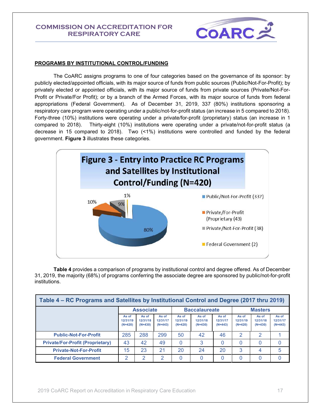

#### <span id="page-16-0"></span>**PROGRAMS BY INSTITUTIONAL CONTROL/FUNDING**

The CoARC assigns programs to one of four categories based on the governance of its sponsor: by publicly elected/appointed officials, with its major source of funds from public sources (Public/Not-For-Profit); by privately elected or appointed officials, with its major source of funds from private sources (Private/Not-For-Profit or Private/For Profit); or by a branch of the Armed Forces, with its major source of funds from federal appropriations (Federal Government). As of December 31, 2019, 337 (80%) institutions sponsoring a respiratory care program were operating under a public/not-for-profit status (an increase in 5 compared to 2018). Forty-three (10%) institutions were operating under a private/for-profit (proprietary) status (an increase in 1 compared to 2018). Thirty-eight (10%) institutions were operating under a private/not-for-profit status (a decrease in 15 compared to 2018). Two (<1%) institutions were controlled and funded by the federal government. **Figure 3** illustrates these categories.



**Table 4** provides a comparison of programs by institutional control and degree offered. As of December 31, 2019, the majority (68%) of programs conferring the associate degree are sponsored by public/not-for-profit institutions.

| Table 4 – RC Programs and Satellites by Institutional Control and Degree (2017 thru 2019) |                                |                                |                                |                                |                                |                                |                                |                                |                                |
|-------------------------------------------------------------------------------------------|--------------------------------|--------------------------------|--------------------------------|--------------------------------|--------------------------------|--------------------------------|--------------------------------|--------------------------------|--------------------------------|
|                                                                                           | <b>Associate</b>               |                                | <b>Baccalaureate</b>           |                                |                                | <b>Masters</b>                 |                                |                                |                                |
|                                                                                           | As of<br>12/31/19<br>$(N=420)$ | As of<br>12/31/18<br>$(N=430)$ | As of<br>12/31/17<br>$(N=443)$ | As of<br>12/31/19<br>$(N=420)$ | As of<br>12/31/18<br>$(N=430)$ | As of<br>12/31/17<br>$(N=443)$ | As of<br>12/31/19<br>$(N=420)$ | As of<br>12/31/18<br>$(N=430)$ | As of<br>12/31/17<br>$(N=443)$ |
| <b>Public-Not-For-Profit</b>                                                              | 285                            | 288                            | 299                            | 50                             | 42                             | 46                             | 2                              | 2                              |                                |
| <b>Private/For-Profit (Proprietary)</b>                                                   | 43                             | 42                             | 49                             | $\Omega$                       | 3                              | 0                              | 0                              | 0                              |                                |
| <b>Private-Not-For-Profit</b>                                                             | 15                             | 23                             | 21                             | 20                             | 24                             | 20                             | 3                              | 4                              | 5                              |
| <b>Federal Government</b>                                                                 | ာ                              | $\mathcal{P}$                  | 2                              |                                |                                |                                |                                | 0                              |                                |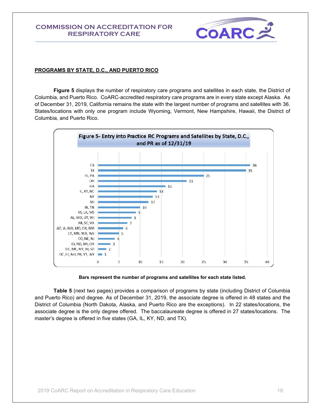

#### <span id="page-17-0"></span>**PROGRAMS BY STATE, D.C., AND PUERTO RICO**

**Figure 5** displays the number of respiratory care programs and satellites in each state, the District of Columbia, and Puerto Rico. CoARC-accredited respiratory care programs are in every state except Alaska. As of December 31, 2019, California remains the state with the largest number of programs and satellites with 36. States/locations with only one program include Wyoming, Vermont, New Hampshire, Hawaii, the District of Columbia, and Puerto Rico.



#### **Bars represent the number of programs and satellites for each state listed.**

**Table 5** (next two pages) provides a comparison of programs by state (including District of Columbia and Puerto Rico) and degree. As of December 31, 2019, the associate degree is offered in 48 states and the District of Columbia (North Dakota, Alaska, and Puerto Rico are the exceptions). In 22 states/locations, the associate degree is the only degree offered. The baccalaureate degree is offered in 27 states/locations. The master's degree is offered in five states (GA, IL, KY, ND, and TX).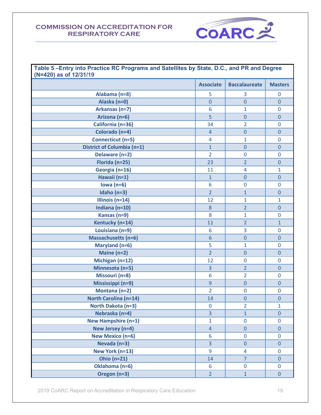

| Table 5-Entry into Practice RC Programs and Satellites by State, D.C., and PR and Degree<br>(N=420) as of 12/31/19 |                  |                      |                |  |  |
|--------------------------------------------------------------------------------------------------------------------|------------------|----------------------|----------------|--|--|
|                                                                                                                    | <b>Associate</b> | <b>Baccalaureate</b> | <b>Masters</b> |  |  |
| Alabama (n=8)                                                                                                      | 5                | 3                    | 0              |  |  |
| Alaska (n=0)                                                                                                       | $\overline{0}$   | $\overline{0}$       | $\overline{0}$ |  |  |
| Arkansas (n=7)                                                                                                     | 6                | $\mathbf{1}$         | $\mathbf 0$    |  |  |
| Arizona (n=6)                                                                                                      | 5                | $\overline{0}$       | 0              |  |  |
| California (n=36)                                                                                                  | 34               | $\overline{2}$       | 0              |  |  |
| Colorado (n=4)                                                                                                     | $\overline{4}$   | $\overline{0}$       | 0              |  |  |
| Connecticut (n=5)                                                                                                  | $\overline{4}$   | $\mathbf{1}$         | $\mathbf 0$    |  |  |
| <b>District of Columbia (n=1)</b>                                                                                  | $\mathbf{1}$     | $\overline{0}$       | $\mathbf 0$    |  |  |
| Delaware (n=2)                                                                                                     | $\overline{2}$   | $\overline{0}$       | $\mathbf 0$    |  |  |
| Florida (n=25)                                                                                                     | 23               | $\overline{2}$       | 0              |  |  |
| Georgia (n=16)                                                                                                     | 11               | $\overline{4}$       | 1              |  |  |
| Hawaii (n=1)                                                                                                       | $\mathbf{1}$     | $\overline{0}$       | $\mathbf 0$    |  |  |
| Iowa $(n=6)$                                                                                                       | 6                | $\mathbf 0$          | $\mathbf 0$    |  |  |
| Idaho $(n=3)$                                                                                                      | $\overline{2}$   | $\mathbf{1}$         | 0              |  |  |
| Illinois $(n=14)$                                                                                                  | 12               | $\mathbf{1}$         | $\mathbf{1}$   |  |  |
| Indiana ( $n=10$ )                                                                                                 | 8                | $\overline{2}$       | 0              |  |  |
| Kansas (n=9)                                                                                                       | 8                | $\mathbf{1}$         | $\mathbf 0$    |  |  |
| Kentucky (n=14)                                                                                                    | 11               | $\overline{2}$       | $\mathbf{1}$   |  |  |
| Louisiana (n=9)                                                                                                    | 6                | 3                    | $\mathbf 0$    |  |  |
| <b>Massachusetts (n=6)</b>                                                                                         | $6\phantom{1}6$  | $\overline{0}$       | 0              |  |  |
| Maryland (n=6)                                                                                                     | 5                | $\mathbf{1}$         | $\mathbf 0$    |  |  |
| Maine (n=2)                                                                                                        | $\overline{2}$   | $\overline{0}$       | $\mathbf 0$    |  |  |
| Michigan (n=12)                                                                                                    | 12               | $\mathbf 0$          | $\mathbf 0$    |  |  |
| Minnesota (n=5)                                                                                                    | $\overline{3}$   | $\overline{2}$       | 0              |  |  |
| Missouri (n=8)                                                                                                     | 6                | $\overline{2}$       | $\mathbf 0$    |  |  |
| Mississippi (n=9)                                                                                                  | $\overline{9}$   | $\overline{0}$       | 0              |  |  |
| Montana (n=2)                                                                                                      | $\overline{2}$   | $\mathbf 0$          | 0              |  |  |
| <b>North Carolina (n=14)</b>                                                                                       | 14               | $\pmb{0}$            | $\pmb{0}$      |  |  |
| North Dakota (n=3)                                                                                                 | $\mathbf 0$      | $\overline{2}$       | $\mathbf{1}$   |  |  |
| Nebraska (n=4)                                                                                                     | $\overline{3}$   | $\mathbf{1}$         | 0              |  |  |
| <b>New Hampshire (n=1)</b>                                                                                         | $\mathbf{1}$     | $\overline{0}$       | $\overline{0}$ |  |  |
| New Jersey (n=4)                                                                                                   | $\overline{4}$   | $\mathbf 0$          | $\mathbf 0$    |  |  |
| <b>New Mexico (n=6)</b>                                                                                            | 6                | $\pmb{0}$            | $\mathbf 0$    |  |  |
| Nevada (n=3)                                                                                                       | $\overline{3}$   | $\pmb{0}$            | $\mathbf 0$    |  |  |
| New York (n=13)                                                                                                    | 9                | 4                    | $\mathbf 0$    |  |  |
| <b>Ohio (n=21)</b>                                                                                                 | 14               | $\overline{7}$       | $\overline{0}$ |  |  |
| Oklahoma (n=6)                                                                                                     | 6                | $\mathbf 0$          | 0              |  |  |
| Oregon (n=3)                                                                                                       | $\overline{2}$   | $\mathbf{1}$         | $\mathbf 0$    |  |  |

2019 CoARC Report on Accreditation in Respiratory Care Education 19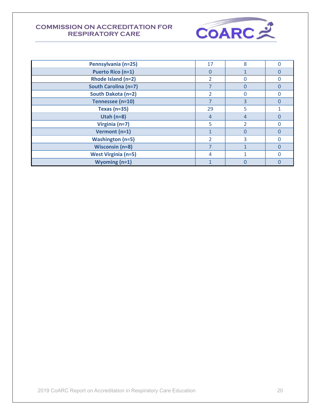

| Pennsylvania (n=25)         | 17                       | $\mathsf{R}$ | Ω        |
|-----------------------------|--------------------------|--------------|----------|
| <b>Puerto Rico (n=1)</b>    | $\Omega$                 |              | O        |
| Rhode Island (n=2)          |                          |              |          |
| <b>South Carolina (n=7)</b> |                          |              | O        |
| South Dakota (n=2)          | $\overline{2}$           |              |          |
| Tennessee (n=10)            | ⇁                        | 3            |          |
| Texas ( $n=35$ )            | 29                       | 5            |          |
| Utah $(n=8)$                | 4                        | 4            |          |
| Virginia (n=7)              | 5                        | 2            | O        |
| Vermont (n=1)               |                          |              | $\Omega$ |
| <b>Washington (n=5)</b>     | $\overline{\phantom{a}}$ | 3            |          |
| <b>Wisconsin (n=8)</b>      |                          |              | $\Omega$ |
| <b>West Virginia (n=5)</b>  | 4                        |              | Ω        |
| Wyoming $(n=1)$             |                          |              |          |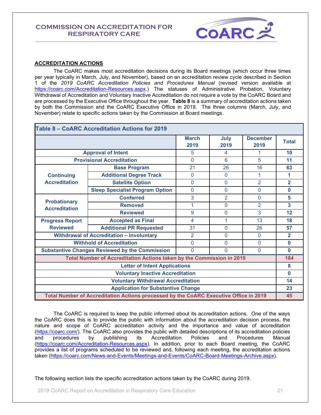

#### <span id="page-20-0"></span>**ACCREDITATION ACTIONS**

The CoARC makes most accreditation decisions during its Board meetings (which occur three times per year typically in March, July, and November), based on an accreditation review cycle described in Section 1 of the *2019 CoARC Accreditation Policies and Procedures Manual* (revised version available at [https://coarc.com/Accreditation-Resources.aspx.](https://coarc.com/Accreditation-Resources.aspx)) The statuses of Administrative Probation, Voluntary Withdrawal of Accreditation and Voluntary Inactive Accreditation do not require a vote by the CoARC Board and are processed by the Executive Office throughout the year. **Table 8** is a summary of accreditation actions taken by both the Commission and the CoARC Executive Office in 2019. The three columns (March, July, and November) relate to specific actions taken by the Commission at Board meetings.

| Table 8 – CoARC Accreditation Actions for 2019 |                                                                                       |                      |                |                         |                |  |
|------------------------------------------------|---------------------------------------------------------------------------------------|----------------------|----------------|-------------------------|----------------|--|
|                                                |                                                                                       | <b>March</b><br>2019 | July<br>2019   | <b>December</b><br>2019 | <b>Total</b>   |  |
|                                                | <b>Approval of Intent</b>                                                             | 5                    | 4              | 1                       | 10             |  |
|                                                | <b>Provisional Accreditation</b>                                                      | $\Omega$             | 6              | 5                       | 11             |  |
|                                                | <b>Base Program</b>                                                                   | 21                   | 26             | 16                      | 63             |  |
| <b>Continuing</b>                              | <b>Additional Degree Track</b>                                                        | $\overline{0}$       | $\Omega$       | 1                       | 1              |  |
| <b>Accreditation</b>                           | <b>Satellite Option</b>                                                               | $\Omega$             | $\Omega$       | $\overline{2}$          | $\overline{2}$ |  |
|                                                | <b>Sleep Specialist Program Option</b>                                                | $\overline{0}$       | 0              | $\overline{0}$          | $\bf{0}$       |  |
|                                                | <b>Conferred</b>                                                                      | 3                    | $\overline{2}$ | $\mathbf 0$             | 5              |  |
| <b>Probationary</b><br><b>Accreditation</b>    | <b>Removed</b>                                                                        | 1                    | $\Omega$       | $\overline{2}$          | 3              |  |
|                                                | <b>Reviewed</b>                                                                       | 9                    | 0              | 3                       | 12             |  |
| <b>Progress Report</b>                         | <b>Accepted as Final</b>                                                              | 4                    | 1              | 13                      | 18             |  |
| <b>Reviewed</b>                                | <b>Additional PR Requested</b>                                                        | 31                   | $\overline{0}$ | 26                      | 57             |  |
|                                                | <b>Withdrawal of Accreditation - Involuntary</b>                                      | $\overline{2}$       | 0              | $\Omega$                | $\mathbf{2}$   |  |
|                                                | <b>Withhold of Accreditation</b>                                                      | $\Omega$             | $\Omega$       | $\Omega$                | $\bf{0}$       |  |
|                                                | <b>Substantive Changes Reviewed by the Commission</b>                                 | $\Omega$             | 0              | $\Omega$                | $\bf{0}$       |  |
|                                                | Total Number of Accreditation Actions taken by the Commission in 2019                 |                      |                |                         | 184            |  |
| <b>Letter of Intent Applications</b>           |                                                                                       |                      |                |                         |                |  |
| <b>Voluntary Inactive Accreditation</b>        |                                                                                       |                      |                |                         |                |  |
| <b>Voluntary Withdrawal Accreditation</b>      |                                                                                       |                      |                |                         |                |  |
| <b>Application for Substantive Change</b>      |                                                                                       |                      |                |                         |                |  |
|                                                | Total Number of Accreditation Actions processed by the CoARC Executive Office in 2019 |                      |                |                         | 45             |  |

 The CoARC is required to keep the public informed about its accreditation actions. One of the ways the CoARC does this is to provide the public with information about the accreditation decision process, the nature and scope of CoARC accreditation activity and the importance and value of accreditation [\(https://coarc.com/\)](https://coarc.com/). The CoARC also provides the public with detailed descriptions of its accreditation policies and procedures by publishing its Accreditation Policies and Procedures Manual [\(https://coarc.com/Accreditation-Resources.aspx\)](https://coarc.com/Accreditation-Resources.aspx). In addition, prior to each Board meeting, the CoARC provides a list of programs scheduled to be reviewed and, following each meeting, the accreditation actions taken [\(https://coarc.com/News-and-Events/Meetings-and-Events/CoARC-Board-Meetings-Archive.aspx\)](https://coarc.com/News-and-Events/Meetings-and-Events/CoARC-Board-Meetings-Archive.aspx).

The following section lists the specific accreditation actions taken by the CoARC during 2019.

2019 CoARC Report on Accreditation in Respiratory Care Education 21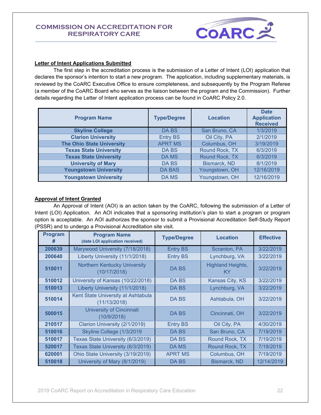

#### <span id="page-21-0"></span>**Letter of Intent Applications Submitted**

The first step in the accreditation process is the submission of a Letter of Intent (LOI) application that declares the sponsor's intention to start a new program. The application, including supplementary materials, is reviewed by the CoARC Executive Office to ensure completeness, and subsequently by the Program Referee (a member of the CoARC Board who serves as the liaison between the program and the Commission). Further details regarding the Letter of Intent application process can be found in CoARC Policy 2.0.

| <b>Program Name</b>              | <b>Type/Degree</b> | Location       | <b>Date</b><br><b>Application</b><br><b>Received</b> |
|----------------------------------|--------------------|----------------|------------------------------------------------------|
| <b>Skyline College</b>           | DA BS              | San Bruno, CA  | 1/3/2019                                             |
| <b>Clarion University</b>        | <b>Entry BS</b>    | Oil City, PA   | 2/1/2019                                             |
| <b>The Ohio State University</b> | <b>APRT MS</b>     | Columbus, OH   | 3/19/2019                                            |
| <b>Texas State University</b>    | DA BS              | Round Rock, TX | 6/3/2019                                             |
| <b>Texas State University</b>    | DA MS              | Round Rock, TX | 6/3/2019                                             |
| <b>University of Mary</b>        | <b>DABS</b>        | Bismarck, ND   | 8/1/2019                                             |
| <b>Youngstown University</b>     | <b>DA BAS</b>      | Youngstown, OH | 12/16/2019                                           |
| <b>Youngstown University</b>     | DA MS              | Youngstown, OH | 12/16/2019                                           |

#### <span id="page-21-1"></span>**Approval of Intent Granted**

An Approval of Intent (AOI) is an action taken by the CoARC, following the submission of a Letter of Intent (LOI) Application. An AOI indicates that a sponsoring institution's plan to start a program or program option is acceptable. An AOI authorizes the sponsor to submit a Provisional Accreditation Self-Study Report (PSSR) and to undergo a Provisional Accreditation site visit.

| Program<br># | <b>Program Name</b><br>(date LOI application received) | <b>Type/Degree</b> | <b>Location</b>                | <b>Effective</b> |
|--------------|--------------------------------------------------------|--------------------|--------------------------------|------------------|
| 200639       | Marywood University (7/18/2018)                        | <b>Entry BS</b>    | Scranton, PA                   | 3/22/2019        |
| 200640       | Liberty University (11/1/2018)                         | <b>Entry BS</b>    | Lynchburg, VA                  | 3/22/2019        |
| 510011       | <b>Northern Kentucky University</b><br>(10/17/2018)    | DA BS              | <b>Highland Heights,</b><br>ΚY | 3/22/2019        |
| 510012       | University of Kansas (10/22/2018)                      | DA BS              | Kansas City, KS                | 3/22/2019        |
| 510013       | Liberty University (11/1/2018)                         | DA BS              | Lynchburg, VA                  | 3/22/2019        |
| 510014       | Kent State University at Ashtabula<br>(11/13/2018)     | DA BS              | Ashtabula, OH                  | 3/22/2019        |
| 500015       | <b>University of Cincinnati</b><br>(10/9/2018)         | DA BS              | Cincinnati, OH                 | 3/22/2019        |
| 210517       | Clarion University (2/1/2019)                          | <b>Entry BS</b>    | Oil City, PA                   | 4/30/2019        |
| 510016       | Skyline College (1/3/2019                              | DA BS              | San Bruno, CA                  | 7/19/2019        |
| 510017       | Texas State University (6/3/2019)                      | DA BS              | Round Rock, TX                 | 7/19/2019        |
| 520017       | Texas State University (6/3/2019)                      | DA MS              | Round Rock, TX                 | 7/19/2019        |
| 620001       | Ohio State University (3/19/2019)                      | <b>APRT MS</b>     | Columbus, OH                   | 7/19/2019        |
| 510018       | University of Mary (8/1/2019)                          | DA BS              | <b>Bismarck, ND</b>            | 12/14/2019       |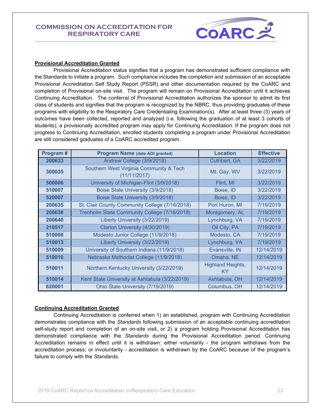

#### <span id="page-22-0"></span>**Provisional Accreditation Granted**

Provisional Accreditation status signifies that a program has demonstrated sufficient compliance with the Standards to initiate a program. Such compliance includes the completion and submission of an acceptable Provisional Accreditation Self Study Report (PSSR) and other documentation required by the CoARC and completion of Provisional on-site visit. The program will remain on Provisional Accreditation until it achieves Continuing Accreditation. The conferral of Provisional Accreditation authorizes the sponsor to admit its first class of students and signifies that the program is recognized by the NBRC, thus providing graduates of these programs with eligibility to the Respiratory Care Credentialing Examination(s). After at least three (3) years of outcomes have been collected, reported and analyzed (i.e. following the graduation of at least 3 cohorts of students), a provisionally accredited program may apply for Continuing Accreditation. If the program does not progress to Continuing Accreditation, enrolled students completing a program under Provisional Accreditation are still considered graduates of a CoARC accredited program.

| Program# | <b>Program Name (date AOI granted)</b>                  | <b>Location</b>                | <b>Effective</b> |
|----------|---------------------------------------------------------|--------------------------------|------------------|
| 200633   | Andrew College (3/9/2018)                               | Cuthbert, GA                   | 3/22/2019        |
| 300035   | Southern West Virginia Community & Tech<br>(11/11/2017) | Mt. Gay, WV                    | 3/22/2019        |
| 500006   | University of Michigan-Flint (3/9/2018)                 | Flint, MI                      | 3/22/2019        |
| 510007   | Boise State University (3/9/2018)                       | Boise, ID                      | 3/22/2019        |
| 520007   | Boise State University (3/9/2018)                       | Boise, ID                      | 3/22/2019        |
| 200635   | St. Clair County Community College (7/16/2018)          | Port Huron, MI                 | 7/19/2019        |
| 200638   | Trenholm State Community College (7/16/2018)            | Montgomery, AL                 | 7/19/2019        |
| 200640   | Liberty University (3/22/2019)                          | Lynchburg, VA                  | 7/19/2019        |
| 210517   | Clarion University (4/30/2019)                          | Oil City, PA                   | 7/19/2019        |
| 510008   | Modesto Junior College (11/9/2018)                      | Modesto, CA                    | 7/19/2019        |
| 510013   | Liberty University (3/22/2019)                          | Lynchburg, VA                  | 7/19/2019        |
| 510009   | University of Southern Indiana (11/9/2018)              | Evansville, IN                 | 12/14/2019       |
| 510010   | Nebraska Methodist College (11/9/2018)                  | Omaha, NE                      | 12/14/2019       |
| 510011   | Northern Kentucky University (3/22/2019)                | <b>Highland Heights,</b><br>KY | 12/14/2019       |
| 510014   | Kent State University at Ashtabula (3/22/2019)          | Ashtabula, OH                  | 12/14/2019       |
| 620001   | Ohio State University (7/19/2019)                       | Columbus, OH                   | 12/14/2019       |

#### <span id="page-22-1"></span>**Continuing Accreditation Granted**

Continuing Accreditation is conferred when 1) an established, program with Continuing Accreditation demonstrates compliance with the *Standards* following submission of an acceptable continuing accreditation self-study report and completion of an on-site visit, or 2) a program holding Provisional Accreditation has demonstrated compliance with the *Standards* during the Provisional Accreditation period. Continuing Accreditation remains in effect until it is withdrawn: either voluntarily - the program withdraws from the accreditation process; or involuntarily - accreditation is withdrawn by the CoARC because of the program's failure to comply with the *Standards*.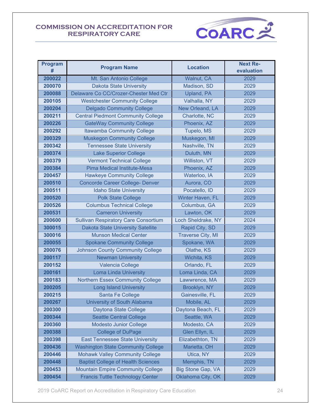

| <b>Program</b><br># | <b>Program Name</b>                         | <b>Location</b>          | <b>Next Re-</b><br>evaluation |
|---------------------|---------------------------------------------|--------------------------|-------------------------------|
| 200022              | Mt. San Antonio College                     | Walnut, CA               | 2029                          |
| 200070              | <b>Dakota State University</b>              | Madison, SD              | 2029                          |
| 200088              | Delaware Co CC/Crozer-Chester Med Ctr       | Upland, PA               | 2029                          |
| 200105              | <b>Westchester Community College</b>        | Valhalla, NY             | 2029                          |
| 200204              | <b>Delgado Community College</b>            | New Orleand, LA          | 2029                          |
| 200211              | <b>Central Piedmont Community College</b>   | Charlotte, NC            | 2029                          |
| 200226              | <b>GateWay Community College</b>            | Phoenix, AZ              | 2029                          |
| 200292              | <b>Itawamba Community College</b>           | Tupelo, MS               | 2029                          |
| 200329              | <b>Muskegon Community College</b>           | Muskegon, MI             | 2029                          |
| 200342              | <b>Tennessee State University</b>           | Nashville, TN            | 2029                          |
| 200374              | <b>Lake Superior College</b>                | Duluth, MN               | 2029                          |
| 200379              | <b>Vermont Technical College</b>            | Williston, VT            | 2029                          |
| 200384              | Pima Medical Institute-Mesa                 | Phoenix, AZ              | 2029                          |
| 200457              | <b>Hawkeye Community College</b>            | Waterloo, IA             | 2029                          |
| 200510              | <b>Concorde Career College- Denver</b>      | Aurora, CO               | 2029                          |
| 200511              | <b>Idaho State University</b>               | Pocatello, ID            | 2029                          |
| 200520              | <b>Polk State College</b>                   | Winter Haven, FL         | 2029                          |
| 200526              | <b>Columbus Technical College</b>           | Columbus, GA             | 2029                          |
| 200531              | <b>Cameron University</b>                   | Lawton, OK               | 2029                          |
| 200600              | <b>Sullivan Respiratory Care Consortium</b> | Loch Sheldrake, NY       | 2024                          |
| 300015              | <b>Dakota State University Satellite</b>    | Rapid City, SD           | 2029                          |
| 300016              | <b>Munson Medical Center</b>                | <b>Traverse City, MI</b> | 2029                          |
| 200055              | <b>Spokane Community College</b>            | Spokane, WA              | 2029                          |
| 200076              | <b>Johnson County Community College</b>     | Olathe, KS               | 2029                          |
| 200117              | <b>Newman University</b>                    | Wichita, KS              | 2029                          |
| 200152              | Valencia College                            | Orlando, FL              | 2029                          |
| 200161              | <b>Loma Linda University</b>                | Loma Linda, CA           | 2029                          |
| 200183              | <b>Northern Essex Community College</b>     | Lawwrence, MA            | 2029                          |
| 200205              | <b>Long Island University</b>               | Brooklyn, NY             | 2029                          |
| 200215              | Santa Fe College                            | Gainesville, FL          | 2029                          |
| 200267              | University of South Alabama                 | Mobile, AL               | 2029                          |
| 200300              | Daytona State College                       | Daytona Beach, FL        | 2029                          |
| 200344              | <b>Seattle Central College</b>              | Seattle, WA              | 2029                          |
| 200360              | <b>Modesto Junior College</b>               | Modesto, CA              | 2029                          |
| 200388              | <b>College of DuPage</b>                    | Glen Ellyn, IL           | 2029                          |
| 200398              | <b>East Tennessee State University</b>      | Elizabethton, TN         | 2029                          |
| 200436              | <b>Washington State Community College</b>   | Marietta, OH             | 2029                          |
| 200446              | <b>Mohawk Valley Community College</b>      | Utica, NY                | 2029                          |
| 200448              | <b>Baptist College of Health Sciences</b>   | Memphis, TN              | 2029                          |
| 200453              | <b>Mountain Empire Community College</b>    | <b>Big Stone Gap, VA</b> | 2029                          |
| 200454              | <b>Francis Tuttle Technology Center</b>     | Oklahoma City, OK        | 2029                          |

2019 CoARC Report on Accreditation in Respiratory Care Education 24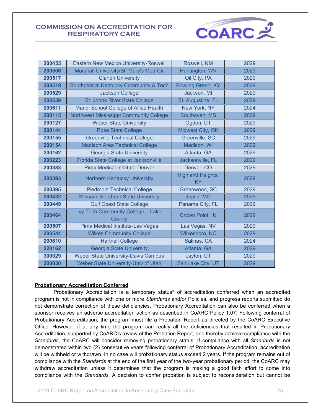

| 200455 | <b>Eastern New Mexico University-Roswell</b> | Roswell, NM                           | 2029 |
|--------|----------------------------------------------|---------------------------------------|------|
| 200506 | Marshall University/St. Mary's Med Ctr       | Huntington, WV                        | 2029 |
| 200517 | <b>Clarion University</b>                    | Oil City, PA                          | 2029 |
| 200519 | Southcentral Kentucky Community & Tech       | <b>Bowling Green, KY</b>              | 2029 |
| 200529 | <b>Jackson College</b>                       | Jackson, MI                           | 2029 |
| 200539 | <b>St. Johns River State College</b>         | St. Augustine, FL                     | 2029 |
| 200611 | Mandl School College of Allied Health        | New York, NY                          | 2024 |
| 200115 | Northwest Mississippi Community College      | Southaven, MS                         | 2029 |
| 200127 | <b>Weber State University</b>                | Ogden, UT                             | 2029 |
| 200144 | <b>Rose State College</b>                    | Midwest City, OK                      | 2029 |
| 200155 | <b>Greenville Technical College</b>          | Greenville, SC                        | 2029 |
| 200154 | <b>Madison Area Technical College</b>        | Madison, WI                           | 2029 |
| 200162 | <b>Georgia State University</b>              | Atlanta, GA                           | 2029 |
| 200223 | Florida State College at Jacksonville        | Jacksonville, FL                      | 2029 |
| 200383 | <b>Pima Medical Institute-Denver</b>         | Denver, CO                            | 2029 |
| 200393 | <b>Northern Kentucky University</b>          | <b>Highland Heights,</b><br><b>KY</b> | 2029 |
| 200395 | <b>Piedmont Technical College</b>            | Greenwood, SC                         | 2029 |
| 200432 | <b>Missouri Southern State University</b>    | Joplin, MO                            | 2029 |
| 200449 | <b>Gulf Coast State College</b>              | Panama City, FL                       | 2029 |
| 200464 | Ivy Tech Community College - Lake<br>County  | <b>Crown Point, IN</b>                | 2029 |
| 200507 | Pima Medical Institute-Las Vegas             | Las Vegas, NV                         | 2029 |
| 200544 | <b>Wilkes Community College</b>              | Wilkesboro, NC                        | 2029 |
| 200610 | <b>Hartnell College</b>                      | Salinas, CA                           | 2024 |
| 220162 | <b>Georgia State University</b>              | Atlanta, GA                           | 2029 |
| 300029 | <b>Weber State University-Davis Campus</b>   | Layton, UT                            | 2029 |
| 300030 | Weber State University-Univ of Utah          | Salt Lake City, UT                    | 2029 |

#### <span id="page-24-0"></span>**Probationary Accreditation Conferred**

Probationary Accreditation is a temporary status\* of accreditation conferred when an accredited program is not in compliance with one or more *Standards* and/or Policies, and progress reports submitted do not demonstrate correction of these deficiencies. Probationary Accreditation can also be conferred when a sponsor receives an adverse accreditation action as described in CoARC Policy 1.07. Following conferral of Probationary Accreditation, the program must file a Probation Report as directed by the CoARC Executive Office. However, if at any time the program can rectify all the deficiencies that resulted in Probationary Accreditation, supported by CoARC's review of the Probation Report, and thereby achieve compliance with the *Standards*, the CoARC will consider removing probationary status. If compliance with all *Standards* is not demonstrated within two (2) consecutive years following conferral of Probationary Accreditation, accreditation will be withheld or withdrawn. In no case will probationary status exceed 2 years. If the program remains out of compliance with the *Standards* at the end of the first year of the two-year probationary period, the CoARC may withdraw accreditation unless it determines that the program is making a good faith effort to come into compliance with the *Standards.* A decision to confer probation is subject to reconsideration but cannot be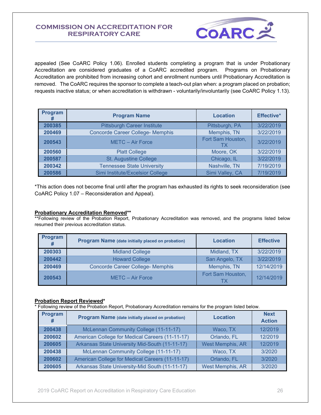

appealed (See CoARC Policy 1.06). Enrolled students completing a program that is under Probationary Accreditation are considered graduates of a CoARC accredited program. Programs on Probationary Accreditation are prohibited from increasing cohort and enrollment numbers until Probationary Accreditation is removed. The CoARC requires the sponsor to complete a teach-out plan when: a program placed on probation; requests inactive status; or when accreditation is withdrawn - voluntarily/involuntarily (see CoARC Policy 1.13).

| Program<br># | <b>Program Name</b>                     | <b>Location</b>         | Effective* |
|--------------|-----------------------------------------|-------------------------|------------|
| 200385       | <b>Pittsburgh Career Institute</b>      | Pittsburgh, PA          | 3/22/2019  |
| 200469       | <b>Concorde Career College- Memphis</b> | Memphis, TN             | 3/22/2019  |
| 200543       | <b>METC - Air Force</b>                 | Fort Sam Houston,<br>ТX | 3/22/2019  |
| 200560       | <b>Platt College</b>                    | Moore, OK               | 3/22/2019  |
| 200587       | St. Augustine College                   | Chicago, IL             | 3/22/2019  |
| 200342       | <b>Tennessee State University</b>       | Nashville, TN           | 7/19/2019  |
| 200586       | Simi Institute/Excelsior College        | Simi Valley, CA         | 7/19/2019  |

\*This action does not become final until after the program has exhausted its rights to seek reconsideration (see CoARC Policy 1.07 – Reconsideration and Appeal).

#### <span id="page-25-0"></span>**Probationary Accreditation Removed\*\***

\*\*Following review of the Probation Report, Probationary Accreditation was removed, and the programs listed below resumed their previous accreditation status.

| Program<br># | <b>Program Name (date initially placed on probation)</b> | <b>Location</b>         | <b>Effective</b> |
|--------------|----------------------------------------------------------|-------------------------|------------------|
| 200303       | <b>Midland College</b>                                   | Midland, TX             | 3/22/2019        |
| 200442       | <b>Howard College</b>                                    | San Angelo, TX          | 3/22/2019        |
| 200469       | <b>Concorde Career College- Memphis</b>                  | Memphis, TN             | 12/14/2019       |
| 200543       | <b>METC - Air Force</b>                                  | Fort Sam Houston,<br>TХ | 12/14/2019       |

#### <span id="page-25-1"></span>**Probation Report Reviewed\***

\* Following review of the Probation Report, Probationary Accreditation remains for the program listed below.

| Program<br># | Program Name (date initially placed on probation) | <b>Location</b>         | <b>Next</b><br><b>Action</b> |
|--------------|---------------------------------------------------|-------------------------|------------------------------|
| 200438       | McLennan Community College (11-11-17)             | Waco, TX                | 12/2019                      |
| 200602       | American College for Medical Careers (11-11-17)   | Orlando, FL             | 12/2019                      |
| 200605       | Arkansas State University Mid-South (11-11-17)    | <b>West Memphis, AR</b> | 12/2019                      |
| 200438       | McLennan Community College (11-11-17)             | Waco, TX                | 3/2020                       |
| 200602       | American College for Medical Careers (11-11-17)   | Orlando, FL             | 3/2020                       |
| 200605       | Arkansas State University-Mid South (11-11-17)    | West Memphis, AR        | 3/2020                       |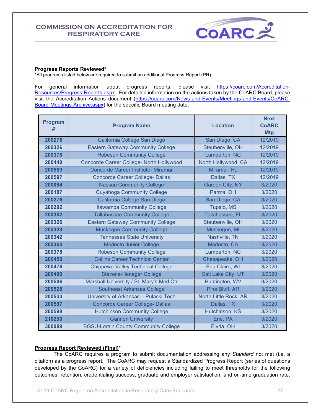

#### <span id="page-26-0"></span>**Progress Reports Reviewed\***

\*All programs listed below are required to submit an additional Progress Report (PR).

For general information about progress reports, please visit [https://coarc.com/Accreditation-](https://coarc.com/Accreditation-Resources/Progress-Reports.aspx)[Resources/Progress-Reports.aspx](https://coarc.com/Accreditation-Resources/Progress-Reports.aspx) . For detailed information on the actions taken by the CoARC Board, please visit the Accreditation Actions document [\(https://coarc.com/News-and-Events/Meetings-and-Events/CoARC-](https://coarc.com/News-and-Events/Meetings-and-Events/CoARC-Board-Meetings-Archive.aspx)[Board-Meetings-Archive.aspx\)](https://coarc.com/News-and-Events/Meetings-and-Events/CoARC-Board-Meetings-Archive.aspx) for the specific Board meeting date.

| <b>Program</b><br># | <b>Program Name</b>                         | <b>Location</b>       | <b>Next</b><br><b>CoARC</b><br><b>Mtg</b> |
|---------------------|---------------------------------------------|-----------------------|-------------------------------------------|
| 200276              | California College San Diego                | San Diego, CA         | 12/2019                                   |
| 200326              | <b>Eastern Gateway Community College</b>    | Steubenville, OH      | 12/2019                                   |
| 200378              | <b>Robeson Community College</b>            | Lumberton, NC         | 12/2019                                   |
| 200440              | Concorde Career College- North Hollywood    | North Hollywood, CA   | 12/2019                                   |
| 200559              | <b>Concorde Career Institute- Miramar</b>   | Miramar, FL           | 12/2019                                   |
| 200597              | <b>Concorde Career College- Dallas</b>      | Dallas, TX            | 12/2019                                   |
| 200084              | <b>Nassau Community College</b>             | Garden City, NY       | 3/2020                                    |
| 200107              | <b>Cuyahoga Community College</b>           | Parma, OH             | 3/2020                                    |
| 200276              | California College San Diego                | San Diego, CA         | 3/2020                                    |
| 200292              | <b>Itawamba Community College</b>           | Tupelo, MS            | 3/2020                                    |
| 200302              | <b>Tallahassee Community College</b>        | Tallahassee, FL       | 3/2020                                    |
| 200326              | <b>Eastern Gateway Community College</b>    | Steubenville, OH      | 3/2020                                    |
| 200329              | <b>Muskegon Community College</b>           | Muskegon, MI          | 3/2020                                    |
| 200342              | <b>Tennessee State University</b>           | Nashville, TN         | 3/2020                                    |
| 200360              | <b>Modesto Junior College</b>               | Modesto, CA           | 3/2020                                    |
| 200378              | <b>Robeson Community College</b>            | Lumberton, NC         | 3/2020                                    |
| 200450              | <b>Collins Career Technical Center</b>      | Chesapeake, OH        | 3/2020                                    |
| 200476              | <b>Chippewa Valley Technical College</b>    | Eau Claire, WI        | 3/2020                                    |
| 200490              | <b>Stevens-Henager College</b>              | Salt Lake City, UT    | 3/2020                                    |
| 200506              | Marshall University / St. Mary's Med Ctr    | Huntington, WV        | 3/2020                                    |
| 200528              | <b>Southeast Arkansas College</b>           | Pine Bluff, AR        | 3/2020                                    |
| 200533              | University of Arkansas - Pulaski Tech       | North Little Rock, AR | 3/2020                                    |
| 200597              | <b>Concorde Career College- Dallas</b>      | Dallas, TX            | 3/2020                                    |
| 200598              | <b>Hutchinson Community College</b>         | Hutchinson, KS        | 3/2020                                    |
| 210290              | <b>Gannon University</b>                    | Erie, PA              | 3/2020                                    |
| 300009              | <b>BGSU-Lorain County Community College</b> | Elyria, OH            | 3/2020                                    |

#### <span id="page-26-1"></span>**Progress Report Reviewed (Final)\***

The CoARC requires a program to submit documentation addressing any *Standard* not met (i.e. a citation) as a progress report. The CoARC may request a Standardized Progress Report (series of questions developed by the CoARC) for a variety of deficiencies including failing to meet thresholds for the following outcomes: retention, credentialing success, graduate and employer satisfaction, and on-time graduation rate.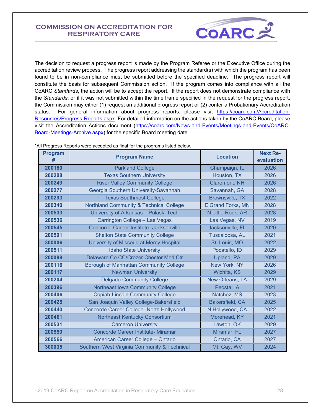

The decision to request a progress report is made by the Program Referee or the Executive Office during the accreditation review process. The progress report addressing the standard(s) with which the program has been found to be in non-compliance must be submitted before the specified deadline. The progress report will constitute the basis for subsequent Commission action. If the program comes into compliance with all the CoARC *Standards*, the action will be to accept the report. If the report does not demonstrate compliance with the *Standards*, or if it was not submitted within the time frame specified in the request for the progress report, the Commission may either (1) request an additional progress report or (2) confer a Probationary Accreditation status. For general information about progress reports, please visit [https://coarc.com/Accreditation-](https://coarc.com/Accreditation-Resources/Progress-Reports.aspx)[Resources/Progress-Reports.aspx.](https://coarc.com/Accreditation-Resources/Progress-Reports.aspx) For detailed information on the actions taken by the CoARC Board, please visit the Accreditation Actions document [\(https://coarc.com/News-and-Events/Meetings-and-Events/CoARC-](https://coarc.com/News-and-Events/Meetings-and-Events/CoARC-Board-Meetings-Archive.aspx)[Board-Meetings-Archive.aspx\)](https://coarc.com/News-and-Events/Meetings-and-Events/CoARC-Board-Meetings-Archive.aspx) for the specific Board meeting date.

| <b>Program</b><br># | <b>Program Name</b>                                | <b>Location</b>          | <b>Next Re-</b><br>evaluation |
|---------------------|----------------------------------------------------|--------------------------|-------------------------------|
| 200180              | <b>Parkland College</b>                            | Champaign, IL            | 2026                          |
| 200208              | <b>Texas Southern University</b>                   | Houston, TX              | 2026                          |
| 200249              | <b>River Valley Community College</b>              | Claremont, NH            | 2026                          |
| 200277              | Georgia Southern University-Savannah               | Savannah, GA             | 2028                          |
| 200293              | <b>Texas Southmost College</b>                     | <b>Brownsville, TX</b>   | 2022                          |
| 200340              | <b>Northland Community &amp; Technical College</b> | <b>E Grand Forks, MN</b> | 2028                          |
| 200533              | University of Arkansas - Pulaski Tech              | N Little Rock, AR        | 2028                          |
| 200536              | Carrington College - Las Vegas                     | Las Vegas, NV            | 2019                          |
| 200545              | Concorde Career Institute- Jacksonville            | Jacksonville, FL         | 2020                          |
| 200591              | <b>Shelton State Community College</b>             | Tuscaloosa, AL           | 2021                          |
| 300006              | University of Missouri at Mercy Hospital           | St. Louis, MO            | 2022                          |
| 200511              | <b>Idaho State University</b>                      | Pocatello, ID            | 2029                          |
| 200088              | Delaware Co CC/Crozer Chester Med Ctr              | Upland, PA               | 2029                          |
| 200116              | Borough of Manhattan Community College             | New York, NY             | 2026                          |
| 200117              | <b>Newman University</b>                           | Wichita, KS              | 2029                          |
| 200204              | <b>Delgado Community College</b>                   | New Orleans, LA          | 2029                          |
| 200396              | Northeast Iowa Community College                   | Peosta, IA               | 2021                          |
| 200406              | <b>Copiah-Lincoln Community College</b>            | Natchez, MS              | 2023                          |
| 200425              | San Joaquin Valley College-Bakersfield             | Bakersfield, CA          | 2025                          |
| 200440              | Concorde Career College- North Hollywood           | N Hollywood, CA          | 2022                          |
| 200461              | <b>Northeast Kentucky Consortium</b>               | Morehead, KY             | 2021                          |
| 200531              | <b>Cameron University</b>                          | Lawton, OK               | 2029                          |
| 200559              | Concorde Career Institute- Miramar                 | Miramar, FL              | 2027                          |
| 200566              | American Career College - Ontario                  | Ontario, CA              | 2027                          |
| 300035              | Southern West Virginia Community & Technical       | Mt. Gay, WV              | 2024                          |

\*All Progress Reports were accepted as final for the programs listed below.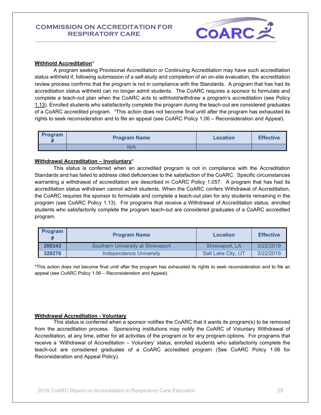

#### <span id="page-28-0"></span>**Withhold Accreditation**\*

A program seeking Provisional Accreditation or Continuing Accreditation may have such accreditation status withheld if, following submission of a self-study and completion of an on-site evaluation, the accreditation review process confirms that the program is not in compliance with the Standards. A program that has had its accreditation status withheld can no longer admit students. The CoARC requires a sponsor to formulate and complete a teach-out plan when the CoARC acts to withhold/withdraw a program's accreditation (see Policy 1.13). Enrolled students who satisfactorily complete the program during the teach-out are considered graduates of a CoARC accredited program. \*This action does not become final until after the program has exhausted its rights to seek reconsideration and to file an appeal (see CoARC Policy 1.06 – Reconsideration and Appeal).

| Program<br>π | <b>Program Name</b> | Location | <b>Effective</b> |
|--------------|---------------------|----------|------------------|
|              | N/A                 |          |                  |

#### <span id="page-28-1"></span>**Withdrawal Accreditation – Involuntary**\*

This status is conferred when an accredited program is not in compliance with the Accreditation Standards and has failed to address cited deficiencies to the satisfaction of the CoARC. Specific circumstances warranting a withdrawal of accreditation are described in CoARC Policy 1.057. A program that has had its accreditation status withdrawn cannot admit students. When the CoARC confers Withdrawal of Accreditation, the CoARC requires the sponsor to formulate and complete a teach-out plan for any students remaining in the program (see CoARC Policy 1.13). For programs that receive a Withdrawal of Accreditation status, enrolled students who satisfactorily complete the program teach-out are considered graduates of a CoARC accredited program.

| <b>Program</b> | <b>Program Name</b>               | Location           | <b>Effective</b> |
|----------------|-----------------------------------|--------------------|------------------|
| 200343         | Southern University at Shreveport | Shreveport, LA     | 3/22/2019        |
| 320276         | Independence University           | Salt Lake City, UT | 3/22/2019        |

\*This action does not become final until after the program has exhausted its rights to seek reconsideration and to file an appeal (see CoARC Policy 1.06 – Reconsideration and Appeal).

#### <span id="page-28-2"></span>**Withdrawal Accreditation - Voluntary**

This status is conferred when a sponsor notifies the CoARC that it wants its program(s) to be removed from the accreditation process. Sponsoring institutions may notify the CoARC of Voluntary Withdrawal of Accreditation, at any time, either for all activities of the program or for any program options. For programs that receive a 'Withdrawal of Accreditation – Voluntary' status, enrolled students who satisfactorily complete the teach-out are considered graduates of a CoARC accredited program (See CoARC Policy 1.06 for Reconsideration and Appeal Policy).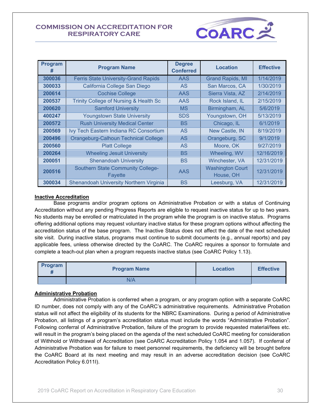

| Program<br># | <b>Program Name</b>                                        | <b>Degree</b><br><b>Conferred</b> | <b>Location</b>                      | <b>Effective</b> |
|--------------|------------------------------------------------------------|-----------------------------------|--------------------------------------|------------------|
| 300036       | <b>Ferris State University-Grand Rapids</b>                | <b>AAS</b>                        | <b>Grand Rapids, MI</b>              | 1/14/2019        |
| 300033       | California College San Diego                               | AS.                               | San Marcos, CA                       | 1/30/2019        |
| 200614       | <b>Cochise College</b>                                     | AAS                               | Sierra Vista, AZ                     | 2/14/2019        |
| 200537       | Trinity College of Nursing & Health Sc                     | <b>AAS</b>                        | Rock Island, IL                      | 2/15/2019        |
| 200620       | <b>Samford University</b>                                  | <b>MS</b>                         | Birmingham, AL                       | 5/6/2019         |
| 400247       | <b>Youngstown State University</b>                         | <b>SDS</b>                        | Youngstown, OH                       | 5/13/2019        |
| 200572       | <b>Rush University Medical Center</b>                      | <b>BS</b>                         | Chicago, IL                          | 6/1/2019         |
| 200569       | Ivy Tech Eastern Indiana RC Consortium                     | <b>AS</b>                         | New Castle, IN                       | 8/19/2019        |
| 200496       | <b>Orangeburg-Calhoun Technical College</b>                | <b>AS</b>                         | Orangeburg, SC                       | 9/1/2019         |
| 200560       | <b>Platt College</b>                                       | <b>AS</b>                         | Moore, OK                            | 9/27/2019        |
| 200264       | <b>Wheeling Jesuit University</b>                          | <b>BS</b>                         | Wheeling, WV                         | 12/16/2019       |
| 200051       | <b>Shenandoah University</b>                               | BS                                | Winchester, VA                       | 12/31/2019       |
| 200516       | <b>Southern State Community College-</b><br><b>Fayette</b> | AAS                               | <b>Washington Court</b><br>House, OH | 12/31/2019       |
| 300034       | Shenandoah University Northern Virginia                    | BS                                | Leesburg, VA                         | 12/31/2019       |

#### <span id="page-29-0"></span>**Inactive Accreditation**

Base programs and/or program options on Administrative Probation or with a status of Continuing Accreditation without any pending Progress Reports are eligible to request inactive status for up to two years. No students may be enrolled or matriculated in the program while the program is on inactive status. Programs offering additional options may request voluntary inactive status for these program options without affecting the accreditation status of the base program. The Inactive Status does not affect the date of the next scheduled site visit. During inactive status, programs must continue to submit documents (e.g., annual reports) and pay applicable fees, unless otherwise directed by the CoARC. The CoARC requires a sponsor to formulate and complete a teach-out plan when a program requests inactive status (see CoARC Policy 1.13).

| Program | <b>Program Name</b> | <b>Location</b> | <b>Effective</b> |
|---------|---------------------|-----------------|------------------|
|         | N/A                 |                 |                  |

#### <span id="page-29-1"></span>**Administrative Probation**

Administrative Probation is conferred when a program, or any program option with a separate CoARC ID number, does not comply with any of the CoARC's administrative requirements. Administrative Probation status will not affect the eligibility of its students for the NBRC Examinations. During a period of Administrative Probation, all listings of a program's accreditation status must include the words "Administrative Probation". Following conferral of Administrative Probation, failure of the program to provide requested material/fees etc. will result in the program's being placed on the agenda of the next scheduled CoARC meeting for consideration of Withhold or Withdrawal of Accreditation (see CoARC Accreditation Policy 1.054 and 1.057). If conferral of Administrative Probation was for failure to meet personnel requirements, the deficiency will be brought before the CoARC Board at its next meeting and may result in an adverse accreditation decision (see CoARC Accreditation Policy 6.011I).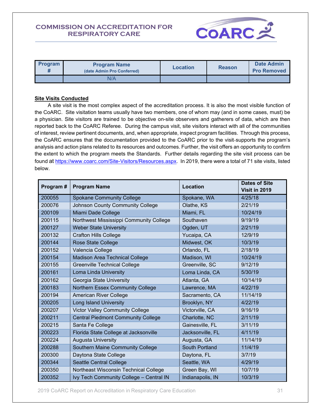

| <b>Program</b> | <b>Program Name</b><br>(date Admin Pro Conferred) | <b>Location</b> | <b>Reason</b> | Date Admin<br><b>Pro Removed</b> |
|----------------|---------------------------------------------------|-----------------|---------------|----------------------------------|
|                | N/A                                               |                 |               |                                  |

#### <span id="page-30-0"></span>**Site Visits Conducted**

 A site visit is the most complex aspect of the accreditation process. It is also the most visible function of the CoARC. Site visitation teams usually have two members, one of whom may (and in some cases, must) be a physician. Site visitors are trained to be objective on-site observers and gatherers of data, which are then reported back to the CoARC Referee. During the campus visit, site visitors interact with all of the communities of interest, review pertinent documents, and, when appropriate, inspect program facilities. Through this process, the CoARC ensures that the documentation provided to the CoARC prior to the visit-supports the program's analysis and action plans related to its resources and outcomes. Further, the visit offers an opportunity to confirm the extent to which the program meets the Standards. Further details regarding the site visit process can be found at [https://www.coarc.com/Site-Visitors/Resources.aspx.](https://www.coarc.com/Site-Visitors/Resources.aspx) In 2019, there were a total of 71 site visits, listed below.

| Program# | <b>Program Name</b>                       | <b>Location</b>       | <b>Dates of Site</b><br>Visit in 2019 |  |
|----------|-------------------------------------------|-----------------------|---------------------------------------|--|
| 200055   | <b>Spokane Community College</b>          | Spokane, WA           | 4/25/18                               |  |
| 200076   | Johnson County Community College          | Olathe, KS            | 2/21/19                               |  |
| 200109   | Miami Dade College                        | Miami, FL             | 10/24/19                              |  |
| 200115   | Northwest Mississippi Community College   | Southaven             | 9/19/19                               |  |
| 200127   | <b>Weber State University</b>             | Ogden, UT             | 2/21/19                               |  |
| 200132   | <b>Crafton Hills College</b>              | Yucaipa, CA           | 12/9/19                               |  |
| 200144   | <b>Rose State College</b>                 | Midwest, OK           | 10/3/19                               |  |
| 200152   | Valencia College                          | Orlando, FL           | 2/18/19                               |  |
| 200154   | <b>Madison Area Technical College</b>     | Madison, WI           | 10/24/19                              |  |
| 200155   | <b>Greenville Technical College</b>       | Greenville, SC        | 9/12/19                               |  |
| 200161   | Loma Linda University                     | Loma Linda, CA        | 5/30/19                               |  |
| 200162   | Georgia State University                  | Atlanta, GA           | 10/14/19                              |  |
| 200183   | <b>Northern Essex Community College</b>   | Lawrence, MA          | 4/22/19                               |  |
| 200194   | <b>American River College</b>             | Sacramento, CA        | 11/14/19                              |  |
| 200205   | <b>Long Island University</b>             | Brooklyn, NY          | 4/22/19                               |  |
| 200207   | <b>Victor Valley Community College</b>    | Victorville, CA       | 9/16/19                               |  |
| 200211   | <b>Central Piedmont Community College</b> | Charlotte, NC         | 2/11/19                               |  |
| 200215   | Santa Fe College                          | Gainesville, FL       | 3/11/19                               |  |
| 200223   | Florida State College at Jacksonville     | Jacksonville, FL      | 4/11/19                               |  |
| 200224   | <b>Augusta University</b>                 | Augusta, GA           | 11/14/19                              |  |
| 200288   | Southern Maine Community College          | <b>South Portland</b> | 11/4/19                               |  |
| 200300   | Daytona State College                     | Daytona, FL           | 3/7/19                                |  |
| 200344   | <b>Seattle Central College</b>            | Seattle, WA           | 4/29/19                               |  |
| 200350   | Northeast Wisconsin Technical College     | Green Bay, WI         | 10/7/19                               |  |
| 200352   | Ivy Tech Community College - Central IN   | Indianapolis, IN      | 10/3/19                               |  |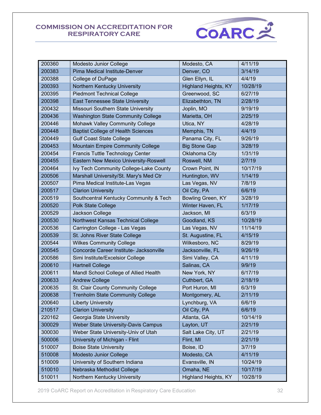

| 200360 | Modesto Junior College                    | Modesto, CA                 | 4/11/19  |
|--------|-------------------------------------------|-----------------------------|----------|
| 200383 | <b>Pima Medical Institute-Denver</b>      | Denver, CO                  | 3/14/19  |
| 200388 | College of DuPage                         | Glen Ellyn, IL              | 4/4/19   |
| 200393 | Northern Kentucky University              | <b>Highland Heights, KY</b> | 10/28/19 |
| 200395 | <b>Piedmont Technical College</b>         | Greenwood, SC               | 6/27/19  |
| 200398 | East Tennessee State University           | Elizabethton, TN            | 2/28/19  |
| 200432 | Missouri Southern State University        | Joplin, MO                  | 9/19/19  |
| 200436 | <b>Washington State Community College</b> | Marietta, OH                | 2/25/19  |
| 200446 | Mohawk Valley Community College           | Utica, NY                   | 4/28/19  |
| 200448 | <b>Baptist College of Health Sciences</b> | Memphis, TN                 | 4/4/19   |
| 200449 | <b>Gulf Coast State College</b>           | Panama City, FL             | 9/26/19  |
| 200453 | <b>Mountain Empire Community College</b>  | <b>Big Stone Gap</b>        | 3/28/19  |
| 200454 | Francis Tuttle Technology Center          | Oklahoma City               | 1/31/19  |
| 200455 | Eastern New Mexico University-Roswell     | Roswell, NM                 | 2/7/19   |
| 200464 | Ivy Tech Community College-Lake County    | Crown Point, IN             | 10/17/19 |
| 200506 | Marshall University/St. Mary's Med Ctr    | Huntington, WV              | 1/14/19  |
| 200507 | Pima Medical Institute-Las Vegas          | Las Vegas, NV               | 7/8/19   |
| 200517 | <b>Clarion University</b>                 | Oil City, PA                | 6/6/19   |
| 200519 | Southcentral Kentucky Community & Tech    | Bowling Green, KY           | 3/28/19  |
| 200520 | Polk State College                        | Winter Haven, FL            | 1/17/19  |
| 200529 | Jackson College                           | Jackson, MI                 | 6/3/19   |
| 200530 | Northwest Kansas Technical College        | Goodland, KS                | 10/28/19 |
| 200536 | Carrington College - Las Vegas            | Las Vegas, NV               | 11/14/19 |
| 200539 | St. Johns River State College             | St. Augustine, FL           | 4/15/19  |
| 200544 | <b>Wilkes Community College</b>           | Wilkesboro, NC              | 8/29/19  |
| 200545 | Concorde Career Institute- Jacksonville   | Jacksonville, FL            | 9/26/19  |
| 200586 | Simi Institute/Excelsior College          | Simi Valley, CA             | 4/11/19  |
| 200610 | <b>Hartnell College</b>                   | Salinas, CA                 | 9/9/19   |
| 200611 | Mandl School College of Allied Health     | New York, NY                | 6/17/19  |
| 200633 | <b>Andrew College</b>                     | Cuthbert, GA                | 2/18/19  |
| 200635 | St. Clair County Community College        | Port Huron, MI              | 6/3/19   |
| 200638 | <b>Trenholm State Community College</b>   | Montgomery, AL              | 2/11/19  |
| 200640 | <b>Liberty University</b>                 | Lynchburg, VA               | 6/6/19   |
| 210517 | <b>Clarion University</b>                 | Oil City, PA                | 6/6/19   |
| 220162 | Georgia State University                  | Atlanta, GA                 | 10/14/19 |
| 300029 | Weber State University-Davis Campus       | Layton, UT                  | 2/21/19  |
| 300030 | Weber State University-Univ of Utah       | Salt Lake City, UT          | 2/21/19  |
| 500006 | University of Michigan - Flint            | Flint, MI                   | 2/21/19  |
| 510007 | <b>Boise State University</b>             | Boise, ID                   | 3/7/19   |
| 510008 | Modesto Junior College                    | Modesto, CA                 | 4/11/19  |
| 510009 | University of Southern Indiana            | Evansville, IN              | 10/24/19 |
| 510010 | Nebraska Methodist College                | Omaha, NE                   | 10/17/19 |
| 510011 | Northern Kentucky University              | <b>Highland Heights, KY</b> | 10/28/19 |

2019 CoARC Report on Accreditation in Respiratory Care Education 32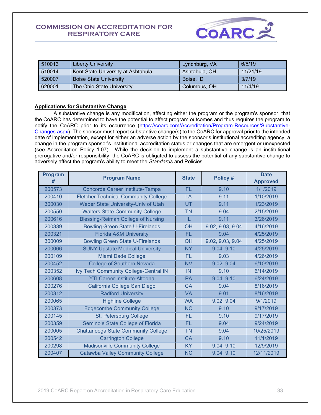

| 510013 | <b>Liberty University</b>          | Lynchburg, VA | 6/6/19   |
|--------|------------------------------------|---------------|----------|
| 510014 | Kent State University at Ashtabula | Ashtabula, OH | 11/21/19 |
| 520007 | <b>Boise State University</b>      | Boise, ID     | 3/7/19   |
| 620001 | The Ohio State University          | Columbus, OH  | 11/4/19  |

#### <span id="page-32-0"></span>**Applications for Substantive Change**

A substantive change is any modification, affecting either the program or the program's sponsor, that the CoARC has determined to have the potential to affect program outcomes and thus requires the program to notify the CoARC prior to its occurrence [\(https://coarc.com/Accreditation/Program-Resources/Substantive-](https://coarc.com/Accreditation/Program-Resources/Substantive-Changes.aspx)[Changes.aspx\)](https://coarc.com/Accreditation/Program-Resources/Substantive-Changes.aspx). The sponsor must report substantive change(s) to the CoARC for approval prior to the intended date of implementation, except for either an adverse action by the sponsor's institutional accrediting agency, a change in the program sponsor's institutional accreditation status or changes that are emergent or unexpected (see Accreditation Policy 1.07). While the decision to implement a substantive change is an institutional prerogative and/or responsibility, the CoARC is obligated to assess the potential of any substantive change to adversely affect the program's ability to meet the *Standards* and Policies.

| Program<br># | <b>Program Name</b>                         | <b>State</b>            | Policy #         | <b>Date</b><br><b>Approved</b> |
|--------------|---------------------------------------------|-------------------------|------------------|--------------------------------|
| 200573       | Concorde Career Institute-Tampa             | <b>FL</b><br>9.10       |                  | 1/1/2019                       |
| 200410       | <b>Fletcher Technical Community College</b> | LA                      | 9.11             | 1/10/2019                      |
| 300030       | Weber State University-Univ of Utah         | UT                      | 9.11             | 1/23/2019                      |
| 200550       | <b>Walters State Community College</b>      | <b>TN</b>               | 9.04             | 2/15/2019                      |
| 200616       | <b>Blessing-Reiman College of Nursing</b>   | IL                      | 9.11             | 3/26/2019                      |
| 200339       | <b>Bowling Green State U-Firelands</b>      | <b>OH</b>               | 9.02, 9.03, 9.04 | 4/16/2019                      |
| 200321       | <b>Florida A&amp;M University</b>           | FL.                     | 9.04             | 4/25/2019                      |
| 300009       | <b>Bowling Green State U-Firelands</b>      | OH                      | 9.02, 9.03, 9.04 | 4/25/2019                      |
| 200066       | <b>SUNY Upstate Medical University</b>      | <b>NY</b><br>9.04, 9.10 |                  | 4/25/2019                      |
| 200109       | Miami Dade College                          | <b>FL</b>               | 9.03             | 4/26/2019                      |
| 200452       | <b>College of Southern Nevada</b>           | <b>NV</b>               | 9.02, 9.04       | 6/10/2019                      |
| 200352       | Ivy Tech Community College-Central IN       | IN                      | 9.10             | 6/14/2019                      |
| 200608       | <b>YTI Career Institute-Altoona</b>         | <b>PA</b>               | 9.04, 9.10       | 6/24/2019                      |
| 200276       | California College San Diego                | CA.                     | 9.04             | 8/16/2019                      |
| 200312       | <b>Radford University</b>                   | <b>VA</b>               | 9.01             | 8/16/2019                      |
| 200065       | <b>Highline College</b>                     | <b>WA</b>               | 9.02, 9.04       | 9/1/2019                       |
| 200373       | <b>Edgecombe Community College</b>          | <b>NC</b>               | 9.10             | 9/17/2019                      |
| 200145       | St. Petersburg College                      | FL.                     | 9.10             | 9/17/2019                      |
| 200359       | Seminole State College of Florida           | <b>FL</b><br>9.04       |                  | 9/24/2019                      |
| 200005       | <b>Chattanooga State Community College</b>  | <b>TN</b>               | 9.04             | 10/25/2019                     |
| 200542       | <b>Carrington College</b>                   | <b>CA</b>               | 9.10             | 11/1/2019                      |
| 200298       | <b>Madisonville Community College</b>       | <b>KY</b>               | 9.04, 9.10       | 12/9/2019                      |
| 200407       | <b>Catawba Valley Community College</b>     | <b>NC</b>               | 9.04, 9.10       | 12/11/2019                     |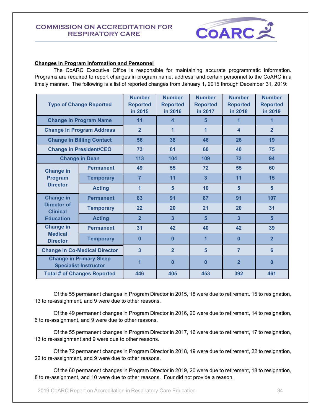

#### <span id="page-33-0"></span>**Changes in Program Information and Personnel**

The CoARC Executive Office is responsible for maintaining accurate programmatic information. Programs are required to report changes in program name, address, and certain personnel to the CoARC in a timely manner. The following is a list of reported changes from January 1, 2015 through December 31, 2019:

| <b>Type of Change Reported</b>                                 |                  | <b>Number</b><br><b>Reported</b><br>in 2015 | <b>Number</b><br><b>Reported</b><br>in 2016 | <b>Number</b><br><b>Reported</b><br>in 2017 | <b>Number</b><br><b>Reported</b><br>in 2018 | <b>Number</b><br><b>Reported</b><br>in 2019 |
|----------------------------------------------------------------|------------------|---------------------------------------------|---------------------------------------------|---------------------------------------------|---------------------------------------------|---------------------------------------------|
| <b>Change in Program Name</b>                                  |                  | 11                                          | $\overline{\mathbf{4}}$                     | 5                                           | 1                                           | 1                                           |
| <b>Change in Program Address</b>                               |                  | $\overline{2}$                              | 1                                           | 1                                           | $\overline{\mathbf{A}}$                     | $\overline{2}$                              |
| <b>Change in Billing Contact</b>                               |                  | 56                                          | 38                                          | 46                                          | 26                                          | 19                                          |
| <b>Change in President/CEO</b>                                 |                  | 73                                          | 61                                          | 60                                          | 40                                          | 75                                          |
| <b>Change in Dean</b>                                          |                  | 113                                         | 104                                         | 109                                         | 73                                          | 94                                          |
| <b>Change in</b>                                               | <b>Permanent</b> | 49                                          | 55                                          | 72                                          | 55                                          | 60                                          |
| Program                                                        | <b>Temporary</b> | $\overline{7}$                              | 11                                          | $\overline{\mathbf{3}}$                     | 11                                          | 15                                          |
| <b>Director</b>                                                | <b>Acting</b>    | 1                                           | 5                                           | 10                                          | 5                                           | 5                                           |
| <b>Change in</b>                                               | <b>Permanent</b> | 83                                          | 91                                          | 87                                          | 91                                          | 107                                         |
| Director of<br><b>Clinical</b>                                 | <b>Temporary</b> | 22                                          | 20                                          | 21                                          | 20                                          | 31                                          |
| <b>Education</b>                                               | <b>Acting</b>    | $\overline{2}$                              | $\overline{3}$                              | 5                                           | 3                                           | $5\overline{5}$                             |
| <b>Change in</b>                                               | <b>Permanent</b> | 31                                          | 42                                          | 40                                          | 42                                          | 39                                          |
| <b>Medical</b><br><b>Director</b>                              | <b>Temporary</b> | 0                                           | $\bf{0}$                                    | 1                                           | 0                                           | $\overline{2}$                              |
| <b>Change in Co-Medical Director</b>                           |                  | $\overline{3}$                              | $\overline{2}$                              | 5                                           | $\overline{7}$                              | $6\phantom{a}$                              |
| <b>Change in Primary Sleep</b><br><b>Specialist Instructor</b> |                  | 1                                           | $\bf{0}$                                    | $\bf{0}$                                    | $\overline{2}$                              | $\mathbf{0}$                                |
| <b>Total # of Changes Reported</b>                             |                  | 446                                         | 405                                         | 453                                         | 392                                         | 461                                         |

Of the 55 permanent changes in Program Director in 2015, 18 were due to retirement, 15 to resignation, 13 to re-assignment, and 9 were due to other reasons.

Of the 49 permanent changes in Program Director in 2016, 20 were due to retirement, 14 to resignation, 6 to re-assignment, and 9 were due to other reasons.

Of the 55 permanent changes in Program Director in 2017, 16 were due to retirement, 17 to resignation, 13 to re-assignment and 9 were due to other reasons.

Of the 72 permanent changes in Program Director in 2018, 19 were due to retirement, 22 to resignation, 22 to re-assignment, and 9 were due to other reasons.

Of the 60 permanent changes in Program Director in 2019, 20 were due to retirement, 18 to resignation, 8 to re-assignment, and 10 were due to other reasons. Four did not provide a reason.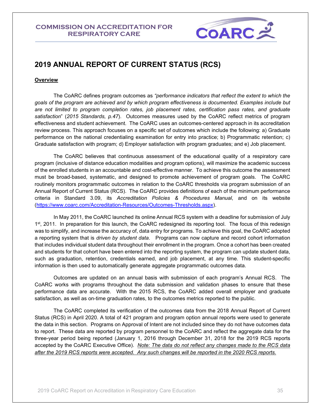

# <span id="page-34-0"></span>**2019 ANNUAL REPORT OF CURRENT STATUS (RCS)**

#### <span id="page-34-1"></span>**Overview**

The CoARC defines program outcomes as *"performance indicators that reflect the extent to which the goals of the program are achieved and by which program effectiveness is documented. Examples include but are not limited to program completion rates, job placement rates, certification pass rates, and graduate satisfaction*" (*2015 Standards, p.47*). Outcomes measures used by the CoARC reflect metrics of program effectiveness and student achievement. The CoARC uses an outcomes-centered approach in its accreditation review process. This approach focuses on a specific set of outcomes which include the following: a) Graduate performance on the national credentialing examination for entry into practice; b) Programmatic retention; c) Graduate satisfaction with program; d) Employer satisfaction with program graduates; and e) Job placement.

The CoARC believes that continuous assessment of the educational quality of a respiratory care program (inclusive of distance education modalities and program options), will maximize the academic success of the enrolled students in an accountable and cost-effective manner. To achieve this outcome the assessment must be broad-based, systematic, and designed to promote achievement of program goals. The CoARC routinely monitors programmatic outcomes in relation to the CoARC thresholds via program submission of an Annual Report of Current Status (RCS). The CoARC provides definitions of each of the minimum performance criteria in Standard 3.09, its *Accreditation Policies & Procedures Manual*, and on its website [\(https://www.coarc.com/Accreditation-Resources/Outcomes-Thresholds.aspx\)](https://www.coarc.com/Accreditation-Resources/Outcomes-Thresholds.aspx).

In May 2011, the CoARC launched its online Annual RCS system with a deadline for submission of July 1<sup>st</sup>, 2011. In preparation for this launch, the CoARC redesigned its reporting tool. The focus of this redesign was to simplify, and increase the accuracy of, data entry for programs. To achieve this goal, the CoARC adopted a reporting system that is *driven by student data*. Programs can now capture and record cohort information that includes individual student data throughout their enrollment in the program. Once a cohort has been created and students for that cohort have been entered into the reporting system, the program can update student data, such as graduation, retention, credentials earned, and job placement, at any time. This student-specific information is then used to automatically generate aggregate programmatic outcomes data.

Outcomes are updated on an annual basis with submission of each program's Annual RCS. The CoARC works with programs throughout the data submission and validation phases to ensure that these performance data are accurate. With the 2015 RCS, the CoARC added overall employer and graduate satisfaction, as well as on-time graduation rates, to the outcomes metrics reported to the public.

The CoARC completed its verification of the outcomes data from the 2018 Annual Report of Current Status (RCS) in April 2020. A total of 421 program and program option annual reports were used to generate the data in this section. Programs on Approval of Intent are not included since they do not have outcomes data to report. These data are reported by program personnel to the CoARC and reflect the aggregate data for the three-year period being reported (January 1, 2016 through December 31, 2018 for the 2019 RCS reports accepted by the CoARC Executive Office). *Note: The data do not reflect any changes made to the RCS data after the 2019 RCS reports were accepted. Any such changes will be reported in the 2020 RCS reports.*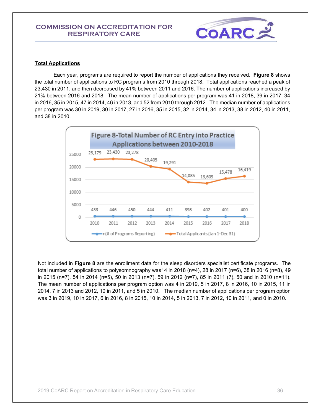

#### <span id="page-35-0"></span>**Total Applications**

Each year, programs are required to report the number of applications they received.**Figure 8** shows the total number of applications to RC programs from 2010 through 2018. Total applications reached a peak of 23,430 in 2011, and then decreased by 41% between 2011 and 2016. The number of applications increased by 21% between 2016 and 2018. The mean number of applications per program was 41 in 2018, 39 in 2017, 34 in 2016, 35 in 2015, 47 in 2014, 46 in 2013, and 52 from 2010 through 2012. The median number of applications per program was 30 in 2019, 30 in 2017, 27 in 2016, 35 in 2015, 32 in 2014, 34 in 2013, 38 in 2012, 40 in 2011, and 38 in 2010.



Not included in **Figure 8** are the enrollment data for the sleep disorders specialist certificate programs. The total number of applications to polysomnography was14 in 2018 (n=4), 28 in 2017 (n=6), 38 in 2016 (n=8), 49 in 2015 (n=7), 54 in 2014 (n=5), 50 in 2013 (n=7), 59 in 2012 (n=7), 85 in 2011 (7), 50 and in 2010 (n=11). The mean number of applications per program option was 4 in 2019, 5 in 2017, 8 in 2016, 10 in 2015, 11 in 2014, 7 in 2013 and 2012, 10 in 2011, and 5 in 2010. The median number of applications per program option was 3 in 2019, 10 in 2017, 6 in 2016, 8 in 2015, 10 in 2014, 5 in 2013, 7 in 2012, 10 in 2011, and 0 in 2010.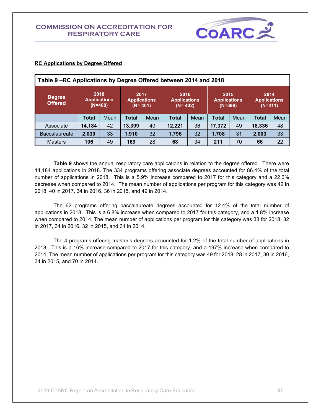

| Table 9-RC Applications by Degree Offered between 2014 and 2018               |                                                                         |      |              |                                            |              |                                            |        |                                          |        |                                          |  |
|-------------------------------------------------------------------------------|-------------------------------------------------------------------------|------|--------------|--------------------------------------------|--------------|--------------------------------------------|--------|------------------------------------------|--------|------------------------------------------|--|
| <b>Degree</b><br><b>Offered</b>                                               | 2018<br><b>Applications</b><br>$(N=400)$                                |      |              | 2017<br><b>Applications</b><br>$(N = 401)$ |              | 2016<br><b>Applications</b><br>$(N = 402)$ |        | 2015<br><b>Applications</b><br>$(N=398)$ |        | 2014<br><b>Applications</b><br>$(N=411)$ |  |
|                                                                               | <b>Total</b>                                                            | Mean | <b>Total</b> | Mean                                       | <b>Total</b> | Mean                                       | Total  | Mean                                     | Total  | Mean                                     |  |
| Associate                                                                     | 14.184                                                                  | 42   | 13,399       | 40                                         | 12,221       | 36                                         | 17,372 | 49                                       | 18,336 | 48                                       |  |
| <b>Baccalaureate</b>                                                          | 33<br>32<br>2,039<br>33<br>31<br>1,910<br>32<br>2,003<br>1,796<br>1,708 |      |              |                                            |              |                                            |        |                                          |        |                                          |  |
| 22<br>34<br>70<br><b>Masters</b><br>196<br>49<br>28<br>211<br>66<br>169<br>68 |                                                                         |      |              |                                            |              |                                            |        |                                          |        |                                          |  |

### **RC Applications by Degree Offered**

**Table 9** shows the annual respiratory care applications in relation to the degree offered. There were 14,184 applications in 2018. The 334 programs offering associate degrees accounted for 86.4% of the total number of applications in 2018. This is a 5.9% increase compared to 2017 for this category and a 22.6% decrease when compared to 2014. The mean number of applications per program for this category was 42 in 2018, 40 in 2017, 34 in 2016, 36 in 2015, and 49 in 2014.

The 62 programs offering baccalaureate degrees accounted for 12.4% of the total number of applications in 2018. This is a 6.8% increase when compared to 2017 for this category, and a 1.8% increase when compared to 2014. The mean number of applications per program for this category was 33 for 2018, 32 in 2017, 34 in 2016, 32 in 2015, and 31 in 2014.

The 4 programs offering master's degrees accounted for 1.2% of the total number of applications in 2018. This is a 16% increase compared to 2017 for this category, and a 197% increase when compared to 2014. The mean number of applications per program for this category was 49 for 2018, 28 in 2017, 30 in 2016, 34 in 2015, and 70 in 2014.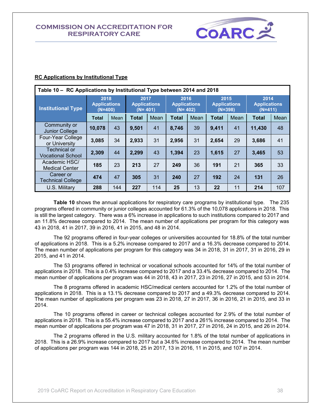

| Table 10 - RC Applications by Institutional Type between 2014 and 2018 |                                          |     |                                            |      |                                            |      |                                          |      |                                          |      |
|------------------------------------------------------------------------|------------------------------------------|-----|--------------------------------------------|------|--------------------------------------------|------|------------------------------------------|------|------------------------------------------|------|
| <b>Institutional Type</b>                                              | 2018<br><b>Applications</b><br>$(N=400)$ |     | 2017<br><b>Applications</b><br>$(N = 401)$ |      | 2016<br><b>Applications</b><br>$(N = 402)$ |      | 2015<br><b>Applications</b><br>$(N=398)$ |      | 2014<br><b>Applications</b><br>$(N=411)$ |      |
|                                                                        | <b>Total</b><br>Mean                     |     | <b>Total</b>                               | Mean | <b>Total</b>                               | Mean | <b>Total</b>                             | Mean | <b>Total</b>                             | Mean |
| Community or<br><b>Junior College</b>                                  | 10,078                                   | 43  | 9,501                                      | 41   | 8,746                                      | 39   | 9,411                                    | 41   | 11,430                                   | 48   |
| Four-Year College<br>or University                                     | 3,085                                    | 34  | 2,933                                      | 31   | 2,956                                      | 31   | 2.654                                    | 29   | 3,686                                    | 41   |
| Technical or<br><b>Vocational School</b>                               | 2,309                                    | 44  | 2,299                                      | 43   | 1,394                                      | 23   | 1,615                                    | 27   | 3,465                                    | 53   |
| Academic HSC/<br><b>Medical Center</b>                                 | 185                                      | 23  | 213                                        | 27   | 249                                        | 36   | 191                                      | 21   | 365                                      | 33   |
| Career or<br><b>Technical College</b>                                  | 47<br>474                                |     | 305                                        | 31   | 240                                        | 27   | 192                                      | 24   | 131                                      | 26   |
| U.S. Military                                                          | 288                                      | 144 | 227                                        | 114  | 25                                         | 13   | 22                                       | 11   | 214                                      | 107  |

### **RC Applications by Institutional Type**

**Table 10** shows the annual applications for respiratory care programs by institutional type. The 235 programs offered in community or junior colleges accounted for 61.3% of the 10,078 applications in 2018. This is still the largest category. There was a 6% increase in applications to such institutions compared to 2017 and an 11.8% decrease compared to 2014. The mean number of applications per program for this category was 43 in 2018, 41 in 2017, 39 in 2016, 41 in 2015, and 48 in 2014.

The 92 programs offered in four-year colleges or universities accounted for 18.8% of the total number of applications in 2018. This is a 5.2% increase compared to 2017 and a 16.3% decrease compared to 2014. The mean number of applications per program for this category was 34 in 2018, 31 in 2017, 31 in 2016, 29 in 2015, and 41 in 2014.

The 53 programs offered in technical or vocational schools accounted for 14% of the total number of applications in 2018. This is a 0.4% increase compared to 2017 and a 33.4% decrease compared to 2014. The mean number of applications per program was 44 in 2018, 43 in 2017, 23 in 2016, 27 in 2015, and 53 in 2014.

The 8 programs offered in academic HSC/medical centers accounted for 1.2% of the total number of applications in 2018. This is a 13.1% decrease compared to 2017 and a 49.3% decrease compared to 2014. The mean number of applications per program was 23 in 2018, 27 in 2017, 36 in 2016, 21 in 2015, and 33 in 2014.

The 10 programs offered in career or technical colleges accounted for 2.9% of the total number of applications in 2018. This is a 55.4% increase compared to 2017 and a 261% increase compared to 2014. The mean number of applications per program was 47 in 2018, 31 in 2017, 27 in 2016, 24 in 2015, and 26 in 2014.

The 2 programs offered in the U.S. military accounted for 1.8% of the total number of applications in 2018. This is a 26.9% increase compared to 2017 but a 34.6% increase compared to 2014. The mean number of applications per program was 144 in 2018, 25 in 2017, 13 in 2016, 11 in 2015, and 107 in 2014.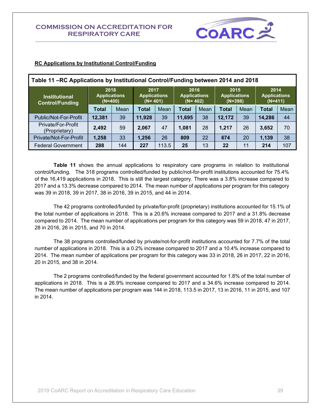

| Table 11-RC Applications by Institutional Control/Funding between 2014 and 2018                               |                                          |     |                                            |       |                                            |    |                                          |    |                                          |     |  |  |
|---------------------------------------------------------------------------------------------------------------|------------------------------------------|-----|--------------------------------------------|-------|--------------------------------------------|----|------------------------------------------|----|------------------------------------------|-----|--|--|
| <b>Institutional</b><br><b>Control/Funding</b>                                                                | 2018<br><b>Applications</b><br>$(N=400)$ |     | 2017<br><b>Applications</b><br>$(N = 401)$ |       | 2016<br><b>Applications</b><br>$(N = 402)$ |    | 2015<br><b>Applications</b><br>$(N=398)$ |    | 2014<br><b>Applications</b><br>$(N=411)$ |     |  |  |
| Mean<br>Mean<br>Mean<br>Mean<br>Mean<br><b>Total</b><br><b>Total</b><br><b>Total</b><br>Total<br><b>Total</b> |                                          |     |                                            |       |                                            |    |                                          |    |                                          |     |  |  |
| Public/Not-For-Profit                                                                                         | 12,381                                   | 39  | 11,928                                     | 39    | 11,695                                     | 38 | 12,172                                   | 39 | 14,286                                   | 44  |  |  |
| Private/For-Profit<br>(Proprietary)                                                                           | 2,492                                    | 59  | 2,067                                      | 47    | 1.081                                      | 28 | 1,217                                    | 26 | 3,652                                    | 70  |  |  |
| Private/Not-For-Profit                                                                                        | 1,258                                    | 33  | 1,256                                      | 26    | 809                                        | 22 | 674                                      | 20 | 1,139                                    | 38  |  |  |
| <b>Federal Government</b>                                                                                     | 288                                      | 144 | 227                                        | 113.5 | 25                                         | 13 | 22                                       | 11 | 214                                      | 107 |  |  |

#### **RC Applications by Institutional Control/Funding**

**Table 11** shows the annual applications to respiratory care programs in relation to institutional control/funding. The 318 programs controlled/funded by public/not-for-profit institutions accounted for 75.4% of the 16,419 applications in 2018. This is still the largest category. There was a 3.8% increase compared to 2017 and a 13.3% decrease compared to 2014. The mean number of applications per program for this category was 39 in 2018, 39 in 2017, 38 in 2016, 39 in 2015, and 44 in 2014.

The 42 programs controlled/funded by private/for-profit (proprietary) institutions accounted for 15.1% of the total number of applications in 2018. This is a 20.6% increase compared to 2017 and a 31.8% decrease compared to 2014. The mean number of applications per program for this category was 59 in 2018, 47 in 2017, 28 in 2016, 26 in 2015, and 70 in 2014.

The 38 programs controlled/funded by private/not-for-profit institutions accounted for 7.7% of the total number of applications in 2018. This is a 0.2% increase compared to 2017 and a 10.4% increase compared to 2014. The mean number of applications per program for this category was 33 in 2018, 26 in 2017, 22 in 2016, 20 in 2015, and 38 in 2014.

The 2 programs controlled/funded by the federal government accounted for 1.8% of the total number of applications in 2018. This is a 26.9% increase compared to 2017 and a 34.6% increase compared to 2014. The mean number of applications per program was 144 in 2018, 113.5 in 2017, 13 in 2016, 11 in 2015, and 107 in 2014.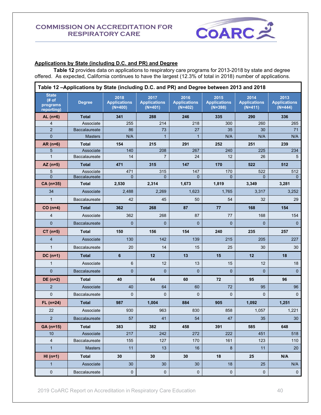

# **Applications by State (including D.C. and PR) and Degree**

**Table 12** provides data on applications to respiratory care programs for 2013-2018 by state and degree offered. As expected, California continues to have the largest (12.3% of total in 2018) number of applications.

| Table 12-Applications by State (including D.C. and PR) and Degree between 2013 and 2018 |                      |                                          |                                          |                                          |                                          |                                          |                                          |  |  |
|-----------------------------------------------------------------------------------------|----------------------|------------------------------------------|------------------------------------------|------------------------------------------|------------------------------------------|------------------------------------------|------------------------------------------|--|--|
| <b>State</b><br># of<br>programs<br>reporting)                                          | <b>Degree</b>        | 2018<br><b>Applications</b><br>$(N=400)$ | 2017<br><b>Applications</b><br>$(N=401)$ | 2016<br><b>Applications</b><br>$(N=402)$ | 2015<br><b>Applications</b><br>$(N=398)$ | 2014<br><b>Applications</b><br>$(N=411)$ | 2013<br><b>Applications</b><br>$(N=444)$ |  |  |
| $AL(n=6)$                                                                               | <b>Total</b>         | 341                                      | 288                                      | 246                                      | 335                                      | 290                                      | 336                                      |  |  |
| $\overline{4}$                                                                          | Associate            | 255                                      | 214                                      | 218                                      | 300                                      | 260                                      | 265                                      |  |  |
| $\overline{2}$                                                                          | <b>Baccalaureate</b> | 86                                       | 73                                       | 27                                       | 35                                       | 30                                       | 71                                       |  |  |
| $\mathbf{0}$                                                                            | <b>Masters</b>       | N/A                                      | $\overline{1}$                           | $\mathbf{1}$                             | N/A                                      | N/A                                      | N/A                                      |  |  |
| $AR(n=6)$                                                                               | <b>Total</b>         | 154                                      | 215                                      | 291                                      | 252                                      | 251                                      | 239                                      |  |  |
| 5                                                                                       | Associate            | 140                                      | 208                                      | 267                                      | 240                                      | 225                                      | 234                                      |  |  |
| $\mathbf{1}$                                                                            | Baccalaureate        | 14                                       | $\overline{7}$                           | 24                                       | 12                                       | 26                                       | 5                                        |  |  |
| $AZ (n=5)$                                                                              | <b>Total</b>         | 471                                      | 315                                      | 147                                      | 170                                      | 522                                      | 512                                      |  |  |
| 5                                                                                       | Associate            | 471                                      | 315                                      | 147                                      | 170                                      | 522                                      | 512                                      |  |  |
| $\overline{0}$                                                                          | Baccalaureate        | $\Omega$                                 | $\overline{0}$                           | $\overline{0}$                           | $\overline{0}$                           | $\overline{0}$                           | $\overline{0}$                           |  |  |
| CA (n=35)                                                                               | <b>Total</b>         | 2,530                                    | 2,314                                    | 1,673                                    | 1,819                                    | 3,349                                    | 3,281                                    |  |  |
| 34                                                                                      | Associate            | 2,488                                    | 2,269                                    | 1,623                                    | 1,765                                    | 3,317                                    | 3,252                                    |  |  |
| $\mathbf{1}$                                                                            | <b>Baccalaureate</b> | 42                                       | 45                                       | 50                                       | 54                                       | 32                                       | 29                                       |  |  |
| $CO(n=4)$                                                                               | <b>Total</b>         | 362                                      | 268                                      | 87                                       | 77                                       | 168                                      | 154                                      |  |  |
| $\overline{4}$                                                                          | Associate            | 362                                      | 268                                      | 87                                       | 77                                       | 168                                      | 154                                      |  |  |
| $\mathbf 0$                                                                             | <b>Baccalaureate</b> | 0                                        | 0                                        | $\mathbf 0$                              | $\mathbf 0$                              | $\mathbf{0}$                             | $\mathbf 0$                              |  |  |
| $CT (n=5)$                                                                              | Total                | 150                                      | 156                                      | 154                                      | 240                                      | 235                                      | 257                                      |  |  |
| $\overline{4}$                                                                          | Associate            | 130                                      | 142                                      | 139                                      | 215                                      | 205                                      | 227                                      |  |  |
| $\mathbf{1}$                                                                            | <b>Baccalaureate</b> | 20                                       | 14                                       | 15                                       | 25                                       | 30                                       | 30                                       |  |  |
| $DC(n=1)$                                                                               | <b>Total</b>         | 6                                        | 12                                       | 13                                       | 15                                       | 12                                       | 18                                       |  |  |
| $\mathbf{1}$                                                                            | Associate            | 6                                        | 12                                       | 13                                       | 15                                       | 12                                       | 18                                       |  |  |
| $\mathbf{0}$                                                                            | <b>Baccalaureate</b> | $\overline{0}$                           | $\mathbf{0}$                             | $\mathbf 0$                              | $\mathbf{0}$                             | $\mathbf{0}$                             | $\mathbf 0$                              |  |  |
| $DE (n=2)$                                                                              | <b>Total</b>         | 40                                       | 64                                       | 60                                       | 72                                       | 95                                       | 96                                       |  |  |
| $\overline{2}$                                                                          | Associate            | 40                                       | 64                                       | 60                                       | 72                                       | 95                                       | 96                                       |  |  |
| $\mathbf 0$                                                                             | Baccalaureate        | 0                                        | 0                                        | $\mathbf{0}$                             | $\overline{0}$                           | $\mathbf{0}$                             | 0                                        |  |  |
| $FL (n=24)$                                                                             | <b>Total</b>         | 987                                      | 1,004                                    | 884                                      | 905                                      | 1,092                                    | 1,251                                    |  |  |
| 22                                                                                      | Associate            | 930                                      | 963                                      | 830                                      | 858                                      | 1,057                                    | 1,221                                    |  |  |
| $\overline{2}$                                                                          | Baccalaureate        | $57\,$                                   | 41                                       | 54                                       | 47                                       | 35                                       | 30 <sub>o</sub>                          |  |  |
| $GA (n=15)$                                                                             | <b>Total</b>         | 383                                      | 382                                      | 458                                      | 391                                      | 585                                      | 648                                      |  |  |
| 10                                                                                      | Associate            | 217                                      | 242                                      | 272                                      | 222                                      | 451                                      | 518                                      |  |  |
| $\overline{4}$                                                                          | Baccalaureate        | 155                                      | 127                                      | 170                                      | 161                                      | 123                                      | 110                                      |  |  |
| 1                                                                                       | <b>Masters</b>       | 11                                       | 13 <sup>°</sup>                          | 16                                       | $\boldsymbol{8}$                         | 11                                       | 20                                       |  |  |
| $HI (n=1)$                                                                              | Total                | 30                                       | 30                                       | 30                                       | 18                                       | 25                                       | N/A                                      |  |  |
| 1                                                                                       | Associate            | 30                                       | 30                                       | 30                                       | 18                                       | 25                                       | N/A                                      |  |  |
| $\mathbf 0$                                                                             | Baccalaureate        | $\mathsf{O}\xspace$                      | $\mathbf{0}$                             | $\mathbf 0$                              | $\mathbf{0}$                             | $\mathsf{O}\xspace$                      | $\mathbf 0$                              |  |  |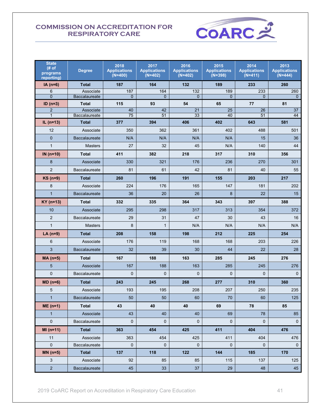

| <b>State</b><br># of<br>programs<br>reporting) | <b>Degree</b>              | 2018<br><b>Applications</b><br>$(N=400)$ | 2017<br><b>Applications</b><br>$(N=402)$ | 2016<br><b>Applications</b><br>$(N=402)$ | 2015<br><b>Applications</b><br>$(N=398)$ | 2014<br><b>Applications</b><br>$(N=411)$ | 2013<br><b>Applications</b><br>$(N=444)$ |
|------------------------------------------------|----------------------------|------------------------------------------|------------------------------------------|------------------------------------------|------------------------------------------|------------------------------------------|------------------------------------------|
| $IA(n=6)$                                      | <b>Total</b>               | 187                                      | 164                                      | 132                                      | 189                                      | 233                                      | 260                                      |
| 6                                              | Associate                  | 187                                      | 164                                      | 132                                      | 189                                      | 233                                      | 260                                      |
| $\overline{0}$                                 | Baccalaureate              | $\Omega$                                 | $\Omega$                                 | $\Omega$                                 | $\Omega$                                 | $\Omega$                                 | $\mathbf{0}$                             |
| $ID(n=3)$                                      | <b>Total</b>               | 115                                      | 93                                       | 54                                       | 65                                       | 77                                       | 81                                       |
| $\overline{2}$<br>$\mathbf{1}$                 | Associate<br>Baccalaureate | 40<br>75                                 | 42<br>51                                 | 21<br>33                                 | 25<br>40                                 | 26<br>51                                 | 37<br>44                                 |
| $IL (n=13)$                                    | <b>Total</b>               | 377                                      | 394                                      | 406                                      | 402                                      | 643                                      | 581                                      |
| 12                                             | Associate                  | 350                                      | 362                                      | 361                                      | 402                                      | 488                                      | 501                                      |
| $\mathbf 0$                                    | <b>Baccalaureate</b>       | N/A                                      | N/A                                      | N/A                                      | N/A                                      | 15                                       | 36                                       |
| $\mathbf{1}$                                   | <b>Masters</b>             | 27                                       | 32                                       | 45                                       | N/A                                      | 140                                      | 44                                       |
| IN $(n=10)$                                    | <b>Total</b>               | 411                                      | 382                                      | 218                                      | 317                                      | 310                                      | 356                                      |
| 8                                              | Associate                  | 330                                      | 321                                      | 176                                      | 236                                      | 270                                      | 301                                      |
| $\overline{2}$                                 | <b>Baccalaureate</b>       | 81                                       | 61                                       | 42                                       | 81                                       | 40                                       | 55                                       |
| $KS$ (n=9)                                     | <b>Total</b>               | 260                                      | 196                                      | 191                                      | 155                                      | 203                                      | 217                                      |
| 8                                              | Associate                  | 224                                      | 176                                      | 165                                      | 147                                      | 181                                      | 202                                      |
| $\mathbf{1}$                                   | <b>Baccalaureate</b>       | 36                                       | 20                                       | 26                                       | 8                                        | 22                                       | 15                                       |
| $KY$ (n=13)                                    | <b>Total</b>               | 332                                      | 335                                      | 364                                      | 343                                      | 397                                      | 388                                      |
| 10                                             | Associate                  | 295                                      | 298                                      | 317                                      | 313                                      | 354                                      | 372                                      |
| $\overline{2}$                                 | <b>Baccalaureate</b>       | 29                                       | 31                                       | 47                                       | 30                                       | 43                                       | 16                                       |
| $\mathbf{1}$                                   | <b>Masters</b>             | 8                                        | $\mathbf{1}$                             | N/A                                      | N/A                                      | N/A                                      | N/A                                      |
| $LA(n=9)$                                      | <b>Total</b>               | 208                                      | 158                                      | 198                                      | 212                                      | 225                                      | 254                                      |
| 6                                              | Associate                  | 176                                      | 119                                      | 168                                      | 168                                      | 203                                      | 226                                      |
| 3                                              | <b>Baccalaureate</b>       | 32                                       | 39                                       | 30                                       | 44                                       | 22                                       | 28                                       |
| $MA(n=5)$                                      | <b>Total</b>               | 167                                      | 188                                      | 163                                      | 285                                      | 245                                      | 276                                      |
| 5                                              | Associate                  | 167                                      | 188                                      | 163                                      | 285                                      | 245                                      | 276                                      |
| $\overline{0}$                                 | <b>Baccalaureate</b>       | 0                                        | 0                                        | $\mathbf{0}$                             | 0                                        | 0                                        | $\mathbf 0$                              |
| $MD (n=6)$                                     | <b>Total</b>               | 243                                      | 245                                      | 268                                      | 277                                      | 310                                      | 360                                      |
| 5                                              | Associate                  | 193                                      | 195                                      | 208                                      | 207                                      | 250                                      | 235                                      |
| 1                                              | <b>Baccalaureate</b>       | 50                                       | 50                                       | 60                                       | 70                                       | 60                                       | 125                                      |
| $ME(n=1)$                                      | <b>Total</b>               | 43                                       | 40                                       | 40                                       | 69                                       | 78                                       | 85                                       |
| $\mathbf{1}$                                   | Associate                  | 43                                       | 40                                       | 40                                       | 69                                       | 78                                       | 85                                       |
| $\mathbf{0}$                                   | Baccalaureate              | $\overline{0}$                           | $\mathbf{0}$                             | $\mathbf{0}$                             | $\mathbf{0}$                             | $\mathbf{0}$                             | $\mathsf{O}\xspace$                      |
| $MI(n=11)$                                     | Total                      | 363                                      | 454                                      | 425                                      | 411                                      | 404                                      | 476                                      |
| 11                                             | Associate                  | 363                                      | 454                                      | 425                                      | 411                                      | 404                                      | 476                                      |
| 0                                              | Baccalaureate              | 0                                        | 0                                        | $\mathbf{0}$                             | $\mathbf 0$                              | $\mathbf 0$                              | $\mathbf 0$                              |
| $MN(n=5)$                                      | <b>Total</b>               | 137                                      | 118                                      | 122                                      | 144                                      | 185                                      | 170                                      |
| 3                                              | Associate                  | 92                                       | 85                                       | 85                                       | 115                                      | 137                                      | 125                                      |
| $\mathbf 2$                                    | Baccalaureate              | 45                                       | 33                                       | 37                                       | 29                                       | 48                                       | 45                                       |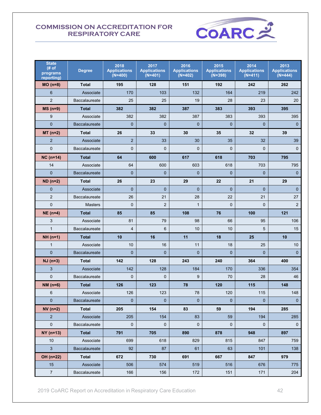

| <b>State</b><br># of<br>programs<br>reporting) | <b>Degree</b>        | 2018<br><b>Applications</b><br>$(N=400)$ | 2017<br><b>Applications</b><br>$(N=401)$ | 2016<br><b>Applications</b><br>$(N=402)$ | 2015<br><b>Applications</b><br>$(N=398)$ | 2014<br><b>Applications</b><br>$(N=411)$ | 2013<br><b>Applications</b><br>$(N=444)$ |
|------------------------------------------------|----------------------|------------------------------------------|------------------------------------------|------------------------------------------|------------------------------------------|------------------------------------------|------------------------------------------|
| $MO(n=8)$                                      | <b>Total</b>         | 195                                      | 128                                      | 151                                      | 192                                      | 242                                      | 262                                      |
| 6                                              | Associate            | 170                                      | 103                                      | 132                                      | 164                                      | 219                                      | 242                                      |
| $\overline{2}$                                 | <b>Baccalaureate</b> | 25                                       | 25                                       | 19                                       | 28                                       | 23                                       | 20                                       |
| $MS(n=9)$                                      | <b>Total</b>         | 382                                      | 382                                      | 387                                      | 383                                      | 393                                      | 395                                      |
| 9                                              | Associate            | 382                                      | 382                                      | 387                                      | 383                                      | 393                                      | 395                                      |
| $\overline{0}$                                 | <b>Baccalaureate</b> | $\overline{0}$                           | $\mathbf{0}$                             | $\mathbf{0}$                             | $\mathbf{0}$                             | $\overline{0}$                           | $\mathbf 0$                              |
| $MT(n=2)$                                      | <b>Total</b>         | 26                                       | 33                                       | 30                                       | 35                                       | 32                                       | 39                                       |
| $\overline{2}$                                 | Associate            | $\overline{2}$                           | 33                                       | 30                                       | 35                                       | 32                                       | 39                                       |
| $\mathbf 0$                                    | <b>Baccalaureate</b> | $\mathbf 0$                              | $\mathbf{0}$                             | 0                                        | $\overline{0}$                           | 0                                        | $\mathbf 0$                              |
| $NC (n=14)$                                    | <b>Total</b>         | 64                                       | 600                                      | 617                                      | 618                                      | 703                                      | 795                                      |
| 14                                             | Associate            | 64                                       | 600                                      | 603                                      | 618                                      | 703                                      | 795                                      |
| $\overline{0}$                                 | <b>Baccalaureate</b> | $\Omega$                                 | $\mathbf{0}$                             | $\Omega$                                 | $\overline{0}$                           | $\overline{0}$                           | $\mathbf 0$                              |
| $ND (n=2)$                                     | <b>Total</b>         | 26                                       | 23                                       | 29                                       | 22                                       | 21                                       | 29                                       |
| $\overline{0}$                                 | Associate            | $\overline{0}$                           | $\overline{0}$                           | $\Omega$                                 | $\mathbf{0}$                             | $\overline{0}$                           | $\mathbf 0$                              |
| $\overline{2}$                                 | Baccalaureate        | 26                                       | 21                                       | 28                                       | 22                                       | 21                                       | 27                                       |
| $\mathbf 0$                                    | <b>Masters</b>       | $\overline{0}$                           | 2                                        | $\mathbf{1}$                             | 0                                        | 0                                        | $\overline{2}$                           |
| $NE$ (n=4)                                     | <b>Total</b>         | 85                                       | 85                                       | 108                                      | 76                                       | 100                                      | 121                                      |
| 3                                              | Associate            | 81                                       | 79                                       | 98                                       | 66                                       | 95                                       | 106                                      |
| $\mathbf{1}$                                   | Baccalaureate        | $\overline{4}$                           | 6                                        | 10                                       | 10                                       | 5                                        | 15                                       |
| $NH (n=1)$                                     | Total                | 10                                       | 16                                       | 11                                       | 18                                       | 25                                       | 10                                       |
| $\mathbf{1}$                                   | Associate            | 10                                       | 16                                       | 11                                       | 18                                       | 25                                       | 10                                       |
| $\overline{0}$                                 | <b>Baccalaureate</b> | $\overline{0}$                           | $\mathbf 0$                              | $\overline{0}$                           | $\mathbf{0}$                             | 0                                        | $\mathbf{0}$                             |
| $NJ$ (n=3)                                     | <b>Total</b>         | 142                                      | 128                                      | 243                                      | 240                                      | 364                                      | 400                                      |
| 3                                              | Associate            | 142                                      | 128                                      | 184                                      | 170                                      | 336                                      | 354                                      |
| $\overline{0}$                                 | Baccalaureate        | $\overline{0}$                           | $\mathbf 0$                              | 9                                        | 70                                       | 28                                       | 46                                       |
| NM $(n=6)$                                     | Total                | 126                                      | 123                                      | 78                                       | 120                                      | 115                                      | 148                                      |
| 6                                              | Associate            | 126                                      | 123                                      | 78                                       | 120                                      | 115                                      | 148                                      |
| $\mathbf 0$                                    | Baccalaureate        | $\mathbf 0$                              | $\mathbf 0$                              | $\mathbf 0$                              | $\mathbf{0}$                             | $\mathbf 0$                              | $\mathbf 0$                              |
| $NV(n=2)$                                      | Total                | 205                                      | 154                                      | 83                                       | 59                                       | 194                                      | 285                                      |
| $\sqrt{2}$                                     | Associate            | 205                                      | 154                                      | 83                                       | 59                                       | 194                                      | 285                                      |
| 0                                              | Baccalaureate        | $\mathbf 0$                              | $\pmb{0}$                                | 0                                        | 0                                        | 0                                        | $\pmb{0}$                                |
| $NY($ n=13)                                    | <b>Total</b>         | 791                                      | 705                                      | 890                                      | 878                                      | 948                                      | 897                                      |
| 10                                             | Associate            | 699                                      | 618                                      | 829                                      | 815                                      | 847                                      | 759                                      |
| $\mathbf{3}$                                   | Baccalaureate        | 92                                       | 87                                       | 61                                       | 63                                       | 101                                      | 138                                      |
| OH (n=22)                                      | <b>Total</b>         | 672                                      | 730                                      | 691                                      | 667                                      | 847                                      | 979                                      |
| 15                                             | Associate            | 506                                      | 574                                      | 519                                      | 516                                      | 676                                      | 775                                      |
| $\overline{7}$                                 | Baccalaureate        | 166                                      | 156                                      | 172                                      | 151                                      | 171                                      | 204                                      |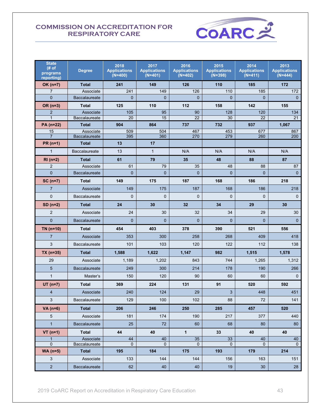

| <b>State</b><br># of<br>programs<br>reporting) | <b>Degree</b>              | 2018<br><b>Applications</b><br>$(N=400)$ | 2017<br><b>Applications</b><br>$(N=401)$ | 2016<br><b>Applications</b><br>$(N=402)$ | 2015<br><b>Applications</b><br>$(N=398)$ | 2014<br><b>Applications</b><br>$(N=411)$ | 2013<br><b>Applications</b><br>$(N=444)$ |
|------------------------------------------------|----------------------------|------------------------------------------|------------------------------------------|------------------------------------------|------------------------------------------|------------------------------------------|------------------------------------------|
| $OK(n=7)$                                      | <b>Total</b>               | 241                                      | 149                                      | 126                                      | 110                                      | 185                                      | 172                                      |
| $\overline{7}$                                 | Associate                  | 241                                      | 149                                      | 126                                      | 110                                      | 185                                      | 172                                      |
| $\overline{0}$                                 | <b>Baccalaureate</b>       | $\overline{0}$                           | $\overline{0}$                           | $\Omega$                                 | $\overline{0}$                           | $\overline{0}$                           | $\mathbf{0}$                             |
| OR (n=3)                                       | Total                      | 125                                      | 110                                      | 112                                      | 158                                      | 142                                      | 155                                      |
| $\overline{\mathbf{c}}$                        | Associate                  | 105                                      | 95                                       | 90                                       | 128                                      | 120                                      | 134                                      |
| $\mathbf{1}$                                   | Baccalaureate              | 20                                       | 15                                       | 22                                       | 30                                       | 22                                       | 21                                       |
| PA (n=22)                                      | <b>Total</b>               | 904                                      | 864                                      | 737                                      | 732                                      | 937                                      | 1,067                                    |
| 15<br>$\overline{7}$                           | Associate<br>Baccalaureate | 509<br>395                               | 504<br>360                               | 467<br>270                               | 453<br>279                               | 677<br>260                               | 867<br>200                               |
| $PR(n=1)$                                      | <b>Total</b>               | 13                                       | 17                                       |                                          |                                          |                                          |                                          |
| $\mathbf{1}$                                   | <b>Baccalaureate</b>       | 13                                       | $\mathbf{1}$                             | N/A                                      | N/A                                      | N/A                                      | N/A                                      |
| $RI(n=2)$                                      | <b>Total</b>               | 61                                       | 79                                       | 35                                       | 48                                       | 88                                       | 87                                       |
| $\overline{2}$                                 | Associate                  | 61                                       | 79                                       | 35                                       | 48                                       | 88                                       | 87                                       |
| $\overline{0}$                                 | <b>Baccalaureate</b>       | $\Omega$                                 | $\mathbf{0}$                             | $\Omega$                                 | $\Omega$                                 | $\mathbf{0}$                             | $\mathbf{0}$                             |
| $SC(n=7)$                                      | Total                      | 149                                      | 175                                      | 187                                      | 168                                      | 186                                      | 218                                      |
| $\overline{7}$                                 | Associate                  | 149                                      | 175                                      | 187                                      | 168                                      | 186                                      | 218                                      |
| $\mathbf 0$                                    | <b>Baccalaureate</b>       | $\mathbf 0$                              | $\mathbf{0}$                             | $\Omega$                                 | $\mathbf{0}$                             | $\mathbf{0}$                             | $\mathbf{0}$                             |
| $SD(n=2)$                                      | <b>Total</b>               | 24                                       | 30                                       | 32                                       | 34                                       | 29                                       | 30                                       |
| 2                                              | Associate                  | 24                                       | 30                                       | 32                                       | 34                                       | 29                                       | 30                                       |
| $\overline{0}$                                 | <b>Baccalaureate</b>       | $\Omega$                                 | $\overline{0}$                           | $\overline{0}$                           | $\overline{0}$                           | $\mathbf{0}$                             | $\mathbf{0}$                             |
| $TN$ (n=10)                                    | <b>Total</b>               | 454                                      | 403                                      | 378                                      | 390                                      | 521                                      | 556                                      |
| $\overline{7}$                                 | Associate                  | 353                                      | 300                                      | 258                                      | 268                                      | 409                                      | 418                                      |
| 3                                              | <b>Baccalaureate</b>       | 101                                      | 103                                      | 120                                      | 122                                      | 112                                      | 138                                      |
| $TX$ (n=35)                                    | Total                      | 1,588                                    | 1,622                                    | 1,147                                    | 982                                      | 1,515                                    | 1,578                                    |
| 29                                             | Associate                  | 1,189                                    | 1,202                                    | 843                                      | 744                                      | 1,265                                    | 1,312                                    |
| 5                                              | <b>Baccalaureate</b>       | 249                                      | 300                                      | 214                                      | 178                                      | 190                                      | 266                                      |
| $\mathbf{1}$                                   | Master's                   | 150                                      | 120                                      | 90                                       | 60                                       | 60                                       | 0                                        |
| $UT (n=7)$                                     | <b>Total</b>               | 369                                      | 224                                      | 131                                      | 91                                       | 520                                      | 592                                      |
| $\overline{\mathbf{4}}$                        | Associate                  | 240                                      | 124                                      | 29                                       | 3                                        | 448                                      | 451                                      |
| $\mathbf{3}$                                   | Baccalaureate              | 129                                      | 100                                      | 102                                      | 88                                       | 72                                       | 141                                      |
| VA $(n=6)$                                     | <b>Total</b>               | 206                                      | 246                                      | 250                                      | 285                                      | 457                                      | 520                                      |
| 5                                              | Associate                  | 181                                      | 174                                      | 190                                      | 217                                      | 377                                      | 440                                      |
| $\mathbf{1}$                                   | Baccalaureate              | 25                                       | 72                                       | 60                                       | 68                                       | 80                                       | 80                                       |
| $VT$ (n=1)                                     | <b>Total</b>               | 44                                       | 40                                       | 1                                        | 33                                       | 40                                       | 40                                       |
| $\mathbf{1}$                                   | Associate                  | 44                                       | 40                                       | 35                                       | 33                                       | 40                                       | 40                                       |
| $\mathbf{0}$                                   | Baccalaureate              | $\Omega$                                 | $\Omega$                                 | $\mathbf{0}$                             | $\Omega$                                 | $\mathbf{0}$                             | $\mathbf{0}$                             |
| $WA(n=5)$                                      | <b>Total</b>               | 195                                      | 184                                      | 175                                      | 193                                      | 179                                      | 214                                      |
| 3                                              | Associate                  | 133                                      | 144                                      | 144                                      | 156                                      | 163                                      | 151                                      |
| $\overline{2}$                                 | <b>Baccalaureate</b>       | 62                                       | 40                                       | 40                                       | 19                                       | 30                                       | 28                                       |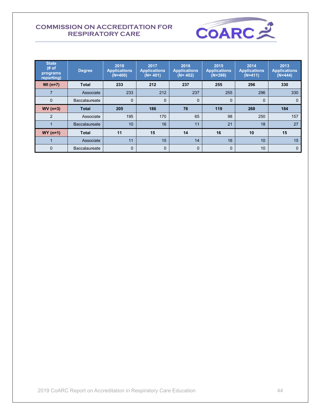

| <b>State</b><br># of<br>programs<br>reporting) | <b>Degree</b>        | 2018<br><b>Applications</b><br>$(N=400)$ | 2017<br><b>Applications</b><br>$(N = 401)$ | 2016<br><b>Applications</b><br>$(N = 402)$ | 2015<br><b>Applications</b><br>$(N=398)$ | 2014<br><b>Applications</b><br>$(N=411)$ | 2013<br><b>Applications</b><br>$(N=444)$ |
|------------------------------------------------|----------------------|------------------------------------------|--------------------------------------------|--------------------------------------------|------------------------------------------|------------------------------------------|------------------------------------------|
| $WI (n=7)$                                     | <b>Total</b>         | 233                                      | 212                                        | 237                                        | 255                                      | 296                                      | 330                                      |
| 7                                              | Associate            | 233                                      | 212                                        | 237                                        | 255                                      | 296                                      | 330                                      |
| $\mathbf 0$                                    | <b>Baccalaureate</b> | $\mathbf 0$                              | $\mathbf 0$                                | $\mathbf 0$                                | 0                                        | $\mathbf{0}$                             | 0                                        |
| $WV(n=3)$                                      | <b>Total</b>         | 205                                      | 186                                        | 76                                         | 119                                      | 268                                      | 184                                      |
| $\overline{2}$                                 | Associate            | 195                                      | 170                                        | 65                                         | 98                                       | 250                                      | 157                                      |
|                                                | <b>Baccalaureate</b> | 10                                       | 16                                         | 11                                         | 21                                       | 18                                       | 27                                       |
| $WY$ (n=1)                                     | <b>Total</b>         | 11                                       | 15                                         | 14                                         | 16                                       | 10                                       | 15                                       |
|                                                | Associate            | 11                                       | 15                                         | 14                                         | 16                                       | 10                                       | 15                                       |
| $\mathbf 0$                                    | Baccalaureate        | $\overline{0}$                           | 0                                          | $\mathbf{0}$                               | $\mathbf{0}$                             | 10                                       | $\mathbf{0}$                             |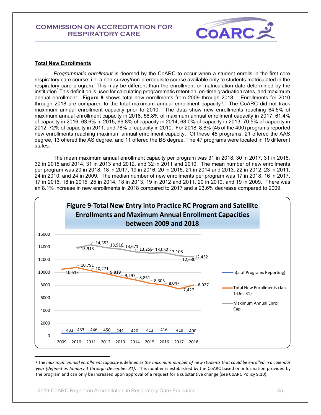

#### **Total New Enrollments**

*Programmatic enrollment* is deemed by the CoARC to occur when a student enrolls in the first core respiratory care course; i.e. a non-survey/non-prerequisite course available only to students matriculated in the respiratory care program. This may be different than the enrollment or matriculation date determined by the institution. This definition is used for calculating programmatic retention, on-time graduation rates, and maximum annual enrollment. **Figure 9** shows total new enrollments from 2009 through 2018. Enrollments for 2010 through 2018 are compared to the total maximum annual enrollment capacity<sup>1</sup>. The CoARC did not track maximum annual enrollment capacity prior to 2010. The data show new enrollments reaching 64.5% of maximum annual enrollment capacity in 2018, 58.8% of maximum annual enrollment capacity in 2017, 61.4% of capacity in 2016, 63.6% in 2015, 66.8% of capacity in 2014, 68.0% of capacity in 2013, 70.5% of capacity in 2012, 72% of capacity in 2011, and 78% of capacity in 2010. For 2018, 8.8% (45 of the 400) programs reported new enrollments reaching maximum annual enrollment capacity. Of these 45 programs, 21 offered the AAS degree, 13 offered the AS degree, and 11 offered the BS degree. The 47 programs were located in 19 different states.

The mean maximum annual enrollment capacity per program was 31 in 2018, 30 in 2017, 31 in 2016, 32 in 2015 and 2014, 31 in 2013 and 2012, and 32 in 2011 and 2010. The mean number of new enrollments per program was 20 in 2018, 18 in 2017, 19 in 2016, 20 in 2015, 21 in 2014 and 2013, 22 in 2012, 23 in 2011, 24 in 2010, and 24 in 2009. The median number of new enrollments per program was 17 in 2018, 16 in 2017, 17 in 2016, 18 in 2015, 25 in 2014, 18 in 2013, 19 in 2012 and 2011, 20 in 2010, and 19 in 2009. There was an 8.1% increase in new enrollments in 2018 compared to 2017 and a 23.6% decrease compared to 2009.



<sup>1</sup> The *maximum annual enrollment capacity* is defined as *the maximum number of new students that could be enrolled in a calendar year (defined as January 1 through December 31)*. This number is established by the CoARC based on information provided by the program and can only be increased upon approval of a request for a substantive change (see CoARC Policy 9.10).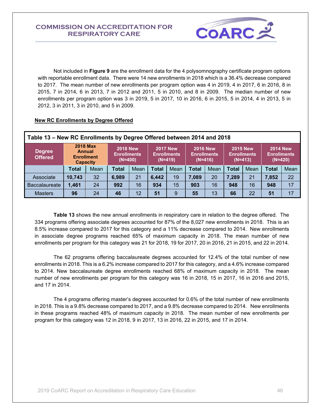

Not included in **Figure 9** are the enrollment data for the 4 polysomnography certificate program options with reportable enrollment data. There were 14 new enrollments in 2018 which is a 36.4% decrease compared to 2017. The mean number of new enrollments per program option was 4 in 2019, 4 in 2017, 6 in 2016, 8 in 2015, 7 in 2014, 6 in 2013, 7 in 2012 and 2011, 5 in 2010, and 8 in 2009. The median number of new enrollments per program option was 3 in 2019, 5 in 2017, 10 in 2016, 6 in 2015, 5 in 2014, 4 in 2013, 5 in 2012, 3 in 2011, 3 in 2010, and 5 in 2009.

#### **New RC Enrollments by Degree Offered**

|                                 | Table 13 – New RC Enrollments by Degree Offered between 2014 and 2018 |                                                                   |                                                    |      |              |                                                    |              |                                                    |       |                                                    |       |                                                    |  |
|---------------------------------|-----------------------------------------------------------------------|-------------------------------------------------------------------|----------------------------------------------------|------|--------------|----------------------------------------------------|--------------|----------------------------------------------------|-------|----------------------------------------------------|-------|----------------------------------------------------|--|
| <b>Degree</b><br><b>Offered</b> |                                                                       | <b>2018 Max</b><br>Annual<br><b>Enrollment</b><br><b>Capacity</b> | <b>2018 New</b><br><b>Enrollments</b><br>$(N=400)$ |      |              | <b>2017 New</b><br><b>Enrollments</b><br>$(N=419)$ |              | <b>2016 New</b><br><b>Enrollments</b><br>$(N=416)$ |       | <b>2015 New</b><br><b>Enrollments</b><br>$(N=413)$ |       | <b>2014 New</b><br><b>Enrollments</b><br>$(N=420)$ |  |
|                                 | Total                                                                 | Mean                                                              | <b>Total</b>                                       | Mean | <b>Total</b> | Mean                                               | <b>Total</b> | Mean                                               |       | Mean                                               | Total | Mean                                               |  |
| Associate                       | 10,743                                                                | 32                                                                | 6,989                                              | 21   | 6,442        | 19                                                 | 7,089        | 20                                                 | 7,289 | 21                                                 | 7,852 | 22                                                 |  |
| <b>Baccalaureate</b>            | 1,461                                                                 | 24                                                                | 992                                                | 16   | 934          | 15                                                 | 903          | 16                                                 | 948   | 16                                                 | 948   | 17                                                 |  |
| <b>Masters</b>                  | 96                                                                    | 24                                                                | 46                                                 | 12   | 51           | 9                                                  | 55           | 13                                                 | 66    | 22                                                 | 51    | 17                                                 |  |

**Table 13** shows the new annual enrollments in respiratory care in relation to the degree offered. The 334 programs offering associate degrees accounted for 87% of the 8,027 new enrollments in 2018. This is an 8.5% increase compared to 2017 for this category and a 11% decrease compared to 2014. New enrollments in associate degree programs reached 65% of maximum capacity in 2018. The mean number of new enrollments per program for this category was 21 for 2018, 19 for 2017, 20 in 2016, 21 in 2015, and 22 in 2014.

The 62 programs offering baccalaureate degrees accounted for 12.4% of the total number of new enrollments in 2018. This is a 6.2% increase compared to 2017 for this category, and a 4.6% increase compared to 2014. New baccalaureate degree enrollments reached 68% of maximum capacity in 2018. The mean number of new enrollments per program for this category was 16 in 2018, 15 in 2017, 16 in 2016 and 2015, and 17 in 2014.

The 4 programs offering master's degrees accounted for 0.6% of the total number of new enrollments in 2018. This is a 9.8% decrease compared to 2017, and a 9.8% decrease compared to 2014. New enrollments in these programs reached 48% of maximum capacity in 2018. The mean number of new enrollments per program for this category was 12 in 2018, 9 in 2017, 13 in 2016, 22 in 2015, and 17 in 2014.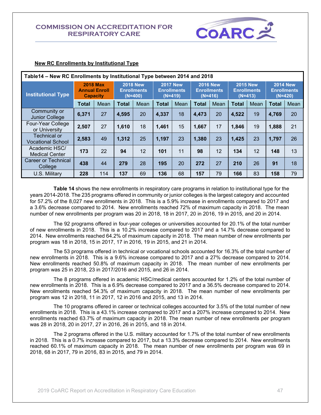

|                                          | Table 14 – New RC Enrollments by Institutional Type between 2014 and 2018 |                                         |                                                    |      |                                                    |      |                                                    |      |                                                    |      |                                                    |      |
|------------------------------------------|---------------------------------------------------------------------------|-----------------------------------------|----------------------------------------------------|------|----------------------------------------------------|------|----------------------------------------------------|------|----------------------------------------------------|------|----------------------------------------------------|------|
| <b>Institutional Type</b>                | <b>Capacity</b>                                                           | <b>2018 Max</b><br><b>Annual Enroll</b> | <b>2018 New</b><br><b>Enrollments</b><br>$(N=400)$ |      | <b>2017 New</b><br><b>Enrollments</b><br>$(N=419)$ |      | <b>2016 New</b><br><b>Enrollments</b><br>$(N=416)$ |      | <b>2015 New</b><br><b>Enrollments</b><br>$(N=413)$ |      | <b>2014 New</b><br><b>Enrollments</b><br>$(N=420)$ |      |
|                                          | <b>Total</b>                                                              | Mean                                    | <b>Total</b>                                       | Mean | <b>Total</b>                                       | Mean | <b>Total</b>                                       | Mean | <b>Total</b>                                       | Mean | <b>Total</b>                                       | Mean |
| Community or<br><b>Junior College</b>    | 6,371                                                                     | 27                                      | 4,595                                              | 20   | 4,337                                              | 18   | 4,473                                              | 20   | 4,522                                              | 19   | 4,769                                              | 20   |
| Four-Year College<br>or University       | 2,507                                                                     | 27                                      | 1,610                                              | 18   | 1,461                                              | 15   | 1,667                                              | 17   | 1,846                                              | 19   | 1,888                                              | 21   |
| Technical or<br><b>Vocational School</b> | 2,583                                                                     | 49                                      | 1,312                                              | 25   | 1,197                                              | 23   | 1,380                                              | 23   | 1,425                                              | 23   | 1,797                                              | 26   |
| Academic HSC/<br><b>Medical Center</b>   | 173                                                                       | 22                                      | 94                                                 | 12   | 101                                                | 11   | 98                                                 | 12   | 134                                                | 12   | 148                                                | 13   |
| Career or Technical<br>College           | 438                                                                       | 44                                      | 279                                                | 28   | 195                                                | 20   | 272                                                | 27   | 210                                                | 26   | 91                                                 | 18   |
| U.S. Military                            | 228                                                                       | 114                                     | 137                                                | 69   | 136                                                | 68   | 157                                                | 79   | 166                                                | 83   | 158                                                | 79   |

#### **New RC Enrollments by Institutional Type**

**Table 14** shows the new enrollments in respiratory care programs in relation to institutional type for the years 2014-2018. The 235 programs offered in community or junior colleges is the largest category and accounted for 57.2% of the 8,027 new enrollments in 2018. This is a 5.9% increase in enrollments compared to 2017 and a 3.6% decrease compared to 2014. New enrollments reached 72% of maximum capacity in 2018. The mean number of new enrollments per program was 20 in 2018, 18 in 2017, 20 in 2016, 19 in 2015, and 20 in 2014.

The 92 programs offered in four-year colleges or universities accounted for 20.1% of the total number of new enrollments in 2018. This is a 10.2% increase compared to 2017 and a 14.7% decrease compared to 2014. New enrollments reached 64.2% of maximum capacity in 2018. The mean number of new enrollments per program was 18 in 2018, 15 in 2017, 17 in 2016, 19 in 2015, and 21 in 2014.

The 53 programs offered in technical or vocational schools accounted for 16.3% of the total number of new enrollments in 2018. This is a 9.6% increase compared to 2017 and a 27% decrease compared to 2014. New enrollments reached 50.8% of maximum capacity in 2018. The mean number of new enrollments per program was 25 in 2018, 23 in 2017/2016 and 2015, and 26 in 2014.

The 8 programs offered in academic HSC/medical centers accounted for 1.2% of the total number of new enrollments in 2018. This is a 6.9% decrease compared to 2017 and a 36.5% decrease compared to 2014. New enrollments reached 54.3% of maximum capacity in 2018. The mean number of new enrollments per program was 12 in 2018, 11 in 2017, 12 in 2016 and 2015, and 13 in 2014.

The 10 programs offered in career or technical colleges accounted for 3.5% of the total number of new enrollments in 2018. This is a 43.1% increase compared to 2017 and a 207% increase compared to 2014. New enrollments reached 63.7% of maximum capacity in 2018. The mean number of new enrollments per program was 28 in 2018, 20 in 2017, 27 in 2016, 26 in 2015, and 18 in 2014.

The 2 programs offered in the U.S. military accounted for 1.7% of the total number of new enrollments in 2018. This is a 0.7% increase compared to 2017, but a 13.3% decrease compared to 2014. New enrollments reached 60.1% of maximum capacity in 2018. The mean number of new enrollments per program was 69 in 2018, 68 in 2017, 79 in 2016, 83 in 2015, and 79 in 2014.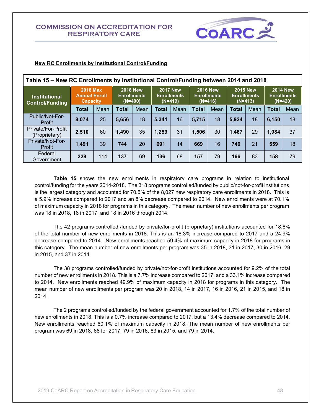

| Table 15 – New RC Enrollments by Institutional Control/Funding between 2014 and 2018 |                                                            |      |                                                    |      |                                                    |      |                                                    |      |                                                    |      |                                                    |      |  |
|--------------------------------------------------------------------------------------|------------------------------------------------------------|------|----------------------------------------------------|------|----------------------------------------------------|------|----------------------------------------------------|------|----------------------------------------------------|------|----------------------------------------------------|------|--|
| <b>Institutional</b><br><b>Control/Funding</b>                                       | <b>2018 Max</b><br><b>Annual Enroll</b><br><b>Capacity</b> |      | <b>2018 New</b><br><b>Enrollments</b><br>$(N=400)$ |      | <b>2017 New</b><br><b>Enrollments</b><br>$(N=419)$ |      | <b>2016 New</b><br><b>Enrollments</b><br>$(N=416)$ |      | <b>2015 New</b><br><b>Enrollments</b><br>$(N=413)$ |      | <b>2014 New</b><br><b>Enrollments</b><br>$(N=420)$ |      |  |
|                                                                                      | <b>Total</b>                                               | Mean | Total                                              | Mean | Total                                              | Mean | Total                                              | Mean | Total                                              | Mean | <b>Total</b>                                       | Mean |  |
| Public/Not-For-<br>Profit                                                            | 8,074                                                      | 25   | 5,656                                              | 18   | 5.341                                              | 16   | 5.715                                              | 18   | 5.924                                              | 18   | 6.150                                              | 18   |  |
| Private/For-Profit<br>(Proprietary)                                                  | 2,510                                                      | 60   | 1,490                                              | 35   | 1,259                                              | 31   | 1,506                                              | 30   | 1,467                                              | 29   | 1,984                                              | 37   |  |
| Private/Not-For-<br>Profit                                                           | 1,491                                                      | 39   | 744                                                | 20   | 691                                                | 14   | 669                                                | 16   | 746                                                | 21   | 559                                                | 18   |  |
| Federal<br>Government                                                                | 228                                                        | 114  | 137                                                | 69   | 136                                                | 68   | 157                                                | 79   | 166                                                | 83   | 158                                                | 79   |  |

#### **New RC Enrollments by Institutional Control/Funding**

**Table 15** shows the new enrollments in respiratory care programs in relation to institutional control/funding for the years 2014-2018. The 318 programs controlled/funded by public/not-for-profit institutions is the largest category and accounted for 70.5% of the 8,027 new respiratory care enrollments in 2018. This is a 5.9% increase compared to 2017 and an 8% decrease compared to 2014. New enrollments were at 70.1% of maximum capacity in 2018 for programs in this category. The mean number of new enrollments per program was 18 in 2018, 16 in 2017, and 18 in 2016 through 2014.

The 42 programs controlled /funded by private/for-profit (proprietary) institutions accounted for 18.6% of the total number of new enrollments in 2018. This is an 18.3% increase compared to 2017 and a 24.9% decrease compared to 2014. New enrollments reached 59.4% of maximum capacity in 2018 for programs in this category. The mean number of new enrollments per program was 35 in 2018, 31 in 2017, 30 in 2016, 29 in 2015, and 37 in 2014.

The 38 programs controlled/funded by private/not-for-profit institutions accounted for 9.2% of the total number of new enrollments in 2018. This is a 7.7% increase compared to 2017, and a 33.1% increase compared to 2014. New enrollments reached 49.9% of maximum capacity in 2018 for programs in this category. The mean number of new enrollments per program was 20 in 2018, 14 in 2017, 16 in 2016, 21 in 2015, and 18 in 2014.

The 2 programs controlled/funded by the federal government accounted for 1.7% of the total number of new enrollments in 2018. This is a 0.7% increase compared to 2017, but a 13.4% decrease compared to 2014. New enrollments reached 60.1% of maximum capacity in 2018. The mean number of new enrollments per program was 69 in 2018, 68 for 2017, 79 in 2016, 83 in 2015, and 79 in 2014.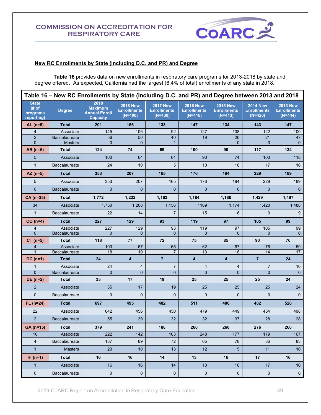

#### **New RC Enrollments by State (including D.C. and PR) and Degree**

**Table 16** provides data on new enrollments in respiratory care programs for 2013-2018 by state and degree offered. As expected, California had the largest (8.4% of total) enrollments of any state in 2018.

| Table 16 – New RC Enrollments by State (including D.C. and PR) and Degree between 2013 and 2018 |                                        |                                                                   |                                                    |                                                    |                                                    |                                                    |                                                    |                                                    |  |  |  |
|-------------------------------------------------------------------------------------------------|----------------------------------------|-------------------------------------------------------------------|----------------------------------------------------|----------------------------------------------------|----------------------------------------------------|----------------------------------------------------|----------------------------------------------------|----------------------------------------------------|--|--|--|
| <b>State</b><br># of<br>programs<br>reporting)                                                  | <b>Degree</b>                          | 2018<br><b>Maximum</b><br><b>Annual Enroll</b><br><b>Capacity</b> | <b>2018 New</b><br><b>Enrollments</b><br>$(N=400)$ | <b>2017 New</b><br><b>Enrollments</b><br>$(N=430)$ | <b>2016 New</b><br><b>Enrollments</b><br>$(N=416)$ | <b>2015 New</b><br><b>Enrollments</b><br>$(N=413)$ | <b>2014 New</b><br><b>Enrollments</b><br>$(N=420)$ | <b>2013 New</b><br><b>Enrollments</b><br>$(N=444)$ |  |  |  |
| $AL(n=6)$                                                                                       | <b>Total</b>                           | 201                                                               | 156                                                | 133                                                | 147                                                | 134                                                | 143                                                | 147                                                |  |  |  |
| 4                                                                                               | Associate                              | 145                                                               | 106                                                | 92                                                 | 127                                                | 108                                                | 122                                                | 100                                                |  |  |  |
| $\overline{2}$<br>$\overline{0}$                                                                | <b>Baccalaureate</b><br><b>Masters</b> | 56<br>$\mathbf{0}$                                                | 50<br>$\mathbf{0}$                                 | 40<br>$\mathbf{1}$                                 | 19<br>$\overline{1}$                               | 26<br>$\mathbf{0}$                                 | 21<br>$\mathbf{0}$                                 | 47<br>$\overline{0}$                               |  |  |  |
| AR $(n=6)$                                                                                      | <b>Total</b>                           | 124                                                               | 74                                                 | 69                                                 | 100                                                | 90                                                 | 117                                                | 134                                                |  |  |  |
| 5                                                                                               | Associate                              | 100                                                               | 64                                                 | 64                                                 | 90                                                 | 74                                                 | 100                                                | 118                                                |  |  |  |
| $\mathbf{1}$                                                                                    | Baccalaureate                          | 24                                                                | 10                                                 | 5                                                  | 10                                                 | 16                                                 | 17                                                 | 16                                                 |  |  |  |
| $AZ (n=5)$                                                                                      | <b>Total</b>                           | 353                                                               | 207                                                | 165                                                | 176                                                | 194                                                | 229                                                | 189                                                |  |  |  |
| 5                                                                                               | Associate                              | 353                                                               | 207                                                | 165                                                | 176                                                | 194                                                | 229                                                | 189                                                |  |  |  |
| $\overline{0}$                                                                                  | <b>Baccalaureate</b>                   | $\mathbf{0}$                                                      | $\mathbf{0}$                                       | $\overline{0}$                                     | $\Omega$                                           | $\mathbf{0}$                                       | $\mathbf{0}$                                       | $\mathbf{0}$                                       |  |  |  |
| CA (n=35)                                                                                       | <b>Total</b>                           | 1,772                                                             | 1,222                                              | 1,163                                              | 1,184                                              | 1,180                                              | 1,429                                              | 1,497                                              |  |  |  |
| 34                                                                                              | Associate                              | 1,750                                                             | 1,208                                              | 1,156                                              | 1169                                               | 1,174                                              | 1,420                                              | 1,488                                              |  |  |  |
| $\mathbf{1}$                                                                                    | <b>Baccalaureate</b>                   | 22                                                                | 14                                                 | $\overline{7}$                                     | 15                                                 | 6                                                  | 9                                                  | 9                                                  |  |  |  |
| $CO(n=4)$                                                                                       | <b>Total</b>                           | 227                                                               | 129                                                | 93                                                 | 119                                                | 97                                                 | 105                                                | 99                                                 |  |  |  |
| 4                                                                                               | Associate                              | 227                                                               | 129                                                | 93                                                 | 119                                                | 97                                                 | 105                                                | 99                                                 |  |  |  |
| $\Omega$                                                                                        | Baccalaureate                          | $\mathbf{0}$                                                      | $\mathbf{0}$                                       | $\mathbf{0}$                                       | $\Omega$                                           | $\mathbf{0}$                                       | $\mathbf{0}$                                       | $\Omega$                                           |  |  |  |
| $CT (n=5)$                                                                                      | <b>Total</b>                           | 118                                                               | 77                                                 | 72                                                 | 75                                                 | 85                                                 | 90                                                 | 76                                                 |  |  |  |
| $\overline{4}$<br>$\mathbf{1}$                                                                  | Associate<br>Baccalaureate             | 100<br>18                                                         | 67<br>10                                           | 65<br>7                                            | 62<br>13                                           | 67<br>18                                           | 76<br>14                                           | 59<br>17                                           |  |  |  |
| $DC(n=1)$                                                                                       | <b>Total</b>                           | 24                                                                | $\overline{\mathbf{4}}$                            | $\overline{7}$                                     | $\overline{\mathbf{4}}$                            | 4                                                  | $\overline{7}$                                     | 24                                                 |  |  |  |
| $\mathbf{1}$                                                                                    | Associate                              | 24                                                                | 4                                                  | $\overline{7}$                                     | $\overline{4}$                                     | 4                                                  | $\overline{7}$                                     | 10                                                 |  |  |  |
| $\Omega$                                                                                        | Baccalaureate                          | $\overline{0}$                                                    | $\overline{0}$                                     | $\overline{0}$                                     | $\Omega$                                           | $\overline{0}$                                     | $\overline{0}$                                     | $\Omega$                                           |  |  |  |
| DE $(n=2)$                                                                                      | <b>Total</b>                           | 35                                                                | 17                                                 | 19                                                 | 25                                                 | 25                                                 | 25                                                 | 24                                                 |  |  |  |
| $\overline{2}$                                                                                  | Associate                              | 35                                                                | 17                                                 | 19                                                 | 25                                                 | 25                                                 | 25                                                 | 24                                                 |  |  |  |
| $\mathbf{0}$                                                                                    | Baccalaureate                          | $\mathbf{0}$                                                      | 0                                                  | $\mathbf{0}$                                       | $\mathbf 0$                                        | $\mathbf 0$                                        | $\mathbf 0$                                        | $\mathbf{0}$                                       |  |  |  |
| $FL (n=24)$                                                                                     | <b>Total</b>                           | 697                                                               | 495                                                | 482                                                | 511                                                | 486                                                | 482                                                | 526                                                |  |  |  |
| 22                                                                                              | Associate                              | 642                                                               | 456                                                | 450                                                | 479                                                | 449                                                | 454                                                | 498                                                |  |  |  |
| $\overline{2}$                                                                                  | <b>Baccalaureate</b>                   | 55                                                                | 39                                                 | 32                                                 | 32                                                 | 37                                                 | 28                                                 | 28                                                 |  |  |  |
| $GA (n=15)$                                                                                     | Total                                  | 379                                                               | 241                                                | 188                                                | 260                                                | 260                                                | 276                                                | 260                                                |  |  |  |
| 10                                                                                              | Associate                              | 222                                                               | 142                                                | 103                                                | 248                                                | 177                                                | 179                                                | 167                                                |  |  |  |
| $\overline{4}$                                                                                  | Baccalaureate                          | 137                                                               | 89                                                 | 72                                                 | 65                                                 | 78                                                 | 86                                                 | 83                                                 |  |  |  |
| $\mathbf{1}$                                                                                    | <b>Masters</b>                         | 20                                                                | 10                                                 | 13                                                 | 12                                                 | 5 <sup>5</sup>                                     | 11                                                 | 10 <sup>°</sup>                                    |  |  |  |
| $HI (n=1)$                                                                                      | <b>Total</b>                           | 16                                                                | 16                                                 | 14                                                 | 13                                                 | 16                                                 | 17                                                 | 16                                                 |  |  |  |
| $\mathbf{1}$                                                                                    | Associate                              | 16                                                                | 16                                                 | 14                                                 | 13                                                 | 16                                                 | 17                                                 | 16                                                 |  |  |  |
| 0                                                                                               | Baccalaureate                          | $\pmb{0}$                                                         | 0                                                  | 0                                                  | $\mathbf 0$                                        | $\mathbf 0$                                        | $\mathbf 0$                                        | $\pmb{0}$                                          |  |  |  |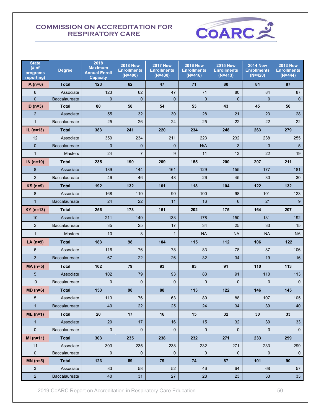

| <b>State</b><br># of<br>programs<br>reporting) | <b>Degree</b>        | 2018<br><b>Maximum</b><br><b>Annual Enroll</b><br><b>Capacity</b> | <b>2018 New</b><br><b>Enrollments</b><br>$(N=400)$ | <b>2017 New</b><br><b>Enrollments</b><br>$(N=430)$ | <b>2016 New</b><br><b>Enrollments</b><br>$(N=416)$ | <b>2015 New</b><br><b>Enrollments</b><br>$(N=413)$ | <b>2014 New</b><br><b>Enrollments</b><br>$(N=420)$ | <b>2013 New</b><br><b>Enrollments</b><br>$(N=444)$ |
|------------------------------------------------|----------------------|-------------------------------------------------------------------|----------------------------------------------------|----------------------------------------------------|----------------------------------------------------|----------------------------------------------------|----------------------------------------------------|----------------------------------------------------|
| $IA(n=6)$                                      | <b>Total</b>         | 123                                                               | 62                                                 | 47                                                 | 71                                                 | 80                                                 | 84                                                 | 87                                                 |
| 6                                              | Associate            | 123                                                               | 62                                                 | 47                                                 | 71                                                 | 80                                                 | 84                                                 | 87                                                 |
| $\overline{0}$                                 | Baccalaureate        | $\mathbf{0}$                                                      | $\mathbf{0}$                                       | $\mathbf 0$                                        | $\mathbf{0}$                                       | $\mathbf{0}$                                       | $\mathbf{0}$                                       | $\mathbf{0}$                                       |
| $ID (n=3)$                                     | <b>Total</b>         | 80                                                                | 58                                                 | 54                                                 | 53                                                 | 43                                                 | 45                                                 | 50                                                 |
| $\overline{2}$                                 | Associate            | 55                                                                | 32                                                 | 30                                                 | 28                                                 | 21                                                 | 23                                                 | 28                                                 |
| $\mathbf{1}$                                   | Baccalaureate        | 25                                                                | 26                                                 | 24                                                 | 25                                                 | 22                                                 | 22                                                 | 22                                                 |
| IL $(n=13)$                                    | <b>Total</b>         | 383                                                               | 241                                                | 220                                                | 234                                                | 248                                                | 263                                                | 279                                                |
| 12                                             | Associate            | 359                                                               | 234                                                | 211                                                | 223                                                | 232                                                | 238                                                | 255                                                |
| $\overline{0}$                                 | <b>Baccalaureate</b> | $\mathbf 0$                                                       | $\mathbf{0}$                                       | $\mathbf{0}$                                       | N/A                                                | 3                                                  | 3                                                  | 5                                                  |
| $\mathbf{1}$                                   | <b>Masters</b>       | 24                                                                | $\overline{7}$                                     | 9                                                  | 11                                                 | 13                                                 | 22                                                 | 19                                                 |
| IN $(n=10)$                                    | <b>Total</b>         | 235                                                               | 190                                                | 209                                                | 155                                                | 200                                                | 207                                                | 211                                                |
| 8                                              | Associate            | 189                                                               | 144                                                | 161                                                | 129                                                | 155                                                | 177                                                | 181                                                |
| $\overline{2}$                                 | Baccalaureate        | 46                                                                | 46                                                 | 48                                                 | 26                                                 | 45                                                 | 30                                                 | 30                                                 |
| $KS$ (n=9)                                     | <b>Total</b>         | 192                                                               | 132                                                | 101                                                | 118                                                | 104                                                | 122                                                | 132                                                |
| 8                                              | Associate            | 168                                                               | 110                                                | 90                                                 | 100                                                | 98                                                 | 101                                                | 123                                                |
| $\mathbf{1}$                                   | <b>Baccalaureate</b> | 24                                                                | 22                                                 | 11                                                 | 16                                                 | $6\phantom{1}$                                     | 21                                                 | 9                                                  |
| $KY$ (n=13)                                    | <b>Total</b>         | 256                                                               | 173                                                | 151                                                | 202                                                | 175                                                | 164                                                | 207                                                |
| 10                                             | Associate            | 211                                                               | 140                                                | 133                                                | 178                                                | 150                                                | 131                                                | 192                                                |
| 2                                              | <b>Baccalaureate</b> | 35                                                                | 25                                                 | 17                                                 | 34                                                 | 25                                                 | 33                                                 | 15                                                 |
| $\mathbf{1}$                                   | <b>Masters</b>       | 10                                                                | 8                                                  | $\mathbf{1}$                                       | <b>NA</b>                                          | <b>NA</b>                                          | <b>NA</b>                                          | <b>NA</b>                                          |
| LA $(n=9)$                                     | <b>Total</b>         | 183                                                               | 98                                                 | 104                                                | 115                                                | 112                                                | 106                                                | 122                                                |
| 6                                              | Associate            | 116                                                               | 76                                                 | 78                                                 | 83                                                 | 78                                                 | 87                                                 | 106                                                |
| 3                                              | <b>Baccalaureate</b> | 67                                                                | 22                                                 | 26                                                 | 32                                                 | 34                                                 | 19                                                 | 16                                                 |
| $MA(n=5)$                                      | <b>Total</b>         | 102                                                               | 79                                                 | 93                                                 | 83                                                 | 91                                                 | 110                                                | 113                                                |
| 5                                              | Associate            | 102                                                               | 79                                                 | 93                                                 | 83                                                 | 91                                                 | 110                                                | 113                                                |
| .0                                             | <b>Baccalaureate</b> | $\mathbf 0$                                                       | $\mathbf 0$                                        | $\mathbf 0$                                        | $\mathbf{0}$                                       | $\mathbf 0$                                        | $\mathbf{0}$                                       | $\mathbf{0}$                                       |
| $MD (n=6)$                                     | <b>Total</b>         | 153                                                               | 98                                                 | 88                                                 | 113                                                | 122                                                | 146                                                | 145                                                |
| 5                                              | Associate            | 113                                                               | 76                                                 | 63                                                 | 89                                                 | 88                                                 | 107                                                | 105                                                |
| $\mathbf{1}$                                   | Baccalaureate        | 40                                                                | 22                                                 | 25                                                 | 24                                                 | 34                                                 | 39                                                 | 40                                                 |
| $ME(n=1)$                                      | <b>Total</b>         | 20                                                                | 17                                                 | 16                                                 | 15                                                 | 32                                                 | 30                                                 | 33                                                 |
| $\mathbf{1}$                                   | Associate            | 20                                                                | 17                                                 | 16                                                 | 15                                                 | 32                                                 | 30                                                 | 33                                                 |
| $\mathbf 0$                                    | Baccalaureate        | $\mathbf{0}$                                                      | $\mathbf 0$                                        | $\mathbf 0$                                        | $\mathbf{0}$                                       | $\mathbf{0}$                                       | $\mathbf 0$                                        | $\mathbf{0}$                                       |
| $MI(n=11)$                                     | <b>Total</b>         | 303                                                               | 235                                                | 238                                                | 232                                                | 271                                                | 233                                                | 299                                                |
| 11                                             | Associate            | 303                                                               | 235                                                | 238                                                | 232                                                | 271                                                | 233                                                | 299                                                |
| $\mathbf 0$                                    | Baccalaureate        | 0                                                                 | $\mathbf 0$                                        | 0                                                  | 0                                                  | $\mathbf 0$                                        | 0                                                  | 0                                                  |
| $MN(n=5)$                                      | <b>Total</b>         | 123                                                               | 89                                                 | 79                                                 | 74                                                 | 87                                                 | 101                                                | 90                                                 |
| 3                                              | Associate            | 83                                                                | 58                                                 | 52                                                 | 46                                                 | 64                                                 | 68                                                 | 57                                                 |
| $\overline{a}$                                 | Baccalaureate        | 40                                                                | 31                                                 | $27\,$                                             | 28                                                 | 23                                                 | 33                                                 | 33                                                 |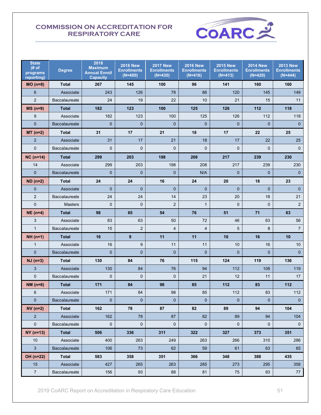

| <b>State</b><br># of<br>programs<br>reporting) | <b>Degree</b>        | 2018<br><b>Maximum</b><br><b>Annual Enroll</b><br><b>Capacity</b> | <b>2018 New</b><br><b>Enrollments</b><br>$(N=400)$ | <b>2017 New</b><br><b>Enrollments</b><br>$(N=430)$ | <b>2016 New</b><br><b>Enrollments</b><br>$(N=416)$ | <b>2015 New</b><br><b>Enrollments</b><br>$(N=413)$ | <b>2014 New</b><br><b>Enrollments</b><br>$(N=420)$ | <b>2013 New</b><br><b>Enrollments</b><br>$(N=444)$ |
|------------------------------------------------|----------------------|-------------------------------------------------------------------|----------------------------------------------------|----------------------------------------------------|----------------------------------------------------|----------------------------------------------------|----------------------------------------------------|----------------------------------------------------|
| $MO(n=8)$                                      | <b>Total</b>         | 267                                                               | 145                                                | 100                                                | 96                                                 | 141                                                | 160                                                | 160                                                |
| 6                                              | Associate            | 243                                                               | 126                                                | 78                                                 | 86                                                 | 120                                                | 145                                                | 149                                                |
| $\overline{2}$                                 | <b>Baccalaureate</b> | 24                                                                | 19                                                 | 22                                                 | 10                                                 | 21                                                 | 15                                                 | 11                                                 |
| $MS(n=9)$                                      | <b>Total</b>         | 182                                                               | 123                                                | 100                                                | 125                                                | 126                                                | 112                                                | 118                                                |
| 9                                              | Associate            | 182                                                               | 123                                                | 100                                                | 125                                                | 126                                                | 112                                                | 118                                                |
| $\overline{0}$                                 | Baccalaureate        | $\overline{0}$                                                    | $\mathbf{0}$                                       | $\mathbf{0}$                                       | $\overline{0}$                                     | $\mathbf 0$                                        | $\mathbf 0$                                        | $\mathbf{0}$                                       |
| $MT(n=2)$                                      | <b>Total</b>         | 31                                                                | 17                                                 | 21                                                 | 18                                                 | 17                                                 | 22                                                 | 25                                                 |
| $\overline{2}$                                 | Associate            | 31                                                                | 17                                                 | 21                                                 | 18                                                 | 17                                                 | 22                                                 | 25                                                 |
| $\mathbf 0$                                    | <b>Baccalaureate</b> | $\mathbf{0}$                                                      | $\mathbf 0$                                        | $\mathbf 0$                                        | 0                                                  | $\mathbf 0$                                        | $\mathbf 0$                                        | $\mathbf 0$                                        |
| $NC (n=14)$                                    | <b>Total</b>         | 299                                                               | 203                                                | 198                                                | 208                                                | 217                                                | 239                                                | 230                                                |
| 14                                             | Associate            | 299                                                               | 203                                                | 198                                                | 208                                                | 217                                                | 239                                                | 230                                                |
| $\overline{0}$                                 | <b>Baccalaureate</b> | $\overline{0}$                                                    | $\overline{0}$                                     | $\mathbf{0}$                                       | N/A                                                | $\overline{0}$                                     | $\mathbf 0$                                        | $\mathbf 0$                                        |
| $ND (n=2)$                                     | <b>Total</b>         | 24                                                                | 24                                                 | 16                                                 | 24                                                 | 20                                                 | 18                                                 | 23                                                 |
| $\overline{0}$                                 | Associate            | $\mathbf{0}$                                                      | $\overline{0}$                                     | $\overline{0}$                                     | $\overline{0}$                                     | $\overline{0}$                                     | $\overline{0}$                                     | $\mathbf 0$                                        |
| $\overline{2}$                                 | Baccalaureate        | 24                                                                | 24                                                 | 14                                                 | 23                                                 | 20                                                 | 18                                                 | 21                                                 |
| 0                                              | <b>Masters</b>       | $\mathbf 0$                                                       | $\mathbf 0$                                        | $\mathbf 2$                                        | $\mathbf{1}$                                       | $\mathbf 0$                                        | $\mathbf 0$                                        | $\overline{c}$                                     |
| $NE(n=4)$                                      | <b>Total</b>         | 98                                                                | 65                                                 | 54                                                 | 76                                                 | 51                                                 | 71                                                 | 63                                                 |
| 3                                              | Associate            | 83                                                                | 63                                                 | 50                                                 | 72                                                 | 46                                                 | 63                                                 | 56                                                 |
| $\mathbf{1}$                                   | <b>Baccalaureate</b> | 15                                                                | $\overline{2}$                                     | 4                                                  | 4                                                  | 5                                                  | 8                                                  | $\overline{7}$                                     |
| $NH (n=1)$                                     | <b>Total</b>         | 16                                                                | 9                                                  | 11                                                 | 11                                                 | 10                                                 | 16                                                 | 10                                                 |
| $\mathbf{1}$                                   | Associate            | 16                                                                | $9\,$                                              | 11                                                 | 11                                                 | 10                                                 | 16                                                 | 10                                                 |
| $\overline{0}$                                 | <b>Baccalaureate</b> | $\mathbf{0}$                                                      | $\overline{0}$                                     | $\mathbf 0$                                        | $\overline{0}$                                     | $\overline{0}$                                     | $\mathbf{0}$                                       | $\mathbf{0}$                                       |
| $NJ (n=3)$                                     | <b>Total</b>         | 130                                                               | 84                                                 | 76                                                 | 115                                                | 124                                                | 119                                                | 136                                                |
| 3                                              | Associate            | 130                                                               | 84                                                 | 76                                                 | 94                                                 | 112                                                | 108                                                | 119                                                |
| $\mathbf{0}$                                   | <b>Baccalaureate</b> | $\mathbf{0}$                                                      | $\mathbf 0$                                        | $\mathbf 0$                                        | 21                                                 | 12                                                 | 11                                                 | 17                                                 |
| $NM(n=6)$                                      | <b>Total</b>         | 171                                                               | 84                                                 | 98                                                 | 85                                                 | 112                                                | 83                                                 | 112                                                |
| 6                                              | Associate            | 171                                                               | 84                                                 | 98                                                 | 85                                                 | 112                                                | 83                                                 | 112                                                |
| $\overline{0}$                                 | Baccalaureate        | $\mathbf 0$                                                       | $\mathbf{0}$                                       | $\mathbf{0}$                                       | $\mathbf 0$                                        | $\overline{0}$                                     | $\mathbf{0}$                                       | $\mathbf{0}$                                       |
| $NV(n=2)$                                      | <b>Total</b>         | 162                                                               | 78                                                 | 87                                                 | 82                                                 | 89                                                 | 94                                                 | 104                                                |
| $\overline{2}$                                 | Associate            | 162                                                               | 78                                                 | 87                                                 | 82                                                 | 89                                                 | 94                                                 | 104                                                |
| $\mathbf 0$                                    | Baccalaureate        | $\mathbf 0$                                                       | $\mathbf 0$                                        | $\mathbf 0$                                        | $\mathbf{0}$                                       | $\mathbf 0$                                        | $\mathbf 0$                                        | $\mathbf 0$                                        |
| $NY($ n=13)                                    | <b>Total</b>         | 506                                                               | 336                                                | 311                                                | 322                                                | 327                                                | 373                                                | 351                                                |
| 10                                             | Associate            | 400                                                               | 263                                                | 249                                                | 263                                                | 266                                                | 310                                                | 286                                                |
| 3 <sup>2</sup>                                 | Baccalaureate        | 106                                                               | 73                                                 | 62                                                 | 59                                                 | 61                                                 | 63                                                 | 65                                                 |
| OH (n=22)                                      | <b>Total</b>         | 583                                                               | 358                                                | 351                                                | 366                                                | 348                                                | 388                                                | 435                                                |
| 15                                             | Associate            | 427                                                               | 265                                                | 263                                                | 285                                                | 273                                                | 295                                                | 358                                                |
| $\boldsymbol{7}$                               | Baccalaureate        | 156                                                               | 93                                                 | 88                                                 | 81                                                 | 75                                                 | 93                                                 | 77                                                 |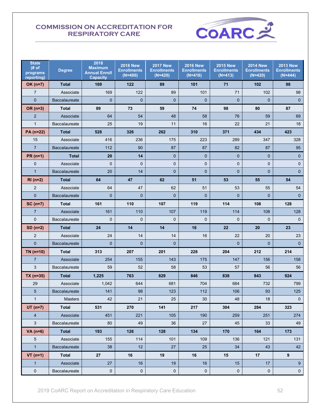

| <b>State</b><br># of<br>programs<br>reporting) | <b>Degree</b>        | 2018<br><b>Maximum</b><br><b>Annual Enroll</b><br><b>Capacity</b> | <b>2018 New</b><br><b>Enrollments</b><br>$(N=400)$ | <b>2017 New</b><br><b>Enrollments</b><br>$(N=420)$ | <b>2016 New</b><br><b>Enrollments</b><br>$(N=416)$ | <b>2015 New</b><br><b>Enrollments</b><br>$(N=413)$ | <b>2014 New</b><br><b>Enrollments</b><br>$(N=420)$ | <b>2013 New</b><br><b>Enrollments</b><br>$(N=444)$ |
|------------------------------------------------|----------------------|-------------------------------------------------------------------|----------------------------------------------------|----------------------------------------------------|----------------------------------------------------|----------------------------------------------------|----------------------------------------------------|----------------------------------------------------|
| $OK(n=7)$                                      | <b>Total</b>         | 169                                                               | 122                                                | 89                                                 | 101                                                | 71                                                 | 102                                                | 98                                                 |
| $\overline{7}$                                 | Associate            | 169                                                               | 122                                                | 89                                                 | 101                                                | 71                                                 | 102                                                | 98                                                 |
| $\mathbf{0}$                                   | <b>Baccalaureate</b> | $\Omega$                                                          | $\overline{0}$                                     | $\mathbf{0}$                                       | $\Omega$                                           | $\overline{0}$                                     | $\overline{0}$                                     | $\mathbf{0}$                                       |
| OR (n=3)                                       | <b>Total</b>         | 89                                                                | 73                                                 | 59                                                 | 74                                                 | 98                                                 | 80                                                 | 87                                                 |
| $\overline{2}$                                 | Associate            | 64                                                                | 54                                                 | 48                                                 | 58                                                 | 76                                                 | 59                                                 | 69                                                 |
| $\mathbf{1}$                                   | Baccalaureate        | 25                                                                | 19                                                 | 11                                                 | 16                                                 | 22                                                 | 21                                                 | 18                                                 |
| PA (n=22)                                      | <b>Total</b>         | 528                                                               | 326                                                | 262                                                | 310                                                | 371                                                | 434                                                | 423                                                |
| 15                                             | Associate            | 416                                                               | 236                                                | 175                                                | 223                                                | 289                                                | 347                                                | 328                                                |
| $\overline{7}$                                 | <b>Baccalaureate</b> | 112                                                               | 90                                                 | 87                                                 | 87                                                 | 82                                                 | 87                                                 | 95                                                 |
| $PR(n=1)$                                      | <b>Total</b>         | 20                                                                | 14                                                 | $\mathbf{0}$                                       | $\mathbf 0$                                        | $\mathbf{0}$                                       | $\mathbf{0}$                                       | $\mathbf 0$                                        |
| $\mathbf{0}$                                   | Associate            | $\Omega$                                                          | $\mathbf{0}$                                       | $\pmb{0}$                                          | $\mathbf{0}$                                       | $\mathbf{0}$                                       | $\mathbf{0}$                                       | $\mathbf 0$                                        |
| $\mathbf{1}$                                   | Baccalaureate        | 20                                                                | 14                                                 | $\mathbf 0$                                        | $\mathbf{0}$                                       | $\overline{0}$                                     | $\overline{0}$                                     | $\overline{0}$                                     |
| $RI(n=2)$                                      | <b>Total</b>         | 64                                                                | 47                                                 | 62                                                 | 51                                                 | 53                                                 | 55                                                 | 54                                                 |
| 2                                              | Associate            | 64                                                                | 47                                                 | 62                                                 | 51                                                 | 53                                                 | 55                                                 | 54                                                 |
| $\mathbf{0}$                                   | <b>Baccalaureate</b> | $\Omega$                                                          | $\mathbf{0}$                                       | $\mathbf{0}$                                       | $\mathbf{0}$                                       | $\overline{0}$                                     | $\mathbf{0}$                                       | $\mathbf{0}$                                       |
| $SC(n=7)$                                      | <b>Total</b>         | 161                                                               | 110                                                | 107                                                | 119                                                | 114                                                | 108                                                | 128                                                |
| $\overline{7}$                                 | Associate            | 161                                                               | 110                                                | 107                                                | 119                                                | 114                                                | 108                                                | 128                                                |
| $\Omega$                                       | <b>Baccalaureate</b> | $\Omega$                                                          | $\Omega$                                           | $\Omega$                                           | $\Omega$                                           | $\Omega$                                           | $\mathbf 0$                                        | $\mathbf{0}$                                       |
| $SD(n=2)$                                      | <b>Total</b>         | 24                                                                | 14                                                 | 14                                                 | 16                                                 | 22                                                 | 20                                                 | 23                                                 |
| $\overline{2}$                                 | Associate            | 24                                                                | 14                                                 | 14                                                 | 16                                                 | 22                                                 | 20                                                 | 23                                                 |
| $\mathbf{0}$                                   | Baccalaureate        | $\mathbf{0}$                                                      | $\mathbf{0}$                                       | $\mathbf 0$                                        |                                                    | $\mathbf{0}$                                       | $\mathbf{0}$                                       | $\mathbf 0$                                        |
| $TN($ n=10)                                    | <b>Total</b>         | 313                                                               | 207                                                | 201                                                | 228                                                | 204                                                | 212                                                | 214                                                |
| $\overline{7}$                                 | Associate            | 254                                                               | 155                                                | 143                                                | 175                                                | 147                                                | 156                                                | 158                                                |
| 3                                              | Baccalaureate        | 59                                                                | 52                                                 | 58                                                 | 53                                                 | 57                                                 | 56                                                 | 56                                                 |
| $TX$ (n=35)                                    | <b>Total</b>         | 1,225                                                             | 763                                                | 829                                                | 846                                                | 838                                                | 843                                                | 924                                                |
| 29                                             | Associate            | 1,042                                                             | 644                                                | 681                                                | 704                                                | 684                                                | 732                                                | 799                                                |
| 5                                              | <b>Baccalaureate</b> | 141                                                               | 98                                                 | 123                                                | 112                                                | 106                                                | 93                                                 | 125                                                |
| $\mathbf{1}$                                   | <b>Masters</b>       | 42                                                                | 21                                                 | 25                                                 | 30                                                 | 48                                                 | 18                                                 | 0                                                  |
| $UT (n=7)$                                     | <b>Total</b>         | 531                                                               | 270                                                | 141                                                | 217                                                | 304                                                | 284                                                | 323                                                |
| $\overline{4}$                                 | Associate            | 451                                                               | 221                                                | 105                                                | 190                                                | 259                                                | 251                                                | 274                                                |
| $\mathbf{3}$                                   | Baccalaureate        | 80                                                                | 49                                                 | 36                                                 | 27                                                 | 45                                                 | 33                                                 | 49                                                 |
| VA $(n=6)$                                     | <b>Total</b>         | 193                                                               | 126                                                | 128                                                | 134                                                | 170                                                | 164                                                | 173                                                |
| $\sqrt{5}$                                     | Associate            | 155                                                               | 114                                                | 101                                                | 109                                                | 136                                                | 121                                                | 131                                                |
| $\mathbf{1}$                                   | Baccalaureate        | 38                                                                | 12                                                 | 27                                                 | 25                                                 | 34                                                 | 43                                                 | 42                                                 |
| $VT (n=1)$                                     | <b>Total</b>         | 27                                                                | 16                                                 | 19                                                 | 16                                                 | 15                                                 | 17                                                 | $\boldsymbol{9}$                                   |
| $\mathbf{1}$                                   | Associate            | 27                                                                | 16                                                 | 19                                                 | 16                                                 | 15                                                 | 17                                                 | 9                                                  |
| $\pmb{0}$                                      | Baccalaureate        | $\pmb{0}$                                                         | 0                                                  | $\mathbf 0$                                        | $\pmb{0}$                                          | $\mathbf 0$                                        | $\mathbf 0$                                        | $\pmb{0}$                                          |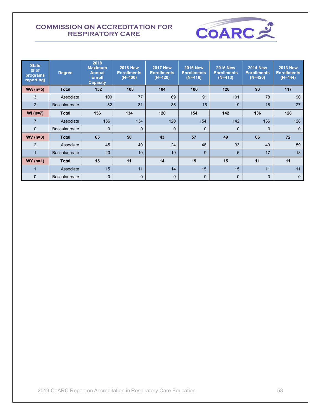

| <b>State</b><br># of<br>programs<br>reporting) | <b>Degree</b>        | 2018<br><b>Maximum</b><br><b>Annual</b><br><b>Enroll</b><br><b>Capacity</b> | <b>2018 New</b><br><b>Enrollments</b><br>$(N=400)$ | <b>2017 New</b><br><b>Enrollments</b><br>$(N=420)$ | <b>2016 New</b><br><b>Enrollments</b><br>$(N=416)$ | <b>2015 New</b><br><b>Enrollments</b><br>$(N=413)$ | <b>2014 New</b><br><b>Enrollments</b><br>$(N=420)$ | <b>2013 New</b><br><b>Enrollments</b><br>$(N=444)$ |
|------------------------------------------------|----------------------|-----------------------------------------------------------------------------|----------------------------------------------------|----------------------------------------------------|----------------------------------------------------|----------------------------------------------------|----------------------------------------------------|----------------------------------------------------|
| $WA$ (n=5)                                     | <b>Total</b>         | 152                                                                         | 108                                                | 104                                                | 106                                                | 120                                                | 93                                                 | 117                                                |
| 3                                              | Associate            | 100                                                                         | 77                                                 | 69                                                 | 91                                                 | 101                                                | 78                                                 | 90                                                 |
| 2                                              | <b>Baccalaureate</b> | 52                                                                          | 31                                                 | 35                                                 | 15                                                 | 19                                                 | 15                                                 | 27                                                 |
| $WI (n=7)$                                     | <b>Total</b>         | 156                                                                         | 134                                                | 120                                                | 154                                                | 142                                                | 136                                                | 128                                                |
| $\overline{7}$                                 | Associate            | 156                                                                         | 134                                                | 120                                                | 154                                                | 142                                                | 136                                                | 128                                                |
| $\Omega$                                       | <b>Baccalaureate</b> | $\Omega$                                                                    | $\mathbf{0}$                                       | $\mathbf{0}$                                       | $\Omega$                                           | $\mathbf 0$                                        | $\mathbf{0}$                                       | $\mathbf{0}$                                       |
| $WV(n=3)$                                      | <b>Total</b>         | 65                                                                          | 50                                                 | 43                                                 | 57                                                 | 49                                                 | 66                                                 | 72                                                 |
| 2                                              | Associate            | 45                                                                          | 40                                                 | 24                                                 | 48                                                 | 33                                                 | 49                                                 | 59                                                 |
|                                                | <b>Baccalaureate</b> | 20                                                                          | 10                                                 | 19                                                 | 9                                                  | 16                                                 | 17                                                 | 13                                                 |
| $WY(n=1)$                                      | Total                | 15                                                                          | 11                                                 | 14                                                 | 15                                                 | 15                                                 | 11                                                 | 11                                                 |
|                                                | Associate            | 15                                                                          | 11                                                 | 14                                                 | 15                                                 | 15                                                 | 11                                                 | 11                                                 |
| $\Omega$                                       | <b>Baccalaureate</b> | $\mathbf 0$                                                                 | $\mathbf{0}$                                       | $\mathbf{0}$                                       | $\mathbf 0$                                        | $\mathbf 0$                                        | 0                                                  | $\mathbf 0$                                        |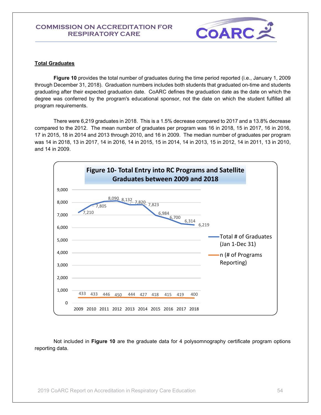

#### **Total Graduates**

**Figure 10** provides the total number of graduates during the time period reported (i.e., January 1, 2009 through December 31, 2018). Graduation numbers includes both students that graduated on-time and students graduating after their expected graduation date. CoARC defines the graduation date as the date on which the degree was conferred by the program's educational sponsor, not the date on which the student fulfilled all program requirements.

There were 6,219 graduates in 2018. This is a 1.5% decrease compared to 2017 and a 13.8% decrease compared to the 2012. The mean number of graduates per program was 16 in 2018, 15 in 2017, 16 in 2016, 17 in 2015, 18 in 2014 and 2013 through 2010, and 16 in 2009. The median number of graduates per program was 14 in 2018, 13 in 2017, 14 in 2016, 14 in 2015, 15 in 2014, 14 in 2013, 15 in 2012, 14 in 2011, 13 in 2010, and 14 in 2009.



Not included in **Figure 10** are the graduate data for 4 polysomnography certificate program options reporting data.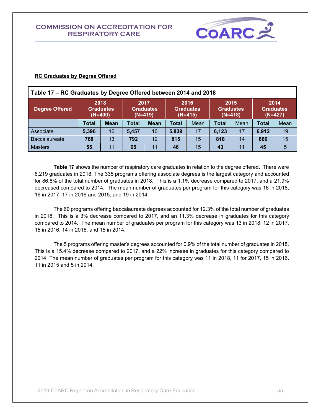

#### **RC Graduates by Degree Offered**

| Table 17 – RC Graduates by Degree Offered between 2014 and 2018 |              |                                       |              |                                       |              |                                       |              |                                       |              |                                       |  |
|-----------------------------------------------------------------|--------------|---------------------------------------|--------------|---------------------------------------|--------------|---------------------------------------|--------------|---------------------------------------|--------------|---------------------------------------|--|
| <b>Degree Offered</b>                                           |              | 2018<br><b>Graduates</b><br>$(N=400)$ |              | 2017<br><b>Graduates</b><br>$(N=419)$ |              | 2016<br><b>Graduates</b><br>$(N=415)$ |              | 2015<br><b>Graduates</b><br>$(N=418)$ |              | 2014<br><b>Graduates</b><br>$(N=427)$ |  |
|                                                                 | <b>Total</b> | <b>Mean</b>                           | <b>Total</b> | <b>Mean</b>                           | <b>Total</b> | Mean                                  | <b>Total</b> | Mean                                  | <b>Total</b> | Mean                                  |  |
| Associate                                                       | 5,396        | 16                                    | 5,457        | 16                                    | 5,839        | 17                                    | 6,123        | 17                                    | 6,912        | 19                                    |  |
| <b>Baccalaureate</b>                                            | 768          | 13                                    | 792          | 12                                    | 815          | 15                                    | 818          | 14                                    | 866          | 15                                    |  |
| <b>Masters</b>                                                  | 55           | 11                                    | 65           | 11                                    | 46           | 15                                    | 43           | 11                                    | 45           | 5                                     |  |

**Table 17** shows the number of respiratory care graduates in relation to the degree offered. There were 6,219 graduates in 2018. The 335 programs offering associate degrees is the largest category and accounted for 86.8% of the total number of graduates in 2018. This is a 1.1% decrease compared to 2017, and a 21.9% decreased compared to 2014. The mean number of graduates per program for this category was 16 in 2018, 16 in 2017, 17 in 2016 and 2015, and 19 in 2014.

The 60 programs offering baccalaureate degrees accounted for 12.3% of the total number of graduates in 2018. This is a 3% decrease compared to 2017, and an 11.3% decrease in graduates for this category compared to 2014. The mean number of graduates per program for this category was 13 in 2018, 12 in 2017, 15 in 2016, 14 in 2015, and 15 in 2014.

The 5 programs offering master's degrees accounted for 0.9% of the total number of graduates in 2018. This is a 15.4% decrease compared to 2017, and a 22% increase in graduates for this category compared to 2014. The mean number of graduates per program for this category was 11 in 2018, 11 for 2017, 15 in 2016, 11 in 2015 and 5 in 2014.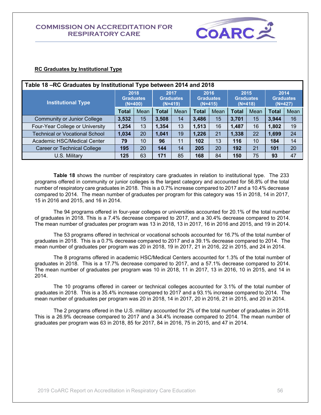

### **RC Graduates by Institutional Type**

| Table 18 - RC Graduates by Institutional Type between 2014 and 2018 |              |                                       |              |                                       |              |                                       |              |                                       |       |                                       |  |
|---------------------------------------------------------------------|--------------|---------------------------------------|--------------|---------------------------------------|--------------|---------------------------------------|--------------|---------------------------------------|-------|---------------------------------------|--|
| <b>Institutional Type</b>                                           |              | 2018<br><b>Graduates</b><br>$(N=400)$ |              | 2017<br><b>Graduates</b><br>$(N=419)$ |              | 2016<br><b>Graduates</b><br>$(N=415)$ |              | 2015<br><b>Graduates</b><br>$(N=418)$ |       | 2014<br><b>Graduates</b><br>$(N=427)$ |  |
|                                                                     | <b>Total</b> | Mean                                  | <b>Total</b> | Mean                                  | <b>Total</b> | Mean                                  | <b>Total</b> | Mean                                  | Total | Mean                                  |  |
| <b>Community or Junior College</b>                                  | 3,532        | 15                                    | 3,508        | 14                                    | 3,486        | 15                                    | 3,701        | 15                                    | 3,944 | 16                                    |  |
| Four-Year College or University                                     | 1,254        | 13                                    | 1,354        | 13                                    | 1,513        | 16                                    | 1,487        | 16                                    | 1,802 | 19                                    |  |
| Technical or Vocational School                                      | 1,034        | 20                                    | 1,041        | 19                                    | 1,226        | 21                                    | 1,338        | 22                                    | 1,699 | 24                                    |  |
| Academic HSC/Medical Center                                         | 79           | 10                                    | 96           | 11                                    | 102          | 13                                    | 116          | 10                                    | 184   | 14                                    |  |
| <b>Career or Technical College</b>                                  | 195          | 20                                    | 144          | 14                                    | 205          | 20                                    | 192          | 21                                    | 101   | 20                                    |  |
| U.S. Military                                                       | 125          | 63                                    | 171          | 85                                    | 168          | 84                                    | 150          | 75                                    | 93    | 47                                    |  |

**Table 18** shows the number of respiratory care graduates in relation to institutional type. The 233 programs offered in community or junior colleges is the largest category and accounted for 56.8% of the total number of respiratory care graduates in 2018. This is a 0.7% increase compared to 2017 and a 10.4% decrease compared to 2014. The mean number of graduates per program for this category was 15 in 2018, 14 in 2017, 15 in 2016 and 2015, and 16 in 2014.

The 94 programs offered in four-year colleges or universities accounted for 20.1% of the total number of graduates in 2018. This is a 7.4% decrease compared to 2017, and a 30.4% decrease compared to 2014. The mean number of graduates per program was 13 in 2018, 13 in 2017, 16 in 2016 and 2015, and 19 in 2014.

The 53 programs offered in technical or vocational schools accounted for 16.7% of the total number of graduates in 2018. This is a 0.7% decrease compared to 2017 and a 39.1% decrease compared to 2014. The mean number of graduates per program was 20 in 2018, 19 in 2017, 21 in 2016, 22 in 2015, and 24 in 2014.

The 8 programs offered in academic HSC/Medical Centers accounted for 1.3% of the total number of graduates in 2018. This is a 17.7% decrease compared to 2017, and a 57.1% decrease compared to 2014. The mean number of graduates per program was 10 in 2018, 11 in 2017, 13 in 2016, 10 in 2015, and 14 in 2014.

The 10 programs offered in career or technical colleges accounted for 3.1% of the total number of graduates in 2018. This is a 35.4% increase compared to 2017 and a 93.1% increase compared to 2014. The mean number of graduates per program was 20 in 2018, 14 in 2017, 20 in 2016, 21 in 2015, and 20 in 2014.

The 2 programs offered in the U.S. military accounted for 2% of the total number of graduates in 2018. This is a 26.9% decrease compared to 2017 and a 34.4% increase compared to 2014. The mean number of graduates per program was 63 in 2018, 85 for 2017, 84 in 2016, 75 in 2015, and 47 in 2014.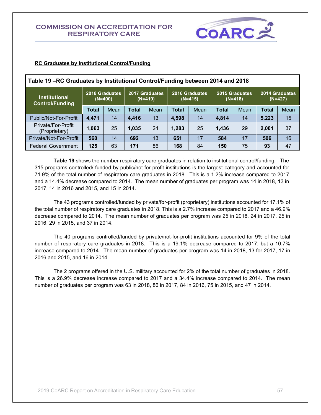

| Table 19 – RC Graduates by Institutional Control/Funding between 2014 and 2018 |                             |      |       |                             |              |                             |              |                                                            |              |      |
|--------------------------------------------------------------------------------|-----------------------------|------|-------|-----------------------------|--------------|-----------------------------|--------------|------------------------------------------------------------|--------------|------|
| <b>Institutional</b><br><b>Control/Funding</b>                                 | 2018 Graduates<br>$(N=400)$ |      |       | 2017 Graduates<br>$(N=419)$ |              | 2016 Graduates<br>$(N=415)$ |              | 2015 Graduates<br>2014 Graduates<br>$(N=418)$<br>$(N=427)$ |              |      |
|                                                                                | <b>Total</b>                | Mean | Total | Mean                        | <b>Total</b> | Mean                        | <b>Total</b> | Mean                                                       | <b>Total</b> | Mean |
| Public/Not-For-Profit                                                          | 4,471                       | 14   | 4,416 | 13                          | 4,598        | 14                          | 4,814        | 14                                                         | 5,223        | 15   |
| Private/For-Profit<br>(Proprietary)                                            | 1,063                       | 25   | 1,035 | 24                          | 1,283        | 25                          | 1,436        | 29                                                         | 2,001        | 37   |
| Private/Not-For-Profit                                                         | 560                         | 14   | 692   | 13                          | 651          | 17                          | 584          | 17                                                         | 506          | 16   |
| <b>Federal Government</b>                                                      | 125                         | 63   | 171   | 86                          | 168          | 84                          | 150          | 75                                                         | 93           | 47   |

#### **RC Graduates by Institutional Control/Funding**

**Table 19** shows the number respiratory care graduates in relation to institutional control/funding. The 315 programs controlled/ funded by public/not-for-profit institutions is the largest category and accounted for 71.9% of the total number of respiratory care graduates in 2018. This is a 1.2% increase compared to 2017 and a 14.4% decrease compared to 2014. The mean number of graduates per program was 14 in 2018, 13 in 2017, 14 in 2016 and 2015, and 15 in 2014.

The 43 programs controlled/funded by private/for-profit (proprietary) institutions accounted for 17.1% of the total number of respiratory care graduates in 2018. This is a 2.7% increase compared to 2017 and a 46.9% decrease compared to 2014. The mean number of graduates per program was 25 in 2018, 24 in 2017, 25 in 2016, 29 in 2015, and 37 in 2014.

The 40 programs controlled/funded by private/not-for-profit institutions accounted for 9% of the total number of respiratory care graduates in 2018. This is a 19.1% decrease compared to 2017, but a 10.7% increase compared to 2014. The mean number of graduates per program was 14 in 2018, 13 for 2017, 17 in 2016 and 2015, and 16 in 2014.

The 2 programs offered in the U.S. military accounted for 2% of the total number of graduates in 2018. This is a 26.9% decrease increase compared to 2017 and a 34.4% increase compared to 2014. The mean number of graduates per program was 63 in 2018, 86 in 2017, 84 in 2016, 75 in 2015, and 47 in 2014.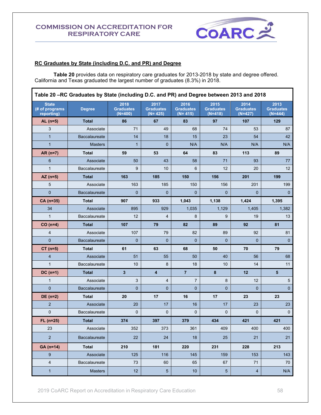

#### **RC Graduates by State (including D.C. and PR) and Degree**

**Table 20** provides data on respiratory care graduates for 2013-2018 by state and degree offered. California and Texas graduated the largest number of graduates (8.3%) in 2018.

| Table 20 -RC Graduates by State (including D.C. and PR) and Degree between 2013 and 2018 |                      |                                       |                                         |                                       |                                       |                                       |                                       |  |  |
|------------------------------------------------------------------------------------------|----------------------|---------------------------------------|-----------------------------------------|---------------------------------------|---------------------------------------|---------------------------------------|---------------------------------------|--|--|
| <b>State</b><br>(# of programs<br>reporting)                                             | <b>Degree</b>        | 2018<br><b>Graduates</b><br>$(N=400)$ | 2017<br><b>Graduates</b><br>$(N = 425)$ | 2016<br><b>Graduates</b><br>$(N=415)$ | 2015<br><b>Graduates</b><br>$(N=418)$ | 2014<br><b>Graduates</b><br>$(N=427)$ | 2013<br><b>Graduates</b><br>$(N=444)$ |  |  |
| $AL(n=5)$                                                                                | <b>Total</b>         | 86                                    | 67                                      | 83                                    | 97                                    | 107                                   | 129                                   |  |  |
| 3                                                                                        | Associate            | 71                                    | 49                                      | 68                                    | 74                                    | 53                                    | 87                                    |  |  |
| $\mathbf{1}$                                                                             | <b>Baccalaureate</b> | 14                                    | 18                                      | 15                                    | 23                                    | 54                                    | 42                                    |  |  |
| $\mathbf{1}$                                                                             | <b>Masters</b>       | $\mathbf{1}$                          | $\mathbf 0$                             | N/A                                   | N/A                                   | N/A                                   | N/A                                   |  |  |
| $AR(n=7)$                                                                                | <b>Total</b>         | 59                                    | 53                                      | 64                                    | 83                                    | 113                                   | 89                                    |  |  |
| 6                                                                                        | Associate            | 50                                    | 43                                      | 58                                    | 71                                    | 93                                    | 77                                    |  |  |
| $\mathbf{1}$                                                                             | Baccalaureate        | 9                                     | 10                                      | 6                                     | 12                                    | 20                                    | 12                                    |  |  |
| $AZ (n=5)$                                                                               | <b>Total</b>         | 163                                   | 185                                     | 150                                   | 156                                   | 201                                   | 199                                   |  |  |
| 5                                                                                        | Associate            | 163                                   | 185                                     | 150                                   | 156                                   | 201                                   | 199                                   |  |  |
| $\mathbf 0$                                                                              | <b>Baccalaureate</b> | $\mathbf 0$                           | $\mathbf 0$                             | $\mathbf 0$                           | 0                                     | $\mathbf{0}$                          | $\mathbf 0$                           |  |  |
| CA (n=35)                                                                                | <b>Total</b>         | 907                                   | 933                                     | 1,043                                 | 1,138                                 | 1,424                                 | 1,395                                 |  |  |
| 34                                                                                       | Associate            | 895                                   | 929                                     | 1,035                                 | 1,129                                 | 1,405                                 | 1,382                                 |  |  |
| $\mathbf{1}$                                                                             | Baccalaureate        | 12                                    | 4                                       | 8                                     | 9                                     | 19                                    | 13                                    |  |  |
| $CO(n=4)$                                                                                | <b>Total</b>         | 107                                   | 79                                      | 82                                    | 89                                    | 92                                    | 81                                    |  |  |
| 4                                                                                        | Associate            | 107                                   | 79                                      | 82                                    | 89                                    | 92                                    | 81                                    |  |  |
| $\overline{0}$                                                                           | Baccalaureate        | $\mathbf 0$                           | $\mathbf 0$                             | $\mathbf 0$                           | $\mathbf 0$                           | $\mathbf 0$                           | $\mathbf{0}$                          |  |  |
| $CT (n=5)$                                                                               | <b>Total</b>         | 61                                    | 63                                      | 68                                    | 50                                    | 70                                    | 79                                    |  |  |
| 4                                                                                        | Associate            | 51                                    | 55                                      | 50                                    | 40                                    | 56                                    | 68                                    |  |  |
| $\mathbf{1}$                                                                             | Baccalaureate        | 10                                    | 8                                       | 18                                    | 10                                    | 14                                    | 11                                    |  |  |
| $DC(n=1)$                                                                                | <b>Total</b>         | $\mathbf{3}$                          | $\overline{\mathbf{4}}$                 | $\overline{7}$                        | 8                                     | 12                                    | 5                                     |  |  |
| $\mathbf{1}$                                                                             | Associate            | 3                                     | 4                                       | $\overline{7}$                        | 8                                     | 12                                    | 5                                     |  |  |
| $\overline{0}$                                                                           | Baccalaureate        | $\mathbf{0}$                          | $\mathbf{0}$                            | $\overline{0}$                        | $\overline{0}$                        | $\overline{0}$                        | $\mathbf 0$                           |  |  |
| $DE(n=2)$                                                                                | <b>Total</b>         | 20                                    | 17                                      | 16                                    | 17                                    | 23                                    | 23                                    |  |  |
| $\overline{2}$                                                                           | Associate            | 20                                    | 17                                      | 16                                    | 17                                    | 23                                    | 23                                    |  |  |
| $\pmb{0}$                                                                                | Baccalaureate        | 0                                     | $\mathbf 0$                             | $\mathbf 0$                           | $\boldsymbol{0}$                      | 0                                     | 0                                     |  |  |
| $FL (n=25)$                                                                              | <b>Total</b>         | 374                                   | 397                                     | 379                                   | 434                                   | 421                                   | 421                                   |  |  |
| 23                                                                                       | Associate            | 352                                   | 373                                     | 361                                   | 409                                   | 400                                   | 400                                   |  |  |
| $\overline{2}$                                                                           | Baccalaureate        | 22                                    | 24                                      | 18                                    | 25                                    | 21                                    | 21                                    |  |  |
| GA (n=14)                                                                                | <b>Total</b>         | 210                                   | 181                                     | 220                                   | 231                                   | 228                                   | 213                                   |  |  |
| 9                                                                                        | Associate            | 125                                   | 116                                     | 145                                   | 159                                   | 153                                   | 143                                   |  |  |
| 4                                                                                        | Baccalaureate        | 73                                    | 60                                      | 65                                    | 67                                    | 71                                    | 70                                    |  |  |
| $\mathbf{1}$                                                                             | <b>Masters</b>       | 12                                    | $\sqrt{5}$                              | 10                                    | 5                                     | $\overline{\mathbf{4}}$               | N/A                                   |  |  |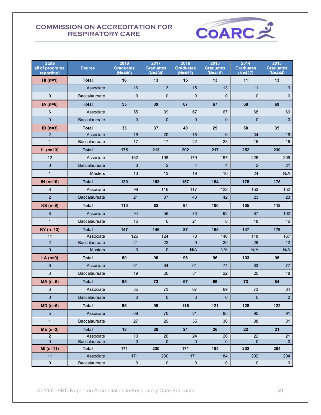

| <b>State</b><br>(# of programs<br>reporting) | <b>Degree</b>             | 2018<br><b>Graduates</b><br>$(N=400)$ | 2017<br><b>Graduates</b><br>$(N=430)$ | 2016<br><b>Graduates</b><br>$(N=415)$ | 2015<br><b>Graduates</b><br>$(N=418)$ | 2014<br><b>Graduates</b><br>$(N=427)$ | 2013<br><b>Graduates</b><br>$(N=444)$ |
|----------------------------------------------|---------------------------|---------------------------------------|---------------------------------------|---------------------------------------|---------------------------------------|---------------------------------------|---------------------------------------|
| $HI(n=1)$                                    | <b>Total</b>              | 16                                    | 13                                    | 15                                    | 13                                    | 11                                    | 13                                    |
| $\overline{1}$                               | Associate                 | 16                                    | 13                                    | 15                                    | 13                                    | 11                                    | 13                                    |
| $\pmb{0}$                                    | <b>Baccalaureate</b>      | $\mathbf 0$                           | $\mathbf 0$                           | $\mathbf{0}$                          | $\mathbf{0}$                          | $\mathbf 0$                           | $\mathbf 0$                           |
| $IA(n=6)$                                    | <b>Total</b>              | 55                                    | 39                                    | 67                                    | 67                                    | 68                                    | 69                                    |
| $\,6$                                        | Associate                 | 55                                    | 39                                    | 67                                    | 67                                    | 68                                    | 69                                    |
| $\mathbf 0$                                  | Baccalaureate             | $\mathbf{0}$                          | $\overline{0}$                        | $\Omega$                              | $\mathbf{0}$                          | $\mathbf 0$                           | $\mathbf{0}$                          |
| $ID (n=3)$                                   | <b>Total</b>              | 33                                    | 37                                    | 40                                    | 29                                    | 50                                    | 35                                    |
| $\overline{2}$                               | Associate                 | 16                                    | 20                                    | 18                                    | $6\phantom{1}$                        | 34                                    | 19                                    |
| $\mathbf{1}$                                 | <b>Baccalaureate</b>      | 17                                    | 17                                    | 22                                    | 23                                    | 16                                    | 16                                    |
| IL $(n=13)$                                  | <b>Total</b>              | 175                                   | 213                                   | 202                                   | 217                                   | 252                                   | 230                                   |
| 12                                           | Associate                 | 162                                   | 198                                   | 179                                   | 197                                   | 226                                   | 209                                   |
| $\mathbf 0$                                  | Baccalaureate             | $\mathbf{0}$                          | $\overline{2}$                        | $\overline{4}$                        | $\overline{4}$                        | 2                                     | 21                                    |
| $\mathbf{1}$                                 | <b>Masters</b>            | 13                                    | 13                                    | 19                                    | 16                                    | 24                                    | N/A                                   |
| IN $(n=10)$                                  | <b>Total</b>              | 120                                   | 153                                   | 157                                   | 164                                   | 176                                   | 175                                   |
| 8                                            | Associate                 | 99                                    | 116                                   | 117                                   | 122                                   | 153                                   | 152                                   |
| $\overline{2}$                               | <b>Baccalaureate</b>      | 21                                    | 37                                    | 40                                    | 42                                    | 23                                    | 23                                    |
| $KS$ (n=9)                                   | <b>Total</b>              | 110                                   | 62                                    | 94                                    | 100                                   | 105                                   | 118                                   |
| 8                                            | Associate                 | 94                                    | 56                                    | 73                                    | 92                                    | 87                                    | 102                                   |
| $\mathbf{1}$                                 | Baccalaureate             | 16                                    | 6                                     | 21                                    | 8                                     | 18                                    | 16                                    |
| $KY$ (n=13)                                  | <b>Total</b>              | 147                                   | 146                                   | 87                                    | 165                                   | 147                                   | 179                                   |
| 11                                           | Associate                 | 126                                   | 124                                   | 78                                    | 140                                   | 118                                   | 167                                   |
| $\overline{2}$                               | Baccalaureate             | 21                                    | 22                                    | 9                                     | 25                                    | 29                                    | 12 <sup>°</sup>                       |
| $\overline{0}$                               | <b>Masters</b>            | $\mathbf{0}$                          | $\mathbf 0$                           | N/A                                   | N/A                                   | N/A                                   | N/A                                   |
| LA $(n=9)$                                   | <b>Total</b>              | 80                                    | 90                                    | 96                                    | 96                                    | 103                                   | 95                                    |
| 6                                            | Associate                 | 61                                    | 64                                    | 61                                    | 74                                    | 83                                    | 77                                    |
| 3                                            | Baccalaureate             | 19                                    | 26                                    | 31                                    | 22                                    | 20                                    | 18                                    |
| $MA(n=6)$                                    | <b>Total</b>              | 85                                    | 73                                    | 67                                    | 69                                    | 73                                    | 84                                    |
| 6                                            | Associate                 | 85                                    | 73                                    | 67                                    | 69                                    | 73                                    | 84                                    |
| $\pmb{0}$                                    | Baccalaureate             | $\mathbf 0$                           | $\mathbf 0$                           | $\mathbf{0}$                          | $\mathbf{0}$                          | $\mathbf{0}$                          | $\overline{0}$                        |
| $MD (n=6)$                                   | <b>Total</b>              | 96                                    | 99                                    | 116                                   | 121                                   | 128                                   | 122                                   |
| 5                                            | Associate                 | 69                                    | 70                                    | 81                                    | 85                                    | 90                                    | 91                                    |
| $\mathbf{1}$                                 | Baccalaureate             | 27                                    | 29                                    | 35                                    | 36                                    | 38                                    | 31                                    |
| $ME(n=2)$                                    | <b>Total</b>              | 13                                    | 26                                    | 24                                    | 26                                    | 22                                    | 21                                    |
| $\overline{2}$                               | Associate                 | 13                                    | 26                                    | 24                                    | 26                                    | 22                                    | 21                                    |
| $\overline{0}$                               | Baccalaureate             | $\pmb{0}$<br>171                      | $\overline{0}$                        | $\mathbf{0}$                          | $\mathbf{0}$<br>184                   | $\mathbf{0}$                          | $\overline{0}$<br>204                 |
| $MI(n=11)$<br>11                             | <b>Total</b><br>Associate | 171                                   | 230<br>230                            | 171<br>171                            | 184                                   | 202<br>202                            | 204                                   |
| $\pmb{0}$                                    | Baccalaureate             | $\pmb{0}$                             | 0                                     | $\pmb{0}$                             | $\pmb{0}$                             | $\pmb{0}$                             | $\mathbf 0$                           |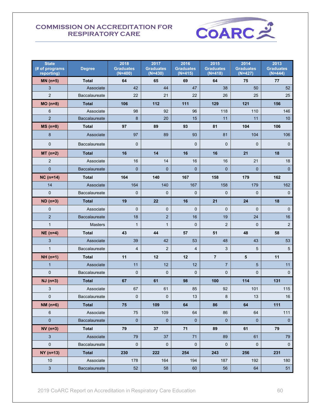

| <b>State</b><br>(# of programs<br>reporting) | <b>Degree</b>  | 2018<br><b>Graduates</b><br>$(N=400)$ | 2017<br><b>Graduates</b><br>$(N=430)$ | 2016<br><b>Graduates</b><br>$(N=415)$ | 2015<br><b>Graduates</b><br>$(N=418)$ | 2014<br><b>Graduates</b><br>$(N=427)$ | 2013<br><b>Graduates</b><br>$(N=444)$ |
|----------------------------------------------|----------------|---------------------------------------|---------------------------------------|---------------------------------------|---------------------------------------|---------------------------------------|---------------------------------------|
| $MN(n=5)$                                    | <b>Total</b>   | 64                                    | 65                                    | 69                                    | 64                                    | 75                                    | 77                                    |
| $\mathfrak{S}$                               | Associate      | 42                                    | 44                                    | 47                                    | 38                                    | 50                                    | 52                                    |
| $\overline{2}$                               | Baccalaureate  | 22                                    | 21                                    | 22                                    | 26                                    | 25                                    | 25                                    |
| $MO(n=8)$                                    | <b>Total</b>   | 106                                   | 112                                   | $111$                                 | 129                                   | 121                                   | 156                                   |
| 6                                            | Associate      | 98                                    | 92                                    | 96                                    | 118                                   | 110                                   | 146                                   |
| $\overline{2}$                               | Baccalaureate  | 8                                     | 20                                    | 15                                    | 11                                    | 11                                    | 10 <sup>°</sup>                       |
| $MS(n=8)$                                    | <b>Total</b>   | 97                                    | 89                                    | 93                                    | 81                                    | 104                                   | 106                                   |
| 8                                            | Associate      | 97                                    | 89                                    | 93                                    | 81                                    | 104                                   | 106                                   |
| $\pmb{0}$                                    | Baccalaureate  | $\mathbf 0$                           |                                       | $\mathbf{0}$                          | $\mathbf{0}$                          | $\mathbf 0$                           | $\pmb{0}$                             |
| $MT(n=2)$                                    | <b>Total</b>   | 16                                    | 14                                    | 16                                    | 16                                    | 21                                    | 18                                    |
| $\sqrt{2}$                                   | Associate      | 16                                    | 14                                    | 16                                    | 16                                    | 21                                    | 18                                    |
| $\pmb{0}$                                    | Baccalaureate  | $\mathbf{0}$                          | $\mathbf{0}$                          | $\mathbf{0}$                          | $\mathbf{0}$                          | $\mathbf{0}$                          | $\overline{0}$                        |
| $NC (n=14)$                                  | <b>Total</b>   | 164                                   | 140                                   | 167                                   | 158                                   | 179                                   | 162                                   |
| 14                                           | Associate      | 164                                   | 140                                   | 167                                   | 158                                   | 179                                   | 162                                   |
| $\mathbf 0$                                  | Baccalaureate  | $\mathbf 0$                           | $\mathbf 0$                           | $\mathbf 0$                           | $\mathbf{0}$                          | $\mathbf 0$                           | $\mathbf 0$                           |
| $ND($ n=3 $)$                                | <b>Total</b>   | 19                                    | 22                                    | 16                                    | 21                                    | 24                                    | 18                                    |
| 0                                            | Associate      | $\mathbf 0$                           | $\mathbf 0$                           | $\mathbf{0}$                          | $\mathbf{0}$                          | $\mathbf{0}$                          | $\mathbf 0$                           |
| $\overline{2}$                               | Baccalaureate  | 18                                    | $\overline{c}$                        | 16                                    | 19                                    | 24                                    | 16                                    |
| $\mathbf{1}$                                 | <b>Masters</b> | $\mathbf{1}$                          | $\mathbf{1}$                          | $\mathbf 0$                           | 2                                     | $\mathbf 0$                           | $\overline{2}$                        |
| $NE(n=4)$                                    | <b>Total</b>   | 43                                    | 44                                    | 57                                    | 51                                    | 48                                    | 58                                    |
| 3                                            | Associate      | 39                                    | 42                                    | 53                                    | 48                                    | 43                                    | 53                                    |
| $\mathbf{1}$                                 | Baccalaureate  | 4                                     | $\overline{2}$                        | $\overline{4}$                        | 3                                     | 5                                     | $5\phantom{.0}$                       |
| $NH (n=1)$                                   | <b>Total</b>   | 11                                    | 12                                    | 12                                    | $\overline{7}$                        | 5                                     | 11                                    |
| $\mathbf{1}$                                 | Associate      | 11                                    | 12                                    | 12                                    | $\overline{7}$                        | $\overline{5}$                        | 11                                    |
| $\pmb{0}$                                    | Baccalaureate  | $\mathbf 0$                           | $\mathbf 0$                           | $\mathbf 0$                           | 0                                     | $\mathbf 0$                           | $\mathsf{O}\xspace$                   |
| $NJ (n=3)$                                   | <b>Total</b>   | 67                                    | 61                                    | 98                                    | 100                                   | 114                                   | 131                                   |
| 3                                            | Associate      | 67                                    | 61                                    | 85                                    | 92                                    | 101                                   | 115                                   |
| 0                                            | Baccalaureate  | 0                                     | 0                                     | 13                                    | 8                                     | 13                                    | 16                                    |
| $NM(n=6)$                                    | <b>Total</b>   | 75                                    | 109                                   | 64                                    | 86                                    | 64                                    | 111                                   |
| $\,6$                                        | Associate      | 75                                    | 109                                   | 64                                    | 86                                    | 64                                    | 111                                   |
| $\pmb{0}$                                    | Baccalaureate  | $\pmb{0}$                             | $\mathbf 0$                           | $\pmb{0}$                             | $\mathbf 0$                           | $\pmb{0}$                             | $\pmb{0}$                             |
| $NV(n=3)$                                    | <b>Total</b>   | 79                                    | 37                                    | 71                                    | 89                                    | 61                                    | 79                                    |
| 3                                            | Associate      | 79                                    | 37                                    | 71                                    | 89                                    | 61                                    | 79                                    |
| $\pmb{0}$                                    | Baccalaureate  | $\pmb{0}$                             | $\mathbf 0$                           | $\pmb{0}$                             | $\mathbf 0$                           | $\mathsf{O}\xspace$                   | $\mathbf 0$                           |
| $NY($ n=13)                                  | Total          | 230                                   | 222                                   | 254                                   | 243                                   | 256                                   | 231                                   |
| $10$                                         | Associate      | 178                                   | 164                                   | 194                                   | 187                                   | 192                                   | 180                                   |
| 3                                            | Baccalaureate  | $52\,$                                | 58                                    | 60                                    | 56                                    | 64                                    | 51                                    |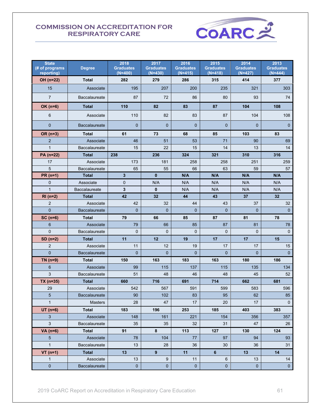

| <b>State</b><br>(# of programs<br>reporting) | <b>Degree</b>        | 2018<br><b>Graduates</b><br>$(N=400)$ | 2017<br><b>Graduates</b><br>$(N=430)$ | 2016<br><b>Graduates</b><br>$(N=415)$ | 2015<br><b>Graduates</b><br>$(N=418)$ | 2014<br><b>Graduates</b><br>$(N=427)$ | 2013<br><b>Graduates</b><br>$(N=444)$ |
|----------------------------------------------|----------------------|---------------------------------------|---------------------------------------|---------------------------------------|---------------------------------------|---------------------------------------|---------------------------------------|
| OH (n=22)                                    | <b>Total</b>         | 282                                   | 279                                   | 286                                   | 315                                   | 414                                   | 377                                   |
| 15                                           | Associate            | 195                                   | 207                                   | 200                                   | 235                                   | 321                                   | 303                                   |
| $\overline{7}$                               | Baccalaureate        | 87                                    | 72                                    | 86                                    | 80                                    | 93                                    | 74                                    |
| $OK(n=6)$                                    | <b>Total</b>         | 110                                   | 82                                    | 83                                    | 87                                    | 104                                   | 108                                   |
| 6                                            | Associate            | 110                                   | 82                                    | 83                                    | 87                                    | 104                                   | 108                                   |
| $\mathbf 0$                                  | <b>Baccalaureate</b> | $\mathbf{0}$                          | $\mathbf{0}$                          | $\mathbf{0}$                          | $\mathbf{0}$                          | $\mathbf{0}$                          | $\mathbf{0}$                          |
| OR (n=3)                                     | <b>Total</b>         | 61                                    | 73                                    | 68                                    | 85                                    | 103                                   | 83                                    |
| $\overline{2}$                               | Associate            | 46                                    | 51                                    | 53                                    | 71                                    | 90                                    | 69                                    |
| $\mathbf{1}$                                 | <b>Baccalaureate</b> | 15                                    | 22                                    | 15                                    | 14                                    | 13                                    | 14                                    |
| PA (n=22)                                    | Total                | 238                                   | 236                                   | 324                                   | 321                                   | 310                                   | 316                                   |
| 17                                           | Associate            | 173                                   | 181                                   | 258                                   | 258                                   | 251                                   | 259                                   |
| 5                                            | Baccalaureate        | 65                                    | 55                                    | 66                                    | 63                                    | 59                                    | 57                                    |
| $PR(n=1)$                                    | <b>Total</b>         | 3                                     | $\mathbf{0}$                          | N/A                                   | N/A                                   | N/A                                   | N/A                                   |
| 0                                            | Associate            | 0                                     | N/A                                   | N/A                                   | N/A                                   | N/A                                   | N/A                                   |
| $\mathbf{1}$                                 | Baccalaureate        | 3                                     | $\mathbf{0}$                          | N/A                                   | N/A                                   | N/A                                   | N/A                                   |
| $RI(n=2)$                                    | <b>Total</b>         | 42                                    | 32                                    | 44                                    | 43                                    | 37                                    | 32                                    |
| $\overline{2}$                               | Associate            | 42                                    | 32                                    | 44                                    | 43                                    | 37                                    | 32                                    |
| $\overline{0}$                               | <b>Baccalaureate</b> | $\mathbf{0}$                          | $\mathbf{0}$                          | $\overline{0}$                        | $\mathbf{0}$                          | $\mathbf{0}$                          | $\mathbf{0}$                          |
| $SC(n=6)$                                    | <b>Total</b>         | 79                                    | 66                                    | 85                                    | 87                                    | 81                                    | 78                                    |
| 6                                            | Associate            | 79                                    | 66                                    | 85                                    | 87                                    | 81                                    | 78                                    |
| 0                                            | Baccalaureate        | 0                                     | $\mathbf 0$                           | $\mathbf 0$                           | $\mathbf 0$                           | $\mathbf{0}$                          | $\mathbf{0}$                          |
| $SD(n=2)$                                    | <b>Total</b>         | 11                                    | 12                                    | 19                                    | 17                                    | 17                                    | 15                                    |
| $\overline{2}$                               | Associate            | 11                                    | 12                                    | 19                                    | 17                                    | 17                                    | 15                                    |
| $\overline{0}$                               | <b>Baccalaureate</b> | $\mathbf{0}$                          | $\mathbf{0}$                          | $\Omega$                              | 0                                     | $\mathbf{0}$                          | $\mathbf{0}$                          |
| $TN$ (n=9)                                   | <b>Total</b>         | 150                                   | 163                                   | 183                                   | 163                                   | 180                                   | 186                                   |
| 6                                            | Associate            | 99                                    | 115                                   | 137                                   | 115                                   | 135                                   | 134                                   |
| 3                                            | <b>Baccalaureate</b> | 51                                    | 48                                    | 46                                    | 48                                    | 45                                    | 52                                    |
| $TX$ (n=35)                                  | <b>Total</b>         | 660                                   | 716                                   | 691                                   | 714                                   | 662                                   | 681                                   |
| 29                                           | Associate            | 542                                   | 567                                   | 591                                   | 599                                   | 583                                   | 596                                   |
| 5 <sup>5</sup>                               | Baccalaureate        | $90\,$                                | 102                                   | 83                                    | 95                                    | 62                                    | 85                                    |
| $\mathbf{1}$                                 | Masters              | 28                                    | 47                                    | 17                                    | 20                                    | 17                                    | $\mathbf 0$                           |
| $UT (n=6)$                                   | Total                | 183                                   | 196                                   | 253                                   | 185                                   | 403                                   | 383                                   |
| $\mathbf{3}$                                 | Associate            | 148                                   | 161                                   | 221                                   | 154                                   | 356                                   | 357                                   |
| $\mathbf{3}$                                 | Baccalaureate        | 35                                    | 35                                    | 32                                    | 31                                    | 47                                    | 26                                    |
| VA $(n=6)$                                   | Total                | 91                                    | 8                                     | 113                                   | 127                                   | 130                                   | 124                                   |
| $5\phantom{.0}$                              | Associate            | 78                                    | 104                                   | 77                                    | 97                                    | 94                                    | 93                                    |
| $\mathbf{1}$                                 | Baccalaureate        | 13                                    | 28                                    | 36                                    | 30                                    | 36                                    | 31                                    |
| $VT$ (n=1)                                   | Total                | 13                                    | 9                                     | 11                                    | $\bf 6$                               | 13                                    | 14                                    |
| $\mathbf{1}$                                 | Associate            | 13                                    | 9                                     | 11                                    | 6                                     | 13                                    | 14                                    |
| $\pmb{0}$                                    | Baccalaureate        | $\pmb{0}$                             | $\pmb{0}$                             | $\pmb{0}$                             | 0                                     | $\pmb{0}$                             | $\pmb{0}$                             |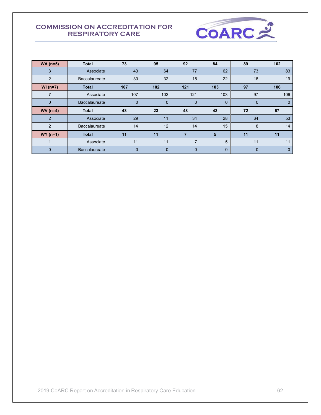

| $WA(n=5)$      | <b>Total</b>         | 73          | 95          | 92             | 84          | 89          | 102 |
|----------------|----------------------|-------------|-------------|----------------|-------------|-------------|-----|
| 3              | Associate            | 43          | 64          | 77             | 62          | 73          | 83  |
| 2              | <b>Baccalaureate</b> | 30          | 32          | 15             | 22          | 16          | 19  |
| $WI (n=7)$     | <b>Total</b>         | 107         | 102         | 121            | 103         | 97          | 106 |
| 7              | Associate            | 107         | 102         | 121            | 103         | 97          | 106 |
| $\mathbf{0}$   | <b>Baccalaureate</b> | 0           | $\mathbf 0$ | $\mathbf 0$    | 0           | $\mathbf 0$ | 0   |
| $WV(n=4)$      | <b>Total</b>         | 43          | 23          | 48             | 43          | 72          | 67  |
| $\overline{2}$ | Associate            | 29          | 11          | 34             | 28          | 64          | 53  |
| $\overline{2}$ | <b>Baccalaureate</b> | 14          | 12          | 14             | 15          | 8           | 14  |
| $WY(n=1)$      | <b>Total</b>         | 11          | 11          | 7              | 5           | 11          | 11  |
|                | Associate            | 11          | 11          | $\overline{ }$ | 5           | 11          | 11  |
| $\mathbf{0}$   | Baccalaureate        | $\mathbf 0$ | $\mathbf 0$ | $\mathbf 0$    | $\mathbf 0$ | $\mathbf 0$ | 0   |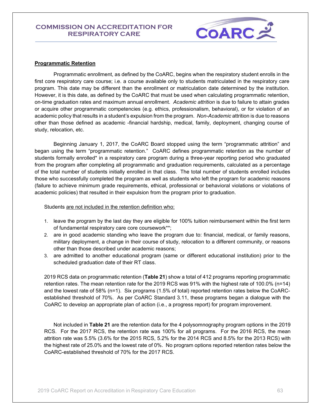

#### **Programmatic Retention**

 Programmatic enrollment, as defined by the CoARC, begins when the respiratory student enrolls in the first core respiratory care course; i.e. a course available only to students matriculated in the respiratory care program. This date may be different than the enrollment or matriculation date determined by the institution. However, it is this date, as defined by the CoARC that must be used when calculating programmatic retention, on-time graduation rates and maximum annual enrollment. *Academic attrition* is due to failure to attain grades or acquire other programmatic competencies (e.g. ethics, professionalism, behavioral), or for violation of an academic policy that results in a student's expulsion from the program. *Non-Academic* attrition is due to reasons other than those defined as academic -financial hardship, medical, family, deployment, changing course of study, relocation, etc.

Beginning January 1, 2017, the CoARC Board stopped using the term "programmatic attrition" and began using the term "programmatic retention." CoARC defines programmatic retention as the number of students formally enrolled\* in a respiratory care program during a three-year reporting period who graduated from the program after completing all programmatic and graduation requirements, calculated as a percentage of the total number of students initially enrolled in that class. The total number of students enrolled includes those who successfully completed the program as well as students who left the program for academic reasons (failure to achieve minimum grade requirements, ethical, professional or behavioral violations or violations of academic policies) that resulted in their expulsion from the program prior to graduation.

Students are not included in the retention definition who:

- 1. leave the program by the last day they are eligible for 100% tuition reimbursement within the first term of fundamental respiratory care core coursework\*\*;
- 2. are in good academic standing who leave the program due to: financial, medical, or family reasons, military deployment, a change in their course of study, relocation to a different community, or reasons other than those described under academic reasons;
- 3. are admitted to another educational program (same or different educational institution) prior to the scheduled graduation date of their RT class.

2019 RCS data on programmatic retention (**Table 21**) show a total of 412 programs reporting programmatic retention rates. The mean retention rate for the 2019 RCS was 91% with the highest rate of 100.0% (n=14) and the lowest rate of 58% (n=1). Six programs (1.5% of total) reported retention rates below the CoARCestablished threshold of 70%. As per CoARC Standard 3.11, these programs began a dialogue with the CoARC to develop an appropriate plan of action (i.e., a progress report) for program improvement.

 Not included in **Table 21** are the retention data for the 4 polysomnography program options in the 2019 RCS. For the 2017 RCS, the retention rate was 100% for all programs. For the 2016 RCS, the mean attrition rate was 5.5% (3.6% for the 2015 RCS, 5.2% for the 2014 RCS and 8.5% for the 2013 RCS) with the highest rate of 25.0% and the lowest rate of 0%. No program options reported retention rates below the CoARC-established threshold of 70% for the 2017 RCS.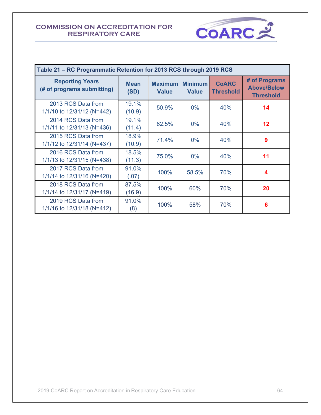

| Table 21 - RC Programmatic Retention for 2013 RCS through 2019 RCS |                     |                                |                                |                                  |                                                         |  |  |  |  |
|--------------------------------------------------------------------|---------------------|--------------------------------|--------------------------------|----------------------------------|---------------------------------------------------------|--|--|--|--|
| <b>Reporting Years</b><br>(# of programs submitting)               | <b>Mean</b><br>(SD) | <b>Maximum</b><br><b>Value</b> | <b>Minimum</b><br><b>Value</b> | <b>CoARC</b><br><b>Threshold</b> | # of Programs<br><b>Above/Below</b><br><b>Threshold</b> |  |  |  |  |
| 2013 RCS Data from<br>1/1/10 to 12/31/12 (N=442)                   | 19.1%<br>(10.9)     | 50.9%                          | $0\%$                          | 40%                              | 14                                                      |  |  |  |  |
| 2014 RCS Data from<br>1/1/11 to 12/31/13 (N=436)                   | 19.1%<br>(11.4)     | 62.5%                          | $0\%$                          | 40%                              | $12 \,$                                                 |  |  |  |  |
| 2015 RCS Data from<br>1/1/12 to 12/31/14 (N=437)                   | 18.9%<br>(10.9)     | 71.4%                          | $0\%$                          | 40%                              | 9                                                       |  |  |  |  |
| 2016 RCS Data from<br>1/1/13 to 12/31/15 (N=438)                   | 18.5%<br>(11.3)     | 75.0%                          | $0\%$                          | 40%                              | 11                                                      |  |  |  |  |
| 2017 RCS Data from<br>1/1/14 to 12/31/16 (N=420)                   | 91.0%<br>(.07)      | 100%                           | 58.5%                          | 70%                              | 4                                                       |  |  |  |  |
| 2018 RCS Data from<br>1/1/14 to 12/31/17 (N=419)                   | 87.5%<br>(16.9)     | 100%                           | 60%                            | 70%                              | 20                                                      |  |  |  |  |
| 2019 RCS Data from<br>1/1/16 to 12/31/18 (N=412)                   | 91.0%<br>(8)        | 100%                           | 58%                            | 70%                              | 6                                                       |  |  |  |  |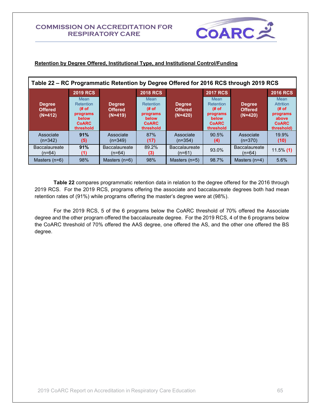

### **Retention by Degree Offered, Institutional Type, and Institutional Control/Funding**

| Table 22 - RC Programmatic Retention by Degree Offered for 2016 RCS through 2019 RCS |                                                                                           |                                              |                                                                                    |                                              |                                                                                    |                                              |                                                                                     |  |
|--------------------------------------------------------------------------------------|-------------------------------------------------------------------------------------------|----------------------------------------------|------------------------------------------------------------------------------------|----------------------------------------------|------------------------------------------------------------------------------------|----------------------------------------------|-------------------------------------------------------------------------------------|--|
|                                                                                      | <b>2019 RCS</b>                                                                           |                                              |                                                                                    | <b>2018 RCS</b>                              |                                                                                    | <b>2017 RCS</b>                              |                                                                                     |  |
| <b>Degree</b><br><b>Offered</b><br>$(N=412)$                                         | <b>Mean</b><br>Retention<br># of<br>programs<br><b>below</b><br><b>CoARC</b><br>threshold | <b>Degree</b><br><b>Offered</b><br>$(N=419)$ | Mean<br><b>Retention</b><br># of<br>programs<br>below<br><b>CoARC</b><br>threshold | <b>Degree</b><br><b>Offered</b><br>$(N=420)$ | Mean<br><b>Retention</b><br># of<br>programs<br>below<br><b>CoARC</b><br>threshold | <b>Degree</b><br><b>Offered</b><br>$(N=420)$ | Mean<br><b>Attrition</b><br># of<br>programs<br>above<br><b>CoARC</b><br>threshold) |  |
| Associate<br>$(n=342)$                                                               | 91%<br>(5)                                                                                | Associate<br>$(n=349)$                       | 87%<br>(17)                                                                        | Associate<br>$(n=354)$                       | 90.5%<br>(4)                                                                       | Associate<br>$(n=370)$                       | 19.9%<br>(10)                                                                       |  |
| <b>Baccalaureate</b><br>$(n=64)$                                                     | 91%<br>(1)                                                                                | <b>Baccalaureate</b><br>$(n=64)$             | 89.2%<br>(3)                                                                       | <b>Baccalaureate</b><br>$(n=61)$             | 93.0%                                                                              | <b>Baccalaureate</b><br>$(n=64)$             | $11.5\%$ (1)                                                                        |  |
| Masters $(n=6)$                                                                      | 98%                                                                                       | Masters $(n=6)$                              | 98%                                                                                | Masters $(n=5)$                              | 98.7%                                                                              | Masters $(n=4)$                              | 5.6%                                                                                |  |

**Table 22** compares programmatic retention data in relation to the degree offered for the 2016 through 2019 RCS. For the 2019 RCS, programs offering the associate and baccalaureate degrees both had mean retention rates of (91%) while programs offering the master's degree were at (98%).

For the 2019 RCS, 5 of the 6 programs below the CoARC threshold of 70% offered the Associate degree and the other program offered the baccalaureate degree. For the 2019 RCS, 4 of the 6 programs below the CoARC threshold of 70% offered the AAS degree, one offered the AS, and the other one offered the BS degree.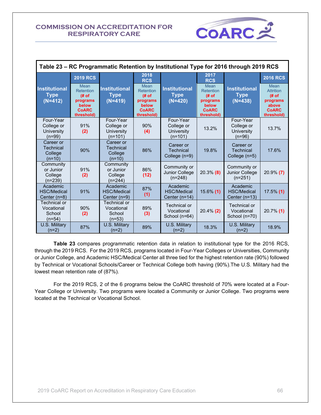

| Table 23 - RC Programmatic Retention by Institutional Type for 2016 through 2019 RCS |                                                                                     |                                                    |                                                                                     |                                                    |                                                                                     |                                                   |                                                                                     |  |
|--------------------------------------------------------------------------------------|-------------------------------------------------------------------------------------|----------------------------------------------------|-------------------------------------------------------------------------------------|----------------------------------------------------|-------------------------------------------------------------------------------------|---------------------------------------------------|-------------------------------------------------------------------------------------|--|
|                                                                                      | <b>2019 RCS</b>                                                                     |                                                    | 2018<br><b>RCS</b>                                                                  |                                                    | 2017<br><b>RCS</b>                                                                  |                                                   | <b>2016 RCS</b>                                                                     |  |
| <b>Institutional</b><br><b>Type</b><br>$(N=412)$                                     | Mean<br><b>Retention</b><br># of<br>programs<br>below<br><b>CoARC</b><br>threshold) | <b>Institutional</b><br><b>Type</b><br>$(N=419)$   | Mean<br><b>Retention</b><br># of<br>programs<br>below<br><b>CoARC</b><br>threshold) | <b>Institutional</b><br><b>Type</b><br>$(N=420)$   | Mean<br><b>Retention</b><br># of<br>programs<br>below<br><b>CoARC</b><br>threshold) | <b>Institutional</b><br><b>Type</b><br>$(N=438)$  | Mean<br><b>Attrition</b><br># of<br>programs<br>above<br><b>CoARC</b><br>threshold) |  |
| Four-Year<br>College or<br>University<br>$(n=99)$                                    | 91%<br>(2)                                                                          | Four-Year<br>College or<br>University<br>$(n=101)$ | 90%<br>(4)                                                                          | Four-Year<br>College or<br>University<br>$(n=101)$ | 13.2%                                                                               | Four-Year<br>College or<br>University<br>$(n=96)$ | 13.7%                                                                               |  |
| Career or<br>Technical<br>College<br>$(n=10)$                                        | 90%                                                                                 | Career or<br>Technical<br>College<br>$(n=10)$      | 86%                                                                                 | Career or<br><b>Technical</b><br>College (n=9)     | 19.8%                                                                               | Career or<br><b>Technical</b><br>College (n=5)    | 17.6%                                                                               |  |
| Community<br>or Junior<br>College<br>$(n=239)$                                       | 91%<br>(2)                                                                          | Community<br>or Junior<br>College<br>$(n=244)$     | 86%<br>(12)                                                                         | Community or<br><b>Junior College</b><br>$(n=248)$ | $20.3\%$ (8)                                                                        | Community or<br>Junior College<br>$(n=251)$       | $20.9\%$ (7)                                                                        |  |
| Academic<br><b>HSC/Medical</b><br>Center (n=8)                                       | 91%                                                                                 | Academic<br><b>HSC/Medical</b><br>Center (n=9)     | 87%<br>(1)                                                                          | Academic<br><b>HSC/Medical</b><br>Center (n=14)    | 15.6% (1)                                                                           | Academic<br><b>HSC/Medical</b><br>Center $(n=13)$ | $17.5\%$ (1)                                                                        |  |
| Technical or<br>Vocational<br>School<br>$(n=54)$                                     | 90%<br>(2)                                                                          | Technical or<br>Vocational<br>School<br>$(n=53)$   | 89%<br>(3)                                                                          | Technical or<br>Vocational<br>School (n=64)        | $20.4\%$ (2)                                                                        | Technical or<br>Vocational<br>School (n=70)       | $20.7\%$ (1)                                                                        |  |
| U.S. Military<br>$(n=2)$                                                             | 87%                                                                                 | U.S. Military<br>$(n=2)$                           | 89%                                                                                 | U.S. Military<br>$(n=2)$                           | 18.3%                                                                               | U.S. Military<br>$(n=2)$                          | 18.9%                                                                               |  |

**Table 23** compares programmatic retention data in relation to institutional type for the 2016 RCS, through the 2019 RCS. For the 2019 RCS, programs located in Four-Year Colleges or Universities, Community or Junior College, and Academic HSC/Medical Center all three tied for the highest retention rate (90%) followed by Technical or Vocational Schools/Career or Technical College both having (90%).The U.S. Military had the lowest mean retention rate of (87%).

For the 2019 RCS, 2 of the 6 programs below the CoARC threshold of 70% were located at a Four-Year College or University. Two programs were located a Community or Junior College. Two programs were located at the Technical or Vocational School.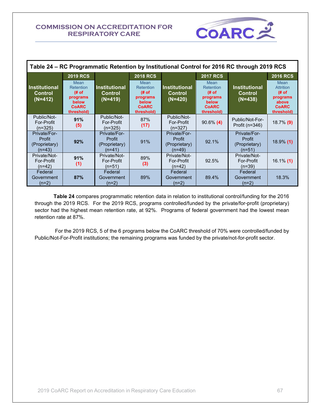

| Table 24 - RC Programmatic Retention by Institutional Control for 2016 RC through 2019 RCS |                                                                              |                                                     |                                                                              |                                                     |                                                                              |                                                     |                                                                                     |  |  |
|--------------------------------------------------------------------------------------------|------------------------------------------------------------------------------|-----------------------------------------------------|------------------------------------------------------------------------------|-----------------------------------------------------|------------------------------------------------------------------------------|-----------------------------------------------------|-------------------------------------------------------------------------------------|--|--|
|                                                                                            | <b>2019 RCS</b>                                                              |                                                     | <b>2018 RCS</b>                                                              |                                                     | <b>2017 RCS</b>                                                              |                                                     | <b>2016 RCS</b>                                                                     |  |  |
| <b>Institutional</b><br>Control<br>$(N=412)$                                               | Mean<br>Retention<br># of<br>programs<br>below<br><b>CoARC</b><br>threshold) | <b>Institutional</b><br><b>Control</b><br>$(N=419)$ | Mean<br>Retention<br># of<br>programs<br>below<br><b>CoARC</b><br>threshold) | <u>l</u> Institutional<br>Control<br>$(N=420)$      | Mean<br>Retention<br># of<br>programs<br>below<br><b>CoARC</b><br>threshold) | <b>Institutional</b><br><b>Control</b><br>$(N=438)$ | Mean<br><b>Attrition</b><br># of<br>programs<br>above<br><b>CoARC</b><br>threshold) |  |  |
| Public/Not-<br>For-Profit<br>$(n=325)$                                                     | 91%<br>(5)                                                                   | Public/Not-<br><b>For-Profit</b><br>$(n=325)$       | 87%<br>(17)                                                                  | Public/Not-<br>For-Profit<br>(n=327)                | $90.6\%$ (4)                                                                 | Public/Not-For-<br>Profit (n=346)                   | $18.7\%$ (9)                                                                        |  |  |
| Private/For-<br>Profit<br>(Proprietary)<br>$(n=43)$                                        | 92%                                                                          | Private/For-<br>Profit<br>(Proprietary)<br>$(n=41)$ | 91%                                                                          | Private/For-<br>Profit<br>(Proprietary)<br>$(n=49)$ | 92.1%                                                                        | Private/For-<br>Profit<br>(Proprietary)<br>$(n=51)$ | $18.9\%$ (1)                                                                        |  |  |
| Private/Not-<br>For-Profit<br>(n=42)                                                       | 91%<br>(1)                                                                   | Private/Not-<br>For-Profit<br>$(n=51)$              | 89%<br>(3)                                                                   | Private/Not-<br>For-Profit<br>$(n=42)$              | 92.5%                                                                        | Private/Not-<br>For-Profit<br>$(n=39)$              | $16.1\%$ (1)                                                                        |  |  |
| Federal<br>Government<br>$(n=2)$                                                           | 87%                                                                          | Federal<br>Government<br>$(n=2)$                    | 89%                                                                          | Federal<br>Government<br>$(n=2)$                    | 89.4%                                                                        | Federal<br>Government<br>$(n=2)$                    | 18.3%                                                                               |  |  |

**Table 24** compares programmatic retention data in relation to institutional control/funding for the 2016 through the 2019 RCS. For the 2019 RCS, programs controlled/funded by the private/for-profit (proprietary) sector had the highest mean retention rate, at 92%. Programs of federal government had the lowest mean retention rate at 87%.

For the 2019 RCS, 5 of the 6 programs below the CoARC threshold of 70% were controlled/funded by Public/Not-For-Profit institutions; the remaining programs was funded by the private/not-for-profit sector.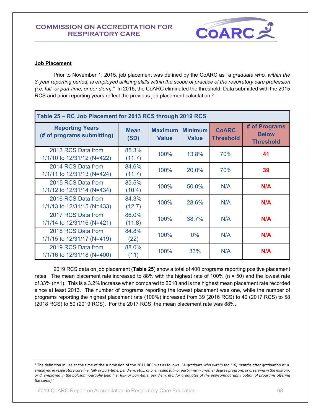

#### **Job Placement**

Prior to November 1, 2015, job placement was defined by the CoARC as *"a graduate who, within the 3-year reporting period, is employed utilizing skills within the scope of practice of the respiratory care profession (i.e. full- or part-time, or per diem).*" In 2015, the CoARC eliminated the threshold. Data submitted with the 2015 RCS and prior reporting years reflect the previous job placement calculation.<sup>2</sup>

| Table 25 - RC Job Placement for 2013 RCS through 2019 RCS |                     |                                |                                |                                  |                                                   |  |  |  |  |
|-----------------------------------------------------------|---------------------|--------------------------------|--------------------------------|----------------------------------|---------------------------------------------------|--|--|--|--|
| <b>Reporting Years</b><br>(# of programs submitting)      | <b>Mean</b><br>(SD) | <b>Maximum</b><br><b>Value</b> | <b>Minimum</b><br><b>Value</b> | <b>CoARC</b><br><b>Threshold</b> | # of Programs<br><b>Below</b><br><b>Threshold</b> |  |  |  |  |
| 2013 RCS Data from<br>1/1/10 to 12/31/12 (N=422)          | 85.3%<br>(11.7)     | 100%                           | 13.8%                          | 70%                              | 41                                                |  |  |  |  |
| 2014 RCS Data from<br>1/1/11 to 12/31/13 (N=424)          | 84.6%<br>(11.7)     | 100%                           | 20.0%                          | 70%                              | 39                                                |  |  |  |  |
| 2015 RCS Data from<br>1/1/12 to 12/31/14 (N=434)          | 85.5%<br>(10.4)     | 100%                           | 50.0%                          | N/A                              | N/A                                               |  |  |  |  |
| 2016 RCS Data from<br>1/1/13 to 12/31/15 (N=433)          | 84.3%<br>(12.7)     | 100%                           | 28.6%                          | N/A                              | N/A                                               |  |  |  |  |
| 2017 RCS Data from<br>1/1/14 to 12/31/16 (N=421)          | 86.0%<br>(11.8)     | 100%                           | 38.7%                          | N/A                              | N/A                                               |  |  |  |  |
| 2018 RCS Data from<br>1/1/15 to 12/31/17 (N=419)          | 84.8%<br>(22)       | 100%                           | $0\%$                          | N/A                              | N/A                                               |  |  |  |  |
| 2019 RCS Data from<br>1/1/16 to 12/31/18 (N=400)          | 88.0%<br>(11)       | 100%                           | 33%                            | N/A                              | N/A                                               |  |  |  |  |

2019 RCS data on job placement (**Table 25**) show a total of 400 programs reporting positive placement rates. The mean placement rate increased to 88% with the highest rate of 100% (n = 50) and the lowest rate of 33% (n=1). This is a 3.2% increase when compared to 2018 and is the highest mean placement rate recorded since at least 2013. The number of programs reporting the lowest placement was one, while the number of programs reporting the highest placement rate (100%) increased from 39 (2016 RCS) to 40 (2017 RCS) to 58 (2018 RCS) to 50 (2019 RCS). For the 2017 RCS, the mean placement rate was 88%.

<sup>&</sup>lt;sup>2</sup> The definition in use at the time of the submission of the 2011 RCS was as follows: "A graduate who within ten (10) months after graduation is: a. *employed in respiratory care (i.e. full- or part-time, per diem, etc.), or b. enrolled full- or part-time in another degree program, or c. serving in the military, or d. employed in the polysomnography field (i.e. full- or part-time, per diem, etc. for graduates of the polysomnography option of programs offering the same)."*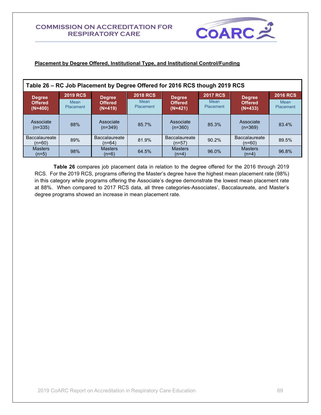

### **Placement by Degree Offered, Institutional Type, and Institutional Control/Funding**

| Table 26 - RC Job Placement by Degree Offered for 2016 RCS though 2019 RCS |                   |                                |                   |                                  |                   |                                  |                   |  |  |
|----------------------------------------------------------------------------|-------------------|--------------------------------|-------------------|----------------------------------|-------------------|----------------------------------|-------------------|--|--|
| <b>Degree</b>                                                              | <b>2019 RCS</b>   | <b>Degree</b>                  | <b>2018 RCS</b>   | <b>Degree</b>                    | <b>2017 RCS</b>   | <b>Degree</b>                    | <b>2016 RCS</b>   |  |  |
| <b>Offered</b><br>$(N=400)$                                                | Mean<br>Placement | <b>Offered</b><br>$(N=419)$    | Mean<br>Placement | <b>Offered</b><br>$(N=421)$      | Mean<br>Placement | <b>Offered</b><br>$(N=433)$      | Mean<br>Placement |  |  |
| Associate<br>$(n=335)$                                                     | 88%               | Associate<br>$(n=349)$         | 85.7%             | Associate<br>$(n=360)$           | 85.3%             | Associate<br>$(n=369)$           | 83.4%             |  |  |
| <b>Baccalaureate</b><br>$(n=60)$                                           | 89%               | <b>Baccalaureate</b><br>(n=64) | 81.9%             | <b>Baccalaureate</b><br>$(n=57)$ | $90.2\%$          | <b>Baccalaureate</b><br>$(n=60)$ | 89.5%             |  |  |
| <b>Masters</b><br>$(n=5)$                                                  | 98%               | <b>Masters</b><br>$(n=6)$      | 64.5%             | <b>Masters</b><br>$(n=4)$        | 96.0%             | <b>Masters</b><br>$(n=4)$        | 96.8%             |  |  |

**Table 26** compares job placement data in relation to the degree offered for the 2016 through 2019 RCS. For the 2019 RCS, programs offering the Master's degree have the highest mean placement rate (98%) in this category while programs offering the Associate's degree demonstrate the lowest mean placement rate at 88%. When compared to 2017 RCS data, all three categories-Associates', Baccalaureate, and Master's degree programs showed an increase in mean placement rate.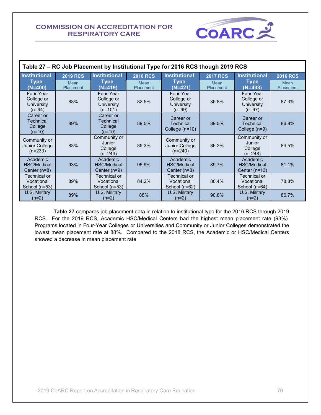$\mathsf{r}$ 



| Table 27 – RC Job Placement by Institutional Type for 2016 RCS though 2019 RCS |                   |                                                      |                   |                                                          |                   |                                                          |                   |  |
|--------------------------------------------------------------------------------|-------------------|------------------------------------------------------|-------------------|----------------------------------------------------------|-------------------|----------------------------------------------------------|-------------------|--|
| <b>Institutional</b>                                                           | <b>2019 RCS</b>   | <b>Institutional</b>                                 | <b>2018 RCS</b>   | <b>Institutional</b>                                     | <b>2017 RCS</b>   | <b>Institutional</b>                                     | <b>2016 RCS</b>   |  |
| <b>Type</b><br>(N=400)                                                         | Mean<br>Placement | <b>Type</b><br>(N=419)                               | Mean<br>Placement | <b>Type</b><br>(N=421)                                   | Mean<br>Placement | <b>Type</b><br>$(N=433)$                                 | Mean<br>Placement |  |
| Four-Year<br>College or<br>University<br>$(n=94)$                              | 88%               | Four-Year<br>College or<br>University<br>$(n=101)$   | 82.5%             | Four-Year<br>College or<br><b>University</b><br>$(n=99)$ | 85.8%             | Four-Year<br>College or<br><b>University</b><br>$(n=97)$ | 87.3%             |  |
| Career or<br>Technical<br>College<br>$(n=10)$                                  | 89%               | Career or<br><b>Technical</b><br>College<br>$(n=10)$ | 89.5%             | Career or<br><b>Technical</b><br>College $(n=10)$        | 89.5%             | Career or<br>Technical<br>College (n=9)                  | 86.8%             |  |
| Community or<br>Junior College<br>$(n=233)$                                    | 88%               | Community or<br>Junior<br>College<br>$(n=244)$       | 85.3%             | Community or<br>Junior College<br>$(n=240)$              | 86.2%             | Community or<br>Junior<br>College<br>$(n=248)$           | 84.5%             |  |
| Academic<br><b>HSC/Medical</b><br>Center $(n=8)$                               | 93%               | Academic<br><b>HSC/Medical</b><br>Center $(n=9)$     | 95.9%             | Academic<br><b>HSC/Medical</b><br>Center $(n=8)$         | 89.7%             | Academic<br><b>HSC/Medical</b><br>Center $(n=13)$        | 81.1%             |  |
| Technical or<br>Vocational<br>School (n=53)                                    | 89%               | Technical or<br>Vocational<br>School $(n=53)$        | 84.2%             | Technical or<br>Vocational<br>School (n=62)              | 80.4%             | Technical or<br>Vocational<br>School (n=64)              | 78.8%             |  |
| U.S. Military<br>$(n=2)$                                                       | 89%               | U.S. Military<br>$(n=2)$                             | 88%               | U.S. Military<br>$(n=2)$                                 | 90.8%             | U.S. Military<br>$(n=2)$                                 | 86.7%             |  |

**Table 27** compares job placement data in relation to institutional type for the 2016 RCS through 2019 RCS. For the 2019 RCS, Academic HSC/Medical Centers had the highest mean placement rate (93%). Programs located in Four-Year Colleges or Universities and Community or Junior Colleges demonstrated the lowest mean placement rate at 88%. Compared to the 2018 RCS, the Academic or HSC/Medical Centers showed a decrease in mean placement rate.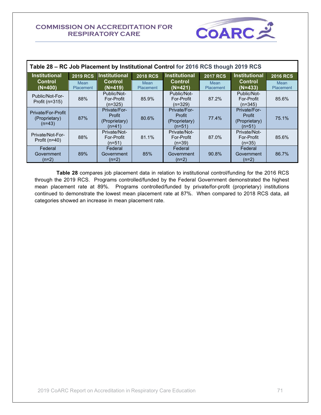

| Table 28 - RC Job Placement by Institutional Control for 2016 RCS though 2019 RCS |                   |                                                     |                          |                                                     |                   |                                                     |                          |  |
|-----------------------------------------------------------------------------------|-------------------|-----------------------------------------------------|--------------------------|-----------------------------------------------------|-------------------|-----------------------------------------------------|--------------------------|--|
| <b>Institutional</b>                                                              | <b>2019 RCS</b>   | <b>Institutional</b>                                | <b>2018 RCS</b>          | <b>Institutional</b>                                | <b>2017 RCS</b>   | <b>Institutional</b>                                | <b>2016 RCS</b>          |  |
| <b>Control</b><br>$(N=400)$                                                       | Mean<br>Placement | <b>Control</b><br>$(N=419)$                         | Mean<br><b>Placement</b> | <b>Control</b><br>$(N=421)$                         | Mean<br>Placement | <b>Control</b><br>$(N=433)$                         | <b>Mean</b><br>Placement |  |
| Public/Not-For-<br>Profit ( $n=315$ )                                             | 88%               | Public/Not-<br>For-Profit<br>$(n=325)$              | 85.9%                    | Public/Not-<br>For-Profit<br>$(n=329)$              | 87.2%             | Public/Not-<br>For-Profit<br>$(n=345)$              | 85.6%                    |  |
| Private/For-Profit<br>(Proprietary)<br>$(n=43)$                                   | 87%               | Private/For-<br>Profit<br>(Proprietary)<br>$(n=41)$ | 80.6%                    | Private/For-<br>Profit<br>(Proprietary)<br>$(n=51)$ | 77.4%             | Private/For-<br>Profit<br>(Proprietary)<br>$(n=51)$ | 75.1%                    |  |
| Private/Not-For-<br>Profit $(n=40)$                                               | 88%               | Private/Not-<br>For-Profit<br>$(n=51)$              | 81.1%                    | Private/Not-<br>For-Profit<br>$(n=39)$              | 87.0%             | Private/Not-<br>For-Profit<br>$(n=35)$              | 85.6%                    |  |
| Federal<br>Government<br>$(n=2)$                                                  | 89%               | Federal<br>Government<br>$(n=2)$                    | 85%                      | Federal<br>Government<br>$(n=2)$                    | 90.8%             | Federal<br>Government<br>$(n=2)$                    | 86.7%                    |  |

 **Table 28** compares job placement data in relation to institutional control/funding for the 2016 RCS through the 2019 RCS. Programs controlled/funded by the Federal Government demonstrated the highest mean placement rate at 89%. Programs controlled/funded by private/for-profit (proprietary) institutions continued to demonstrate the lowest mean placement rate at 87%. When compared to 2018 RCS data, all categories showed an increase in mean placement rate.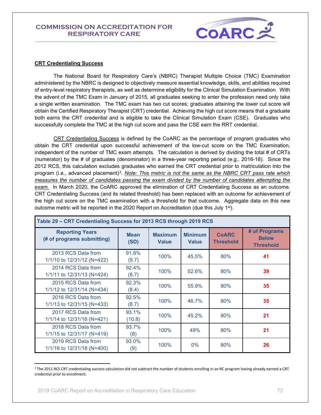

#### **CRT Credentialing Success**

 The National Board for Respiratory Care's (NBRC) Therapist Multiple Choice (TMC) Examination administered by the NBRC is designed to objectively measure essential knowledge, skills, and abilities required of entry-level respiratory therapists, as well as determine eligibility for the Clinical Simulation Examination. With the advent of the TMC Exam in January of 2015, all graduates seeking to enter the profession need only take a single written examination. The TMC exam has two cut scores; graduates attaining the lower cut score will obtain the Certified Respiratory Therapist (CRT) credential. Achieving the high cut score means that a graduate both earns the CRT credential and is eligible to take the Clinical Simulation Exam (CSE). Graduates who successfully complete the TMC at the high cut score and pass the CSE earn the RRT credential.

CRT Credentialing Success is defined by the CoARC as the percentage of program graduates who obtain the CRT credential upon successful achievement of the low-cut score on the TMC Examination, independent of the number of TMC exam attempts. The calculation is derived by dividing the total # of CRTs (numerator) by the # of graduates (denominator) in a three-year reporting period (e.g., 2016-18). Since the 2012 RCS, this calculation excludes graduates who earned the CRT credential prior to matriculation into the program (i.e., advanced placement)<sup>3</sup>. <u>Note: This metric is not the same as the NBRC CRT pass rate which</u> *measures the number of candidates passing the exam divided by the number of candidates attempting the exam.* In March 2020, the CoARC approved the elimination of CRT Credentialing Success as an outcome. CRT Credentialing Success (and its related threshold) has been replaced with an outcome for achievement of the high cut score on the TMC examination with a threshold for that outcome. Aggregate data on this new outcome metric will be reported in the 2020 Report on Accreditation (due this July  $1^{st}$ ).

| Table 29 - CRT Credentialing Success for 2013 RCS through 2019 RCS |                     |                                |                                |                                  |                                                   |  |  |  |
|--------------------------------------------------------------------|---------------------|--------------------------------|--------------------------------|----------------------------------|---------------------------------------------------|--|--|--|
| <b>Reporting Years</b><br>(# of programs submitting)               | <b>Mean</b><br>(SD) | <b>Maximum</b><br><b>Value</b> | <b>Minimum</b><br><b>Value</b> | <b>CoARC</b><br><b>Threshold</b> | # of Programs<br><b>Below</b><br><b>Threshold</b> |  |  |  |
| 2013 RCS Data from<br>1/1/10 to 12/31/12 (N=422)                   | 91.8%<br>(9.7)      | 100%                           | 45.5%                          | 80%                              | 41                                                |  |  |  |
| 2014 RCS Data from<br>1/1/11 to 12/31/13 (N=424)                   | 92.4%<br>(8.7)      | 100%                           | 52.6%                          | 80%                              | 39                                                |  |  |  |
| 2015 RCS Data from<br>1/1/12 to 12/31/14 (N=434)                   | 92.3%<br>(8.4)      | 100%                           | 55.9%                          | 80%                              | 35                                                |  |  |  |
| 2016 RCS Data from<br>1/1/13 to 12/31/15 (N=433)                   | 92.5%<br>(8.7)      | 100%                           | 46.7%                          | 80%                              | 35                                                |  |  |  |
| 2017 RCS Data from<br>1/1/14 to 12/31/16 (N=421)                   | 93.1%<br>(10.8)     | 100%                           | 45.2%                          | 80%                              | 21                                                |  |  |  |
| 2018 RCS Data from<br>1/1/15 to 12/31/17 (N=419)                   | 93.7%<br>(8)        | 100%                           | 49%                            | 80%                              | 21                                                |  |  |  |
| 2019 RCS Data from<br>1/1/16 to 12/31/18 (N=400)                   | 93.0%<br>(9)        | 100%                           | $0\%$                          | 80%                              | 26                                                |  |  |  |

<sup>3</sup> The 2011 RCS CRT credentialing success calculation did not subtract the number of students enrolling in an RC program having already earned a CRT credential prior to enrollment.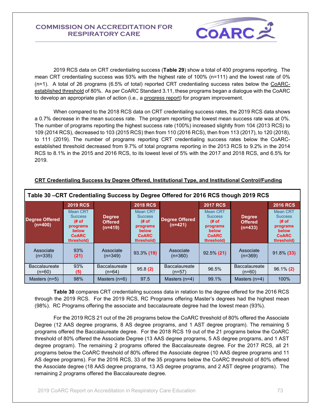

2019 RCS data on CRT credentialing success (**Table 29**) show a total of 400 programs reporting. The mean CRT credentialing success was 93% with the highest rate of 100% (n=111) and the lowest rate of 0% (n=1). A total of 26 programs (6.5% of total) reported CRT credentialing success rates below the [CoARC](http://www.coarc.com/15.html)[established threshold](http://www.coarc.com/15.html) of 80%. As per CoARC Standard 3.11, these programs began a dialogue with the CoARC to develop an appropriate plan of action (i.e., a [progress report\)](http://www.coarc.com/57.html) for program improvement.

When compared to the 2018 RCS data on CRT credentialing success rates, the 2019 RCS data shows a 0.7% decrease in the mean success rate. The program reporting the lowest mean success rate was at 0%. The number of programs reporting the highest success rate (100%) increased slightly from 104 (2013 RCS) to 109 (2014 RCS), decreased to 103 (2015 RCS) then from 110 (2016 RCS), then from 113 (2017), to 120 (2018), to 111 (2019). The number of programs reporting CRT credentialing success rates below the CoARCestablished threshold decreased from 9.7% of total programs reporting in the 2013 RCS to 9.2% in the 2014 RCS to 8.1% in the 2015 and 2016 RCS, to its lowest level of 5% with the 2017 and 2018 RCS, and 6.5% for 2019.

| Table 30 -CRT Credentialing Success by Degree Offered for 2016 RCS though 2019 RCS |                                                                                                                 |                                              |                                                                                                          |                                    |                                                                                                                 |                                              |                                                                                                                 |  |
|------------------------------------------------------------------------------------|-----------------------------------------------------------------------------------------------------------------|----------------------------------------------|----------------------------------------------------------------------------------------------------------|------------------------------------|-----------------------------------------------------------------------------------------------------------------|----------------------------------------------|-----------------------------------------------------------------------------------------------------------------|--|
| <b>Degree Offered</b><br>$(n=400)$                                                 | <b>2019 RCS</b><br>Mean CRT<br><b>Success</b><br># of<br>programs<br><b>below</b><br><b>CoARC</b><br>threshold) | <b>Degree</b><br><b>Offered</b><br>$(n=419)$ | <b>2018 RCS</b><br>Mean CRT<br><b>Success</b><br># of<br>programs<br>below<br><b>CoARC</b><br>threshold) | <b>Degree Offered</b><br>$(n=421)$ | <b>2017 RCS</b><br><b>Mean CRT</b><br><b>Success</b><br># of<br>programs<br>below<br><b>CoARC</b><br>threshold) | <b>Degree</b><br><b>Offered</b><br>$(n=433)$ | <b>2016 RCS</b><br><b>Mean CRT</b><br><b>Success</b><br># of<br>programs<br>below<br><b>CoARC</b><br>threshold) |  |
| Associate<br>$(n=335)$                                                             | 93%<br>(21)                                                                                                     | Associate<br>$(n=349)$                       | 93.3% (19)                                                                                               | Associate<br>$(n=360)$             | $92.5\%$ (21)                                                                                                   | Associate<br>$(n=369)$                       | $91.8\%$ (33)                                                                                                   |  |
| <b>Baccalaureate</b><br>$(n=60)$                                                   | 93%<br>(5)                                                                                                      | <b>Baccalaureate</b><br>$(n=64)$             | 95.8(2)                                                                                                  | <b>Baccalaureate</b><br>$(n=57)$   | 96.5%                                                                                                           | <b>Baccalaureate</b><br>$(n=60)$             | $96.1\%$ (2)                                                                                                    |  |
| Masters $(n=5)$                                                                    | 98%                                                                                                             | Masters $(n=6)$                              | 97.5                                                                                                     | Masters $(n=4)$                    | 99.1%                                                                                                           | Masters $(n=4)$                              | 100%                                                                                                            |  |

## **CRT Credentialing Success by Degree Offered, Institutional Type, and Institutional Control/Funding**

**Table 30** compares CRT credentialing success data in relation to the degree offered for the 2016 RCS through the 2019 RCS. For the 2019 RCS, RC Programs offering Master's degrees had the highest mean (98%). RC Programs offering the associate and baccalaureate degree had the lowest mean (93%).

For the 2019 RCS 21 out of the 26 programs below the CoARC threshold of 80% offered the Associate Degree (12 AAS degree programs, 8 AS degree programs, and 1 AST degree program). The remaining 5 programs offered the Baccalaureate degree. For the 2018 RCS 19 out of the 21 programs below the CoARC threshold of 80% offered the Associate Degree (13 AAS degree programs, 5 AS degree programs, and 1 AST degree program). The remaining 2 programs offered the Baccalaureate degree. For the 2017 RCS, all 21 programs below the CoARC threshold of 80% offered the Associate degree (10 AAS degree programs and 11 AS degree programs). For the 2016 RCS, 33 of the 35 programs below the CoARC threshold of 80% offered the Associate degree (18 AAS degree programs, 13 AS degree programs, and 2 AST degree programs). The remaining 2 programs offered the Baccalaureate degree.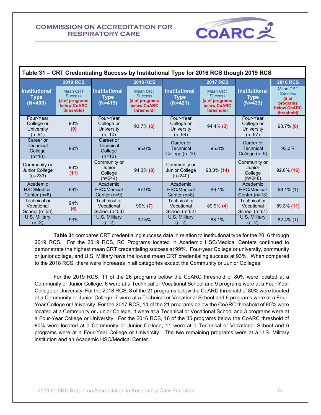| COARL |  |
|-------|--|
|       |  |

| Table 31 – CRT Credentialing Success by Institutional Type for 2016 RCS though 2019 RCS |                                                                                  |                                                      |                                                                                  |                                                   |                                                                           |                                                   |                                                                                           |  |  |  |
|-----------------------------------------------------------------------------------------|----------------------------------------------------------------------------------|------------------------------------------------------|----------------------------------------------------------------------------------|---------------------------------------------------|---------------------------------------------------------------------------|---------------------------------------------------|-------------------------------------------------------------------------------------------|--|--|--|
|                                                                                         | <b>2019 RCS</b>                                                                  |                                                      | <b>2018 RCS</b>                                                                  |                                                   | <b>2017 RCS</b>                                                           |                                                   | <b>2016 RCS</b>                                                                           |  |  |  |
| <b>Institutional</b><br><b>Type</b><br>$(N=400)$                                        | <b>Mean CRT</b><br><b>Success</b><br>(# of programs<br>below CoARC<br>threshold) | <b>Institutional</b><br><b>Type</b><br>$(N=419)$     | <b>Mean CRT</b><br><b>Success</b><br>(# of programs<br>below CoARC<br>threshold) | <b>Institutional</b><br><b>Type</b><br>$(N=421)$  | Mean CRT<br><b>Success</b><br>(# of programs<br>below CoARC<br>threshold) | <b>Institutional</b><br><b>Type</b><br>$(N=433)$  | <b>Mean CRT</b><br><b>Success</b><br># of<br>programs<br><b>below CoARC</b><br>threshold) |  |  |  |
| Four-Year<br>College or<br>University<br>$(n=94)$                                       | 93%<br>(9)                                                                       | Four-Year<br>College or<br>University<br>$(n=10)$    | $93.7\%$ (6)                                                                     | Four-Year<br>College or<br>University<br>$(n=99)$ | $94.4\%$ (3)                                                              | Four-Year<br>College or<br>University<br>$(n=97)$ | 93.7% (6)                                                                                 |  |  |  |
| Career or<br>Technical<br>College<br>$(n=10)$                                           | 96%                                                                              | Career or<br><b>Technical</b><br>College<br>$(n=10)$ | 95.6%                                                                            | Career or<br><b>Technical</b><br>College (n=10)   | 95.8%                                                                     | Career or<br><b>Technical</b><br>College (n=9)    | 93.3%                                                                                     |  |  |  |
| Community or<br>Junior College<br>$(n=233)$                                             | 93%<br>(11)                                                                      | Community or<br>Junior<br>College<br>$(n=244)$       | $94.3\%$ (8)                                                                     | Community or<br>Junior College<br>$(n=240)$       | 93.3% (14)                                                                | Community or<br>Junior<br>College<br>$(n=248)$    | $92.6\%$ (16)                                                                             |  |  |  |
| Academic<br><b>HSC/Medical</b><br>Center (n=8)                                          | 99%                                                                              | Academic<br><b>HSC/Medical</b><br>Center (n=9)       | 97.9%                                                                            | Academic<br><b>HSC/Medical</b><br>Center (n=8)    | 96.1%                                                                     | Academic<br><b>HSC/Medical</b><br>Center $(n=13)$ | $96.1\%$ (1)                                                                              |  |  |  |
| Technical or<br>Vocational<br>School (n=53)                                             | 94%<br>(6)                                                                       | Technical or<br>Vocational<br>School (n=53)          | $90\% (7)$                                                                       | Technical or<br>Vocational<br>School (n=62)       | 89.9% (4)                                                                 | Technical or<br>Vocational<br>School (n=64)       | 89.3% (11)                                                                                |  |  |  |
| U.S. Military<br>$(n=2)$                                                                | 93%                                                                              | U.S. Military<br>$(n=2)$                             | 92.5%                                                                            | U.S. Military<br>$(n=2)$                          | 88.1%                                                                     | U.S. Military<br>$(n=2)$                          | 82.4% (1)                                                                                 |  |  |  |

**Table 31** compares CRT credentialing success data in relation to institutional type for the 2016 through 2019 RCS. For the 2019 RCS, RC Programs located in Academic HSC/Medical Centers continued to demonstrate the highest mean CRT credentialing success at 99%. Four-year College or university, community or junior college, and U.S. Military have the lowest mean CRT credentialing success at 93%. When compared to the 2018 RCS, there were increases in all categories except the Community or Junior Colleges.

For the 2019 RCS, 11 of the 26 programs below the CoARC threshold of 80% were located at a Community or Junior College, 6 were at a Technical or Vocational School and 9 programs were at a Four-Year College or University. For the 2018 RCS, 8 of the 21 programs below the CoARC threshold of 80% were located at a Community or Junior College, 7 were at a Technical or Vocational School and 6 programs were at a Four-Year College or University. For the 2017 RCS, 14 of the 21 programs below the CoARC threshold of 80% were located at a Community or Junior College, 4 were at a Technical or Vocational School and 3 programs were at a Four-Year College or University. For the 2016 RCS, 16 of the 35 programs below the CoARC threshold of 80% were located at a Community or Junior College, 11 were at a Technical or Vocational School and 6 programs were at a Four-Year College or University. The two remaining programs were at a U.S. Military institution and an Academic HSC/Medical Center.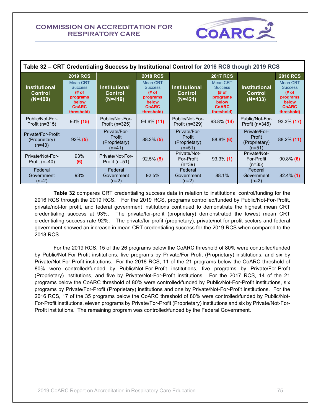| Table 32 – CRT Credentialing Success by Institutional Control for 2016 RCS though 2019 RCS |                                                                                                                  |                                                     |                                                                                                                 |                                                     |                                                                                                                 |                                                     |                                                                                                                 |
|--------------------------------------------------------------------------------------------|------------------------------------------------------------------------------------------------------------------|-----------------------------------------------------|-----------------------------------------------------------------------------------------------------------------|-----------------------------------------------------|-----------------------------------------------------------------------------------------------------------------|-----------------------------------------------------|-----------------------------------------------------------------------------------------------------------------|
| <b>Institutional</b><br><b>Control</b><br>$(N=400)$                                        | <b>2019 RCS</b><br><b>Mean CRT</b><br><b>Success</b><br>(# of<br>programs<br>below<br><b>CoARC</b><br>threshold) | <b>Institutional</b><br>Control<br>$(N=419)$        | <b>2018 RCS</b><br><b>Mean CRT</b><br><b>Success</b><br># of<br>programs<br>below<br><b>CoARC</b><br>threshold) | <b>Institutional</b><br><b>Control</b><br>$(N=421)$ | <b>2017 RCS</b><br><b>Mean CRT</b><br><b>Success</b><br># of<br>programs<br>below<br><b>CoARC</b><br>threshold) | <b>Institutional</b><br><b>Control</b><br>$(N=433)$ | <b>2016 RCS</b><br><b>Mean CRT</b><br><b>Success</b><br># of<br>programs<br>below<br><b>CoARC</b><br>threshold) |
| Public/Not-For-<br>Profit $(n=315)$                                                        | $93\%$ (15)                                                                                                      | Public/Not-For-<br>Profit ( $n=325$ )               | $94.6\%$ (11)                                                                                                   | Public/Not-For-<br>Profit (n=329)                   | 93.8% (14)                                                                                                      | Public/Not-For-<br>Profit (n=345)                   | 93.3% (17)                                                                                                      |
| Private/For-Profit<br>(Proprietary)<br>$(n=43)$                                            | $92\%$ (5)                                                                                                       | Private/For-<br>Profit<br>(Proprietary)<br>$(n=41)$ | $88.2\%$ (5)                                                                                                    | Private/For-<br>Profit<br>(Proprietary)<br>$(n=51)$ | $88.8\%$ (6)                                                                                                    | Private/For-<br>Profit<br>(Proprietary)<br>$(n=51)$ | 88.2% (11)                                                                                                      |
| Private/Not-For-<br>Profit $(n=40)$                                                        | 93%<br>(6)                                                                                                       | Private/Not-For-<br>Profit ( $n=51$ )               | $92.5\%$ (5)                                                                                                    | Private/Not-<br>For-Profit<br>$(n=39)$              | $93.3\%$ (1)                                                                                                    | Private/Not-<br>For-Profit<br>$(n=35)$              | $90.8\%$ (6)                                                                                                    |
| Federal<br>Government<br>$(n=2)$                                                           | 93%                                                                                                              | Federal<br>Government<br>(n=2)                      | 92.5%                                                                                                           | Federal<br>Government<br>$(n=2)$                    | 88.1%                                                                                                           | Federal<br>Government<br>$(n=2)$                    | $82.4\%$ (1)                                                                                                    |

**COARC** 

 **Table 32** compares CRT credentialing success data in relation to institutional control/funding for the 2016 RCS through the 2019 RCS. For the 2019 RCS, programs controlled/funded by Public/Not-For-Profit, private/not-for profit, and federal government institutions continued to demonstrate the highest mean CRT credentialing success at 93%. The private/for-profit (proprietary) demonstrated the lowest mean CRT credentialing success rate 92%. The private/for-profit (proprietary), private/not-for-profit sectors and federal government showed an increase in mean CRT credentialing success for the 2019 RCS when compared to the 2018 RCS.

For the 2019 RCS, 15 of the 26 programs below the CoARC threshold of 80% were controlled/funded by Public/Not-For-Profit institutions, five programs by Private/For-Profit (Proprietary) institutions, and six by Private/Not-For-Profit institutions. For the 2018 RCS, 11 of the 21 programs below the CoARC threshold of 80% were controlled/funded by Public/Not-For-Profit institutions, five programs by Private/For-Profit (Proprietary) institutions, and five by Private/Not-For-Profit institutions. For the 2017 RCS, 14 of the 21 programs below the CoARC threshold of 80% were controlled/funded by Public/Not-For-Profit institutions, six programs by Private/For-Profit (Proprietary) institutions and one by Private/Not-For-Profit institutions. For the 2016 RCS, 17 of the 35 programs below the CoARC threshold of 80% were controlled/funded by Public/Not-For-Profit institutions, eleven programs by Private/For-Profit (Proprietary) institutions and six by Private/Not-For-Profit institutions. The remaining program was controlled/funded by the Federal Government.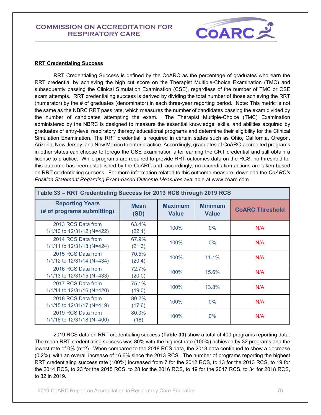

#### **RRT Credentialing Success**

RRT Credentialing Success is defined by the CoARC as the percentage of graduates who earn the RRT credential by achieving the high cut score on the Therapist Multiple-Choice Examination (TMC) and subsequently passing the Clinical Simulation Examination (CSE), regardless of the number of TMC or CSE exam attempts. RRT credentialing success is derived by dividing the total number of those achieving the RRT (numerator) by the # of graduates (denominator) in each three-year reporting period. Note: This metric is not the same as the NBRC RRT pass rate, which measures the number of candidates passing the exam divided by the number of candidates attempting the exam. The Therapist Multiple-Choice (TMC) Examination administered by the NBRC is designed to measure the essential knowledge, skills, and abilities acquired by graduates of entry-level respiratory therapy educational programs and determine their eligibility for the Clinical Simulation Examination. The RRT credential is required in certain states such as Ohio, California, Oregon, Arizona, New Jersey, and New Mexico to enter practice. Accordingly, graduates of CoARC-accredited programs in other states can choose to forego the CSE examination after earning the CRT credential and still obtain a license to practice. While programs are required to provide RRT outcomes data on the RCS, no threshold for this outcome has been established by the CoARC and, accordingly, no accreditation actions are taken based on RRT credentialing success. For more information related to this outcome measure, download the *CoARC's Position Statement Regarding Exam-based Outcome Measures* available at www.coarc.com.

| Table 33 - RRT Credentialing Success for 2013 RCS through 2019 RCS |                     |                                |                                |                        |  |  |  |
|--------------------------------------------------------------------|---------------------|--------------------------------|--------------------------------|------------------------|--|--|--|
| <b>Reporting Years</b><br>(# of programs submitting)               | <b>Mean</b><br>(SD) | <b>Maximum</b><br><b>Value</b> | <b>Minimum</b><br><b>Value</b> | <b>COARC Threshold</b> |  |  |  |
| 2013 RCS Data from<br>1/1/10 to 12/31/12 (N=422)                   | 63.4%<br>(22.1)     | 100%                           | $0\%$                          | N/A                    |  |  |  |
| 2014 RCS Data from<br>1/1/11 to 12/31/13 (N=424)                   | 67.9%<br>(21.3)     | 100%                           | $0\%$                          | N/A                    |  |  |  |
| 2015 RCS Data from<br>1/1/12 to $12/31/14$ (N=434)                 | 70.5%<br>(20.4)     | 100%                           | 11.1%                          | N/A                    |  |  |  |
| 2016 RCS Data from<br>1/1/13 to 12/31/15 (N=433)                   | 72.7%<br>(20.0)     | 100%                           | 15.6%                          | N/A                    |  |  |  |
| 2017 RCS Data from<br>$1/1/14$ to $12/31/16$ (N=420)               | 75.1%<br>(19.0)     | 100%                           | 13.8%                          | N/A                    |  |  |  |
| 2018 RCS Data from<br>1/1/15 to 12/31/17 (N=419)                   | 80.2%<br>(17.6)     | 100%                           | $0\%$                          | N/A                    |  |  |  |
| 2019 RCS Data from<br>1/1/16 to 12/31/18 (N=400)                   | 80.0%<br>(18)       | 100%                           | 0%                             | N/A                    |  |  |  |

2019 RCS data on RRT credentialing success (**Table 33**) show a total of 400 programs reporting data. The mean RRT credentialing success was 80% with the highest rate (100%) achieved by 32 programs and the lowest rate of 0% (n=2). When compared to the 2018 RCS data, the 2018 data continued to show a decrease (0.2%), with an overall increase of 16.6% since the 2013 RCS. The number of programs reporting the highest RRT credentialing success rate (100%) increased from 7 for the 2012 RCS, to 13 for the 2013 RCS, to 19 for the 2014 RCS, to 23 for the 2015 RCS, to 28 for the 2016 RCS, to 19 for the 2017 RCS, to 34 for 2018 RCS, to 32 in 2019.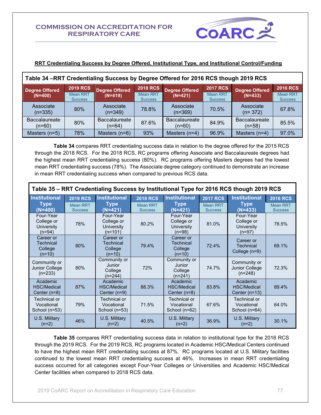Г



## **RRT Credentialing Success by Degree Offered, Institutional Type, and Institutional Control/Funding**

| Table 34 – RRT Credentialing Success by Degree Offered for 2016 RCS though 2019 RCS |                            |                                |                                   |                                  |                                   |                                  |                                   |  |
|-------------------------------------------------------------------------------------|----------------------------|--------------------------------|-----------------------------------|----------------------------------|-----------------------------------|----------------------------------|-----------------------------------|--|
| <b>Degree Offered</b>                                                               | <b>2019 RCS</b>            | <b>Degree Offered</b>          | <b>2018 RCS</b>                   | <b>Degree Offered</b>            | <b>2017 RCS</b>                   | <b>Degree Offered</b>            | <b>2016 RCS</b>                   |  |
| $(N=400)$                                                                           | Mean RRT<br><b>Success</b> | $(N=419)$                      | <b>Mean RRT</b><br><b>Success</b> | $(N=421)$                        | <b>Mean RRT</b><br><b>Success</b> | $(N=433)$                        | <b>Mean RRT</b><br><b>Success</b> |  |
| Associate<br>$(n=335)$                                                              | 80%                        | Associate<br>$(n=349)$         | 78.8%                             | Associate<br>$(n=369)$           | 70.5%                             | Associate<br>$(n=372)$           | 67.8%                             |  |
| <b>Baccalaureate</b><br>$(n=60)$                                                    | 80%                        | <b>Baccalaureate</b><br>(n=64) | 87.6%                             | <b>Baccalaureate</b><br>$(n=60)$ | 84.9%                             | <b>Baccalaureate</b><br>$(n=58)$ | 85.5%                             |  |
| Masters $(n=5)$                                                                     | 78%                        | Masters $(n=6)$                | 93%                               | Masters (n=4)                    | 96.9%                             | Masters $(n=4)$                  | 97.0%                             |  |

**Table 34** compares RRT credentialing success data in relation to the degree offered for the 2015 RCS through the 2018 RCS. For the 2018 RCS, RC programs offering Associate and Baccalaureate degrees had the highest mean RRT credentialing success (80%). RC programs offering Masters degrees had the lowest mean RRT credentialing success (78%). The Associate degree category continued to demonstrate an increase in mean RRT credentialing success when compared to previous RCS data.

| Table 35 - RRT Credentialing Success by Institutional Type for 2016 RCS though 2019 RCS |                                                                                                                                                  |                                                           |                                   |                                                       |                                   |                                                    |                                   |  |
|-----------------------------------------------------------------------------------------|--------------------------------------------------------------------------------------------------------------------------------------------------|-----------------------------------------------------------|-----------------------------------|-------------------------------------------------------|-----------------------------------|----------------------------------------------------|-----------------------------------|--|
| <b>Institutional</b>                                                                    | <b>Institutional</b><br><b>Institutional</b><br><b>Institutional</b><br><b>2019 RCS</b><br><b>2018 RCS</b><br><b>2017 RCS</b><br><b>2016 RCS</b> |                                                           |                                   |                                                       |                                   |                                                    |                                   |  |
| <b>Type</b><br>$(N=400)$                                                                | <b>Mean RRT</b><br><b>Success</b>                                                                                                                | <b>Type</b><br>$(N=421)$                                  | <b>Mean RRT</b><br><b>Success</b> | <b>Type</b><br>$(N=421)$                              | <b>Mean RRT</b><br><b>Success</b> | <b>Type</b><br>$(N=433)$                           | <b>Mean RRT</b><br><b>Success</b> |  |
| Four-Year<br>College or<br>University<br>$(n=94)$                                       | 78%                                                                                                                                              | Four-Year<br>College or<br><b>University</b><br>$(n=101)$ | 80.2%                             | Four-Year<br>College or<br>University<br>$(n=98)$     | 81.0%                             | Four-Year<br>College or<br>University<br>$(n=97)$  | 78.5%                             |  |
| Career or<br><b>Technical</b><br>College<br>$(n=10)$                                    | 80%                                                                                                                                              | Career or<br><b>Technical</b><br>College<br>$(n=10)$      | 79.4%                             | Career or<br>Technical<br>College<br>$(n=10)$         | 72.4%                             | Career or<br><b>Technical</b><br>College (n=9)     | 69.1%                             |  |
| Community or<br>Junior College<br>$(n=233)$                                             | 80%                                                                                                                                              | Community or<br>Junior<br>College<br>$(n=244)$            | 72%                               | Community or<br><b>Junior</b><br>College<br>$(n=241)$ | 74.7%                             | Community or<br><b>Junior College</b><br>$(n=248)$ | 72.3%                             |  |
| Academic<br><b>HSC/Medical</b><br>Center $(n=8)$                                        | 87%                                                                                                                                              | Academic<br><b>HSC/Medical</b><br>Center $(n=9)$          | 88.3%                             | Academic<br><b>HSC/Medical</b><br>Center $(n=8)$      | 83.8%                             | Academic<br><b>HSC/Medical</b><br>Center $(n=13)$  | 89.4%                             |  |
| Technical or<br>Vocational<br>School (n=53)                                             | 79%                                                                                                                                              | Technical or<br>Vocational<br>School (n=53)               | 71.5%                             | Technical or<br>Vocational<br>School (n=62)           | 67.6%                             | Technical or<br>Vocational<br>School (n=64)        | 64.0%                             |  |
| U.S. Military<br>$(n=2)$                                                                | 46%                                                                                                                                              | U.S. Military<br>$(n=2)$                                  | 40.5%                             | U.S. Military<br>$(n=2)$                              | 36.9%                             | U.S. Military<br>$(n=2)$                           | 30.1%                             |  |

**Table 35** compares RRT credentialing success data in relation to institutional type for the 2016 RCS through the 2019 RCS. For the 2019 RCS, RC programs located in Academic HSC/Medical Centers continued to have the highest mean RRT credentialing success at 87%. RC programs located at U.S. Military facilities continued to the lowest mean RRT credentialing success at 46%. Increases in mean RRT credentialing success occurred for all categories except Four-Year Colleges or Universities and Academic HSC/Medical Center facilities when compared to 2018 RCS data.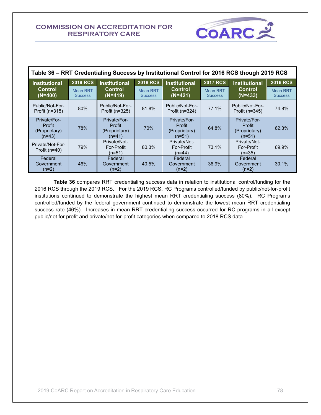

| Table 36 - RRT Credentialing Success by Institutional Control for 2016 RCS though 2019 RCS |                                   |                                                   |                                   |                                                     |                                   |                                                   |                                   |  |
|--------------------------------------------------------------------------------------------|-----------------------------------|---------------------------------------------------|-----------------------------------|-----------------------------------------------------|-----------------------------------|---------------------------------------------------|-----------------------------------|--|
| <b>Institutional</b>                                                                       | <b>2019 RCS</b>                   | <b>Institutional</b>                              | <b>2018 RCS</b>                   | <b>Institutional</b>                                | <b>2017 RCS</b>                   | <b>Institutional</b>                              | <b>2016 RCS</b>                   |  |
| <b>Control</b><br>$(N=400)$                                                                | <b>Mean RRT</b><br><b>Success</b> | <b>Control</b><br>$(N=419)$                       | <b>Mean RRT</b><br><b>Success</b> | Control<br>$(N=421)$                                | <b>Mean RRT</b><br><b>Success</b> | <b>Control</b><br>$(N=433)$                       | <b>Mean RRT</b><br><b>Success</b> |  |
| Public/Not-For-<br>Profit ( $n=315$ )                                                      | 80%                               | Public/Not-For-<br>Profit (n=325)                 | 81.8%                             | Public/Not-For-<br>Profit $(n=324)$                 | 77.1%                             | Public/Not-For-<br>Profit ( $n=345$ )             | 74.8%                             |  |
| Private/For-<br>Profit<br>(Proprietary)<br>$(n=43)$                                        | 78%                               | Private/For-<br>Profit<br>(Proprietary)<br>(n=41) | 70%                               | Private/For-<br>Profit<br>(Proprietary)<br>$(n=51)$ | 64.8%                             | Private/For-<br>Profit<br>(Proprietary)<br>(n=51) | 62.3%                             |  |
| Private/Not-For-<br>Profit $(n=40)$                                                        | 79%                               | Private/Not-<br>For-Profit<br>(n=51)              | 80.3%                             | Private/Not-<br>For-Profit<br>$(n=44)$              | 73.1%                             | Private/Not-<br>For-Profit<br>$(n=35)$            | 69.9%                             |  |
| Federal<br>Government<br>$(n=2)$                                                           | 46%                               | Federal<br>Government<br>(n=2)                    | 40.5%                             | Federal<br>Government<br>(n=2)                      | 36.9%                             | Federal<br>Government<br>$(n=2)$                  | 30.1%                             |  |

 **Table 36** compares RRT credentialing success data in relation to institutional control/funding for the 2016 RCS through the 2019 RCS. For the 2019 RCS, RC Programs controlled/funded by public/not-for-profit institutions continued to demonstrate the highest mean RRT credentialing success (80%). RC Programs controlled/funded by the federal government continued to demonstrate the lowest mean RRT credentialing success rate (46%). Increases in mean RRT credentialing success occurred for RC programs in all except public/not for profit and private/not-for-profit categories when compared to 2018 RCS data.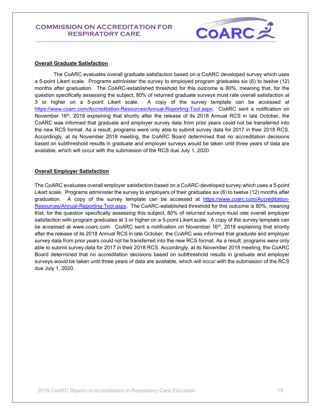

#### **Overall Graduate Satisfaction**

The CoARC evaluates overall graduate satisfaction based on a CoARC developed survey which uses a 5-point Likert scale. Programs administer the survey to employed program graduates six (6) to twelve (12) months after graduation. The CoARC-established threshold for this outcome is 80%, meaning that, for the question specifically assessing the subject, 80% of returned graduate surveys must rate overall satisfaction at 3 or higher on a 5-point Likert scale. A copy of the survey template can be accessed at [https://www.coarc.com/Accreditation-Resources/Annual-Reporting-Tool.aspx.](https://www.coarc.com/Accreditation-Resources/Annual-Reporting-Tool.aspx) CoARC sent a notification on November 16<sup>th</sup>, 2018 explaining that shortly after the release of its 2018 Annual RCS in late October, the CoARC was informed that graduate and employer survey data from prior years could not be transferred into the new RCS format. As a result, programs were only able to submit survey data for 2017 in their 2018 RCS. Accordingly, at its November 2018 meeting, the CoARC Board determined that no accreditation decisions based on subthreshold results in graduate and employer surveys would be taken until three years of data are available, which will occur with the submission of the RCS due July 1, 2020.

### **Overall Employer Satisfaction**

The CoARC evaluates overall employer satisfaction based on a CoARC-developed survey which uses a 5-point Likert scale. Programs administer the survey to employers of their graduates six (6) to twelve (12) months after graduation. A copy of the survey template can be accessed at [https://www.coarc.com/Accreditation-](https://www.coarc.com/Accreditation-Resources/Annual-Reporting-Tool.aspx)[Resources/Annual-Reporting-Tool.aspx.](https://www.coarc.com/Accreditation-Resources/Annual-Reporting-Tool.aspx) The CoARC-established threshold for this outcome is 80%, meaning that, for the question specifically assessing this subject, 80% of returned surveys must rate overall employer satisfaction with program graduates at 3 or higher on a 5-point Likert scale. A copy of the survey template can be accessed at www.coarc.com. CoARC sent a notification on November 16<sup>th</sup>, 2018 explaining that shortly after the release of its 2018 Annual RCS in late October, the CoARC was informed that graduate and employer survey data from prior years could not be transferred into the new RCS format. As a result, programs were only able to submit survey data for 2017 in their 2018 RCS. Accordingly, at its November 2018 meeting, the CoARC Board determined that no accreditation decisions based on subthreshold results in graduate and employer surveys would be taken until three years of data are available, which will occur with the submission of the RCS due July 1, 2020.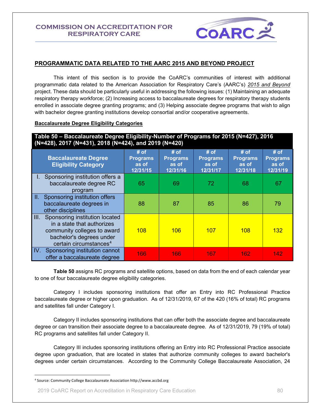

## **PROGRAMMATIC DATA RELATED TO THE AARC 2015 AND BEYOND PROJECT**

This intent of this section is to provide the CoARC's communities of interest with additional programmatic data related to the American Association for Respiratory Care's (AARC's) *[2015 and Beyond](http://www.aarc.org/resources/programs-projects/2015-beyond/)* project. These data should be particularly useful in addressing the following issues: (1) Maintaining an adequate respiratory therapy workforce; (2) Increasing access to baccalaureate degrees for respiratory therapy students enrolled in associate degree granting programs; and (3) Helping associate degree programs that wish to align with bachelor degree granting institutions develop consortial and/or cooperative agreements.

#### **Baccalaureate Degree Eligibility Categories**

**Table 50 – Baccalaureate Degree Eligibility-Number of Programs for 2015 (N=427), 2016 (N=428), 2017 (N=431), 2018 (N=424), and 2019 (N=420)**

|                 | <b>Baccalaureate Degree</b><br><b>Eligibility Category</b>                                                                                                         | # of<br><b>Programs</b><br>as of<br>12/31/15 | $#$ of<br><b>Programs</b><br>as of<br>12/31/16 | # of<br><b>Programs</b><br>as of<br>12/31/17 | $#$ of<br><b>Programs</b><br>as of<br>12/31/18 | $#$ of<br><b>Programs</b><br>as of<br>12/31/19 |
|-----------------|--------------------------------------------------------------------------------------------------------------------------------------------------------------------|----------------------------------------------|------------------------------------------------|----------------------------------------------|------------------------------------------------|------------------------------------------------|
|                 | Sponsoring institution offers a<br>baccalaureate degree RC<br>program                                                                                              | 65                                           | 69                                             | 72                                           | 68                                             | 67                                             |
| $\mathbf{II}$ . | Sponsoring institution offers<br>baccalaureate degrees in<br>other disciplines                                                                                     | 88                                           | 87                                             | 85                                           | 86                                             | 79                                             |
|                 | III. Sponsoring institution located<br>in a state that authorizes<br>community colleges to award<br>bachelor's degrees under<br>certain circumstances <sup>4</sup> | 108                                          | 106                                            | 107                                          | <b>108</b>                                     | 132                                            |
| IV.             | Sponsoring institution cannot<br>offer a baccalaureate degree                                                                                                      | 166                                          | 166                                            | 167                                          | 162                                            | 142                                            |

**Table 50** assigns RC programs and satellite options, based on data from the end of each calendar year to one of four baccalaureate degree eligibility categories.

 Category I includes sponsoring institutions that offer an Entry into RC Professional Practice baccalaureate degree or higher upon graduation. As of 12/31/2019, 67 of the 420 (16% of total) RC programs and satellites fall under Category I.

Category II includes sponsoring institutions that can offer both the associate degree and baccalaureate degree or can transition their associate degree to a baccalaureate degree. As of 12/31/2019, 79 (19% of total) RC programs and satellites fall under Category II.

Category III includes sponsoring institutions offering an Entry into RC Professional Practice associate degree upon graduation, that are located in states that authorize community colleges to award bachelor's degrees under certain circumstances. According to the Community College Baccalaureate Association, 24

<sup>4</sup> Source: Community College Baccalaureate Association http://www.accbd.org

<sup>2019</sup> CoARC Report on Accreditation in Respiratory Care Education 80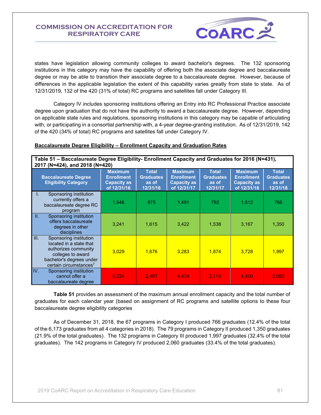

states have legislation allowing community colleges to award bachelor's degrees. The 132 sponsoring institutions in this category may have the capability of offering both the associate degree and baccalaureate degree or may be able to transition their associate degree to a baccalaureate degree. However, because of differences in the applicable legislation the extent of this capability varies greatly from state to state. As of 12/31/2019, 132 of the 420 (31% of total) RC programs and satellites fall under Category III.

Category IV includes sponsoring institutions offering an Entry into RC Professional Practice associate degree upon graduation that do not have the authority to award a baccalaureate degree. However, depending on applicable state rules and regulations, sponsoring institutions in this category may be capable of articulating with, or participating in a consortial partnership with, a 4-year degree-granting institution. As of 12/31/2019, 142 of the 420 (34% of total) RC programs and satellites fall under Category IV.

## **Baccalaureate Degree Eligibility – Enrollment Capacity and Graduation Rates**

**Table 51 – Baccalaureate Degree Eligibility- Enrollment Capacity and Graduates for 2016 (N=431), 2017 (N=424), and 2018 (N=420)**

|      | ZUTI (N-424), dhu zuto (N-420)                                                                                                                                   |                                                                          |                                                       |                                                                          |                                                       |                                                                          |                                                       |  |
|------|------------------------------------------------------------------------------------------------------------------------------------------------------------------|--------------------------------------------------------------------------|-------------------------------------------------------|--------------------------------------------------------------------------|-------------------------------------------------------|--------------------------------------------------------------------------|-------------------------------------------------------|--|
|      | <b>Baccalaureate Degree</b><br><b>Eligibility Category</b>                                                                                                       | <b>Maximum</b><br><b>Enrollment</b><br><b>Capacity as</b><br>of 12/31/16 | <b>Total</b><br><b>Graduates</b><br>as of<br>12/31/16 | <b>Maximum</b><br><b>Enrollment</b><br><b>Capacity as</b><br>of 12/31/17 | <b>Total</b><br><b>Graduates</b><br>as of<br>12/31/17 | <b>Maximum</b><br><b>Enrollment</b><br><b>Capacity as</b><br>of 12/31/18 | <b>Total</b><br><b>Graduates</b><br>as of<br>12/31/18 |  |
| ь.   | Sponsoring institution<br>currently offers a<br>baccalaureate degree RC<br>program                                                                               | 1,546                                                                    | 875                                                   | 1,491                                                                    | 792                                                   | 1,612                                                                    | 766                                                   |  |
| Ш.   | Sponsoring institution<br>offers baccalaureate<br>degrees in other<br>disciplines                                                                                | 3,241                                                                    | 1,615                                                 | 3,422                                                                    | 1,538                                                 | 3,167                                                                    | 1,350                                                 |  |
| III. | Sponsoring institution<br>located in a state that<br>authorizes community<br>colleges to award<br>bachelor's degrees under<br>certain circumstances <sup>7</sup> | 3.029                                                                    | 1,676                                                 | 3.283                                                                    | 1,874                                                 | 3.728                                                                    | 1,997                                                 |  |
| IV.  | Sponsoring institution<br>cannot offer a<br>baccalaureate degree                                                                                                 | 5,224                                                                    | 2,497                                                 | 4,434                                                                    | 2,110                                                 | 4,400                                                                    | 2,060                                                 |  |

**Table 51** provides an assessment of the maximum annual enrollment capacity and the total number of graduates for each calendar year (based on assignment of RC programs and satellite options to these four baccalaureate degree eligibility categories

As of December 31, 2018, the 67 programs in Category I produced 766 graduates (12.4% of the total of the 6,173 graduates from all 4 categories in 2018). The 79 programs in Category II produced 1,350 graduates (21.9% of the total graduates). The 132 programs in Category III produced 1,997 graduates (32.4% of the total graduates). The 142 programs in Category IV produced 2,060 graduates (33.4% of the total graduates).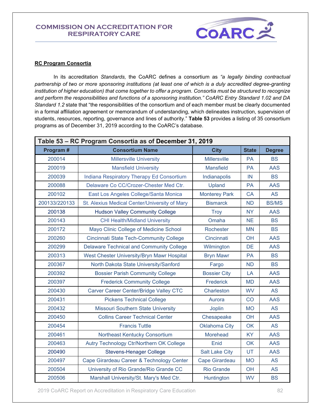

#### **RC Program Consortia**

In its accreditation *Standards,* the CoARC defines a consortium as *"a legally binding contractual partnership of two or more sponsoring institutions (at least one of which is a duly accredited degree-granting institution of higher education) that come together to offer a program. Consortia must be structured to recognize and perform the responsibilities and functions of a sponsoring institution." CoARC Entry Standard 1.02 and DA Standard 1.2* state that "the responsibilities of the consortium and of each member must be clearly documented in a formal affiliation agreement or memorandum of understanding, which delineates instruction, supervision of students, resources, reporting, governance and lines of authority." **Table 53** provides a listing of 35 consortium programs as of December 31, 2019 according to the CoARC's database.

|               | Table 53 - RC Program Consortia as of December 31, 2019 |                       |              |               |
|---------------|---------------------------------------------------------|-----------------------|--------------|---------------|
| Program#      | <b>Consortium Name</b>                                  | <b>City</b>           | <b>State</b> | <b>Degree</b> |
| 200014        | <b>Millersville University</b>                          | <b>Millersville</b>   | <b>PA</b>    | <b>BS</b>     |
| 200019        | <b>Mansfield University</b>                             | <b>Mansfield</b>      | <b>PA</b>    | <b>AAS</b>    |
| 200039        | Indiana Respiratory Therapy Ed Consortium               | Indianapolis          | IN           | <b>BS</b>     |
| 200088        | Delaware Co CC/Crozer-Chester Med Ctr.                  | Upland                | PA           | <b>AAS</b>    |
| 200102        | East Los Angeles College/Santa Monica                   | <b>Monterey Park</b>  | <b>CA</b>    | <b>AS</b>     |
| 200133/220133 | St. Alexius Medical Center/University of Mary           | <b>Bismarck</b>       | <b>ND</b>    | <b>BS/MS</b>  |
| 200138        | <b>Hudson Valley Community College</b>                  | <b>Troy</b>           | <b>NY</b>    | <b>AAS</b>    |
| 200143        | <b>CHI Health/Midland University</b>                    | Omaha                 | <b>NE</b>    | <b>BS</b>     |
| 200172        | Mayo Clinic College of Medicine School                  | Rochester             | <b>MN</b>    | <b>BS</b>     |
| 200260        | <b>Cincinnati State Tech-Community College</b>          | Cincinnati            | OH           | <b>AAS</b>    |
| 200299        | <b>Delaware Technical and Community College</b>         | Wilmington            | <b>DE</b>    | <b>AAS</b>    |
| 200313        | West Chester University/Bryn Mawr Hospital              | <b>Bryn Mawr</b>      | <b>PA</b>    | <b>BS</b>     |
| 200367        | North Dakota State University/Sanford                   | Fargo                 | <b>ND</b>    | <b>BS</b>     |
| 200392        | <b>Bossier Parish Community College</b>                 | <b>Bossier City</b>   | LA           | <b>AAS</b>    |
| 200397        | <b>Frederick Community College</b>                      | Frederick             | <b>MD</b>    | <b>AAS</b>    |
| 200430        | Carver Career Center/Bridge Valley CTC                  | Charleston            | <b>WV</b>    | <b>AS</b>     |
| 200431        | <b>Pickens Technical College</b>                        | Aurora                | CO           | <b>AAS</b>    |
| 200432        | <b>Missouri Southern State University</b>               | <b>Joplin</b>         | <b>MO</b>    | <b>AS</b>     |
| 200450        | <b>Collins Career Technical Center</b>                  | Chesapeake            | OH           | <b>AAS</b>    |
| 200454        | <b>Francis Tuttle</b>                                   | <b>Oklahoma City</b>  | <b>OK</b>    | <b>AS</b>     |
| 200461        | Northeast Kentucky Consortium                           | Morehead              | <b>KY</b>    | <b>AAS</b>    |
| 200463        | Autry Technology Ctr/Northern OK College                | Enid                  | OK           | <b>AAS</b>    |
| 200490        | <b>Stevens-Henager College</b>                          | <b>Salt Lake City</b> | UT           | <b>AAS</b>    |
| 200497        | Cape Girardeau Career & Technology Center               | Cape Girardeau        | <b>MO</b>    | <b>AS</b>     |
| 200504        | University of Rio Grande/Rio Grande CC                  | <b>Rio Grande</b>     | OH           | <b>AS</b>     |
| 200506        | Marshall University/St. Mary's Med Ctr.                 | Huntington            | <b>WV</b>    | <b>BS</b>     |

2019 CoARC Report on Accreditation in Respiratory Care Education 82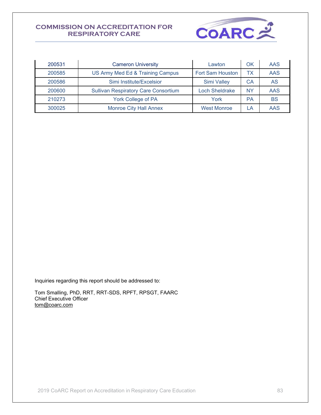

| 200531 | <b>Cameron University</b>                   | Lawton                  | ΟK        | AAS        |
|--------|---------------------------------------------|-------------------------|-----------|------------|
| 200585 | US Army Med Ed & Training Campus            | <b>Fort Sam Houston</b> | ТX        | AAS        |
| 200586 | Simi Institute/Excelsior                    | <b>Simi Valley</b>      | СA        | AS         |
| 200600 | <b>Sullivan Respiratory Care Consortium</b> | <b>Loch Sheldrake</b>   | <b>NY</b> | <b>AAS</b> |
| 210273 | <b>York College of PA</b>                   | York                    | PA        | <b>BS</b>  |
| 300025 | <b>Monroe City Hall Annex</b>               | <b>West Monroe</b>      | LA.       | AAS        |

Inquiries regarding this report should be addressed to:

Tom Smalling, PhD, RRT, RRT-SDS, RPFT, RPSGT, FAARC Chief Executive Officer [tom@coarc.com](mailto:tom@coarc.com)

2019 CoARC Report on Accreditation in Respiratory Care Education 83